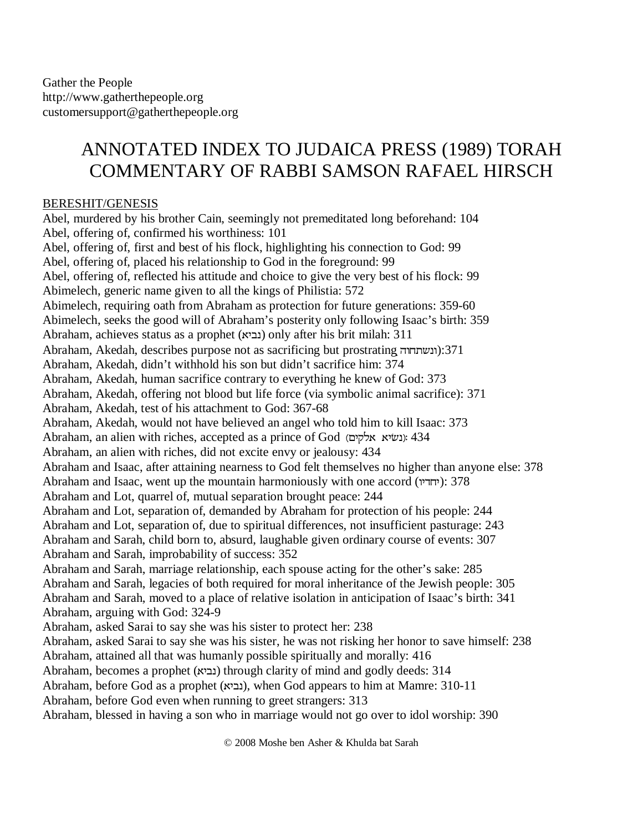## ANNOTATED INDEX TO JUDAICA PRESS (1989) TORAH COMMENTARY OF RABBI SAMSON RAFAEL HIRSCH

## BERESHIT/GENESIS

Abel, murdered by his brother Cain, seemingly not premeditated long beforehand: 104 Abel, offering of, confirmed his worthiness: 101 Abel, offering of, first and best of his flock, highlighting his connection to God: 99 Abel, offering of, placed his relationship to God in the foreground: 99 Abel, offering of, reflected his attitude and choice to give the very best of his flock: 99 Abimelech, generic name given to all the kings of Philistia: 572 Abimelech, requiring oath from Abraham as protection for future generations: 359-60 Abimelech, seeks the good will of Abraham's posterity only following Isaac's birth: 359 Abraham, achieves status as a prophet (נביא) only after his brit milah: 311 Abraham, Akedah, describes purpose not as sacrificing but prostrating (ונשתחוה):371 Abraham, Akedah, didn't withhold his son but didn't sacrifice him: 374 Abraham, Akedah, human sacrifice contrary to everything he knew of God: 373 Abraham, Akedah, offering not blood but life force (via symbolic animal sacrifice): 371 Abraham, Akedah, test of his attachment to God: 367-68 Abraham, Akedah, would not have believed an angel who told him to kill Isaac: 373 Abraham, an alien with riches, accepted as a prince of God (נשיא אלקים): 434 Abraham, an alien with riches, did not excite envy or jealousy: 434 Abraham and Isaac, after attaining nearness to God felt themselves no higher than anyone else: 378 Abraham and Isaac, went up the mountain harmoniously with one accord (יחדיו): 378 Abraham and Lot, quarrel of, mutual separation brought peace: 244 Abraham and Lot, separation of, demanded by Abraham for protection of his people: 244 Abraham and Lot, separation of, due to spiritual differences, not insufficient pasturage: 243 Abraham and Sarah, child born to, absurd, laughable given ordinary course of events: 307 Abraham and Sarah, improbability of success: 352 Abraham and Sarah, marriage relationship, each spouse acting for the other's sake: 285 Abraham and Sarah, legacies of both required for moral inheritance of the Jewish people: 305 Abraham and Sarah, moved to a place of relative isolation in anticipation of Isaac's birth: 341 Abraham, arguing with God: 324-9 Abraham, asked Sarai to say she was his sister to protect her: 238 Abraham, asked Sarai to say she was his sister, he was not risking her honor to save himself: 238 Abraham, attained all that was humanly possible spiritually and morally: 416 Abraham, becomes a prophet (נביא) through clarity of mind and godly deeds: 314 Abraham, before God as a prophet (נביא), when God appears to him at Mamre: 310-11 Abraham, before God even when running to greet strangers: 313 Abraham, blessed in having a son who in marriage would not go over to idol worship: 390

© 2008 Moshe ben Asher & Khulda bat Sarah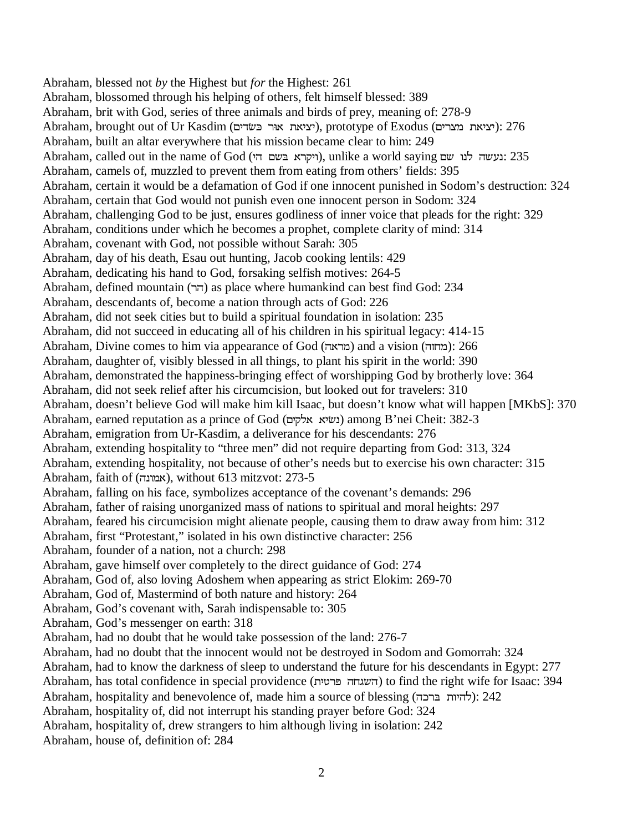Abraham, blessed not *by* the Highest but *for* the Highest: 261 Abraham, blossomed through his helping of others, felt himself blessed: 389 Abraham, brit with God, series of three animals and birds of prey, meaning of: 278-9 Abraham, brought out of Ur Kasdim (יציאת אוּר בּשׂדים), prototype of Exodus (יציאת מצרים): 276 Abraham, built an altar everywhere that his mission became clear to him: 249 Abraham, called out in the name of God (ויקרא בשם הי), unlike a world saying נעשה לנו שם: 235 Abraham, camels of, muzzled to prevent them from eating from others' fields: 395 Abraham, certain it would be a defamation of God if one innocent punished in Sodom's destruction: 324 Abraham, certain that God would not punish even one innocent person in Sodom: 324 Abraham, challenging God to be just, ensures godliness of inner voice that pleads for the right: 329 Abraham, conditions under which he becomes a prophet, complete clarity of mind: 314 Abraham, covenant with God, not possible without Sarah: 305 Abraham, day of his death, Esau out hunting, Jacob cooking lentils: 429 Abraham, dedicating his hand to God, forsaking selfish motives: 264-5 Abraham, defined mountain (UY) as place where humankind can best find God: 234 Abraham, descendants of, become a nation through acts of God: 226 Abraham, did not seek cities but to build a spiritual foundation in isolation: 235 Abraham, did not succeed in educating all of his children in his spiritual legacy: 414-15 Abraham, Divine comes to him via appearance of God (מראה) and a vision (מחזה): 266 Abraham, daughter of, visibly blessed in all things, to plant his spirit in the world: 390 Abraham, demonstrated the happiness-bringing effect of worshipping God by brotherly love: 364 Abraham, did not seek relief after his circumcision, but looked out for travelers: 310 Abraham, doesn't believe God will make him kill Isaac, but doesn't know what will happen [MKbS]: 370 Abraham, earned reputation as a prince of God (נשׂיא אלקים) among B'nei Cheit: 382-3 Abraham, emigration from Ur-Kasdim, a deliverance for his descendants: 276 Abraham, extending hospitality to "three men" did not require departing from God: 313, 324 Abraham, extending hospitality, not because of other's needs but to exercise his own character: 315 Abraham, faith of (אמונה), without 613 mitzvot: 273-5 Abraham, falling on his face, symbolizes acceptance of the covenant's demands: 296 Abraham, father of raising unorganized mass of nations to spiritual and moral heights: 297 Abraham, feared his circumcision might alienate people, causing them to draw away from him: 312 Abraham, first "Protestant," isolated in his own distinctive character: 256 Abraham, founder of a nation, not a church: 298 Abraham, gave himself over completely to the direct guidance of God: 274 Abraham, God of, also loving Adoshem when appearing as strict Elokim: 269-70 Abraham, God of, Mastermind of both nature and history: 264 Abraham, God's covenant with, Sarah indispensable to: 305 Abraham, God's messenger on earth: 318 Abraham, had no doubt that he would take possession of the land: 276-7 Abraham, had no doubt that the innocent would not be destroyed in Sodom and Gomorrah: 324 Abraham, had to know the darkness of sleep to understand the future for his descendants in Egypt: 277 Abraham, has total confidence in special providence (השגחה פרטית) to find the right wife for Isaac: 394 Abraham, hospitality and benevolence of, made him a source of blessing (להיות ברכה): 242 Abraham, hospitality of, did not interrupt his standing prayer before God: 324 Abraham, hospitality of, drew strangers to him although living in isolation: 242 Abraham, house of, definition of: 284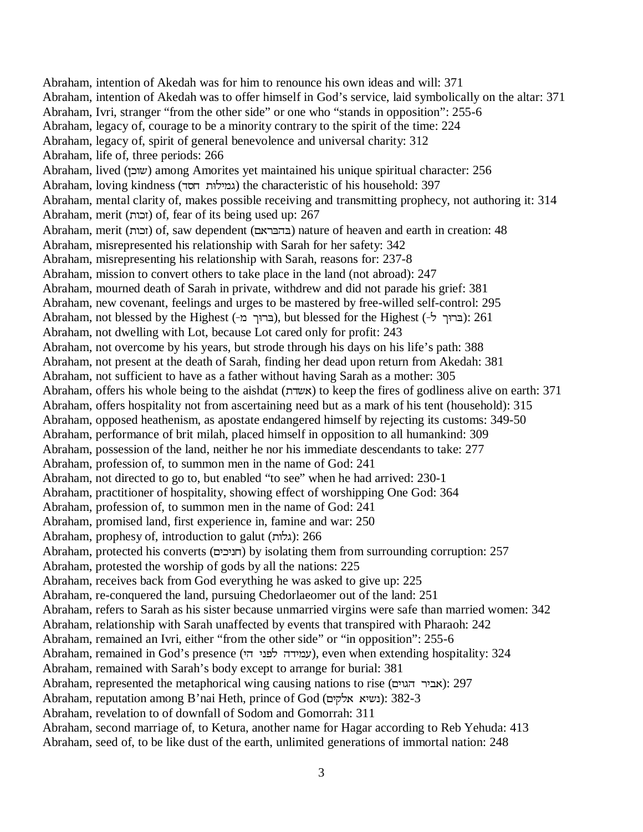Abraham, intention of Akedah was for him to renounce his own ideas and will: 371 Abraham, intention of Akedah was to offer himself in God's service, laid symbolically on the altar: 371 Abraham, Ivri, stranger "from the other side" or one who "stands in opposition": 255-6 Abraham, legacy of, courage to be a minority contrary to the spirit of the time: 224 Abraham, legacy of, spirit of general benevolence and universal charity: 312 Abraham, life of, three periods: 266 Abraham, lived (שובן) among Amorites yet maintained his unique spiritual character: 256 Abraham, loving kindness (גמילוּת חסד) the characteristic of his household: 397 Abraham, mental clarity of, makes possible receiving and transmitting prophecy, not authoring it: 314 Abraham, merit (XI]) of, fear of its being used up: 267 Abraham, merit (גובות) of, saw dependent (בהבראם) nature of heaven and earth in creation: 48 Abraham, misrepresented his relationship with Sarah for her safety: 342 Abraham, misrepresenting his relationship with Sarah, reasons for: 237-8 Abraham, mission to convert others to take place in the land (not abroad): 247 Abraham, mourned death of Sarah in private, withdrew and did not parade his grief: 381 Abraham, new covenant, feelings and urges to be mastered by free-willed self-control: 295 Abraham, not blessed by the Highest (ברוך מ-), but blessed for the Highest (ברוך ל-): 261 Abraham, not dwelling with Lot, because Lot cared only for profit: 243 Abraham, not overcome by his years, but strode through his days on his life's path: 388 Abraham, not present at the death of Sarah, finding her dead upon return from Akedah: 381 Abraham, not sufficient to have as a father without having Sarah as a mother: 305 Abraham, offers his whole being to the aishdat (אשדת) to keep the fires of godliness alive on earth: 371 Abraham, offers hospitality not from ascertaining need but as a mark of his tent (household): 315 Abraham, opposed heathenism, as apostate endangered himself by rejecting its customs: 349-50 Abraham, performance of brit milah, placed himself in opposition to all humankind: 309 Abraham, possession of the land, neither he nor his immediate descendants to take: 277 Abraham, profession of, to summon men in the name of God: 241 Abraham, not directed to go to, but enabled "to see" when he had arrived: 230-1 Abraham, practitioner of hospitality, showing effect of worshipping One God: 364 Abraham, profession of, to summon men in the name of God: 241 Abraham, promised land, first experience in, famine and war: 250 Abraham, prophesy of, introduction to galut (גלות): 266 Abraham, protected his converts (חניכים) by isolating them from surrounding corruption: 257 Abraham, protested the worship of gods by all the nations: 225 Abraham, receives back from God everything he was asked to give up: 225 Abraham, re-conquered the land, pursuing Chedorlaeomer out of the land: 251 Abraham, refers to Sarah as his sister because unmarried virgins were safe than married women: 342 Abraham, relationship with Sarah unaffected by events that transpired with Pharaoh: 242 Abraham, remained an Ivri, either "from the other side" or "in opposition": 255-6 Abraham, remained in God's presence (עמידה לפני הי), even when extending hospitality: 324 Abraham, remained with Sarah's body except to arrange for burial: 381 Abraham, represented the metaphorical wing causing nations to rise (אביר הגוים): 297 Abraham, reputation among B'nai Heth, prince of God (נשיא אלקים): 382-3 Abraham, revelation to of downfall of Sodom and Gomorrah: 311 Abraham, second marriage of, to Ketura, another name for Hagar according to Reb Yehuda: 413 Abraham, seed of, to be like dust of the earth, unlimited generations of immortal nation: 248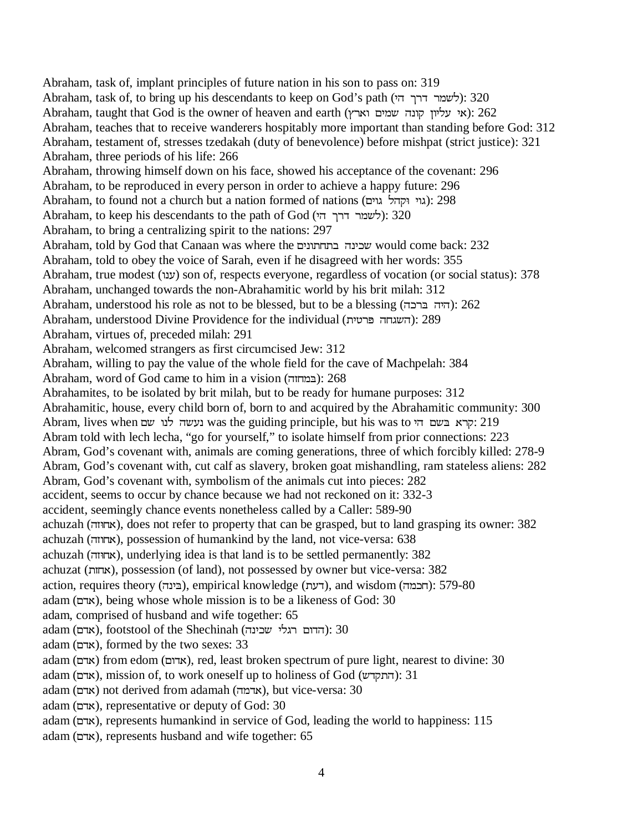Abraham, task of, implant principles of future nation in his son to pass on: 319 Abraham, task of, to bring up his descendants to keep on God's path (לשמר דרך הי): 320 Abraham, taught that God is the owner of heaven and earth (אי עליון קונה שמים וארץ): 262 Abraham, teaches that to receive wanderers hospitably more important than standing before God: 312 Abraham, testament of, stresses tzedakah (duty of benevolence) before mishpat (strict justice): 321 Abraham, three periods of his life: 266 Abraham, throwing himself down on his face, showed his acceptance of the covenant: 296 Abraham, to be reproduced in every person in order to achieve a happy future: 296 Abraham, to found not a church but a nation formed of nations (גוי וקהל גוים): 298 Abraham, to keep his descendants to the path of God (לשמר דרך הי): 320 Abraham, to bring a centralizing spirit to the nations: 297 Abraham, told by God that Canaan was where the שכינה בתחתונים would come back: 232 Abraham, told to obey the voice of Sarah, even if he disagreed with her words: 355 Abraham, true modest (ענו) son of, respects everyone, regardless of vocation (or social status): 378 Abraham, unchanged towards the non-Abrahamitic world by his brit milah: 312 Abraham, understood his role as not to be blessed, but to be a blessing  $(TIT)$ : 262 Abraham, understood Divine Providence for the individual (השגחה פרטית): 289 Abraham, virtues of, preceded milah: 291 Abraham, welcomed strangers as first circumcised Jew: 312 Abraham, willing to pay the value of the whole field for the cave of Machpelah: 384 Abraham, word of God came to him in a vision ( $\epsilon$ Eמחזה): 268 Abrahamites, to be isolated by brit milah, but to be ready for humane purposes: 312 Abrahamitic, house, every child born of, born to and acquired by the Abrahamitic community: 300 Abram, lives when נעשה לנו שם was the guiding principle, but his was to קרא בשם הי Abram told with lech lecha, "go for yourself," to isolate himself from prior connections: 223 Abram, God's covenant with, animals are coming generations, three of which forcibly killed: 278-9 Abram, God's covenant with, cut calf as slavery, broken goat mishandling, ram stateless aliens: 282 Abram, God's covenant with, symbolism of the animals cut into pieces: 282 accident, seems to occur by chance because we had not reckoned on it: 332-3 accident, seemingly chance events nonetheless called by a Caller: 589-90 achuzah (אחוזה), does not refer to property that can be grasped, but to land grasping its owner: 382 achuzah (אחוזה), possession of humankind by the land, not vice-versa: 638 achuzah (אחוזה), underlying idea is that land is to be settled permanently: 382 achuzat (]MW), possession (of land), not possessed by owner but vice-versa: 382 action, requires theory (בינה), empirical knowledge (דעת), and wisdom (דממה): 579-80 adam (אדם), being whose whole mission is to be a likeness of God: 30 adam, comprised of husband and wife together: 65 adam (תורם), footstool of the Shechinah (אדם רגלי הדום האלי): 30 adam (אדם), formed by the two sexes: 33 adam (אדם) from edom (אדום), red, least broken spectrum of pure light, nearest to divine: 30 adam (אדם), mission of, to work oneself up to holiness of God (אדם): 31  $\alpha$ adam (אדם) not derived from adamah (אדמה), but vice-versa: 30 adam (אדם), representative or deputy of God: 30 adam (RVW), represents humankind in service of God, leading the world to happiness: 115 adam (אדם), represents husband and wife together: 65

4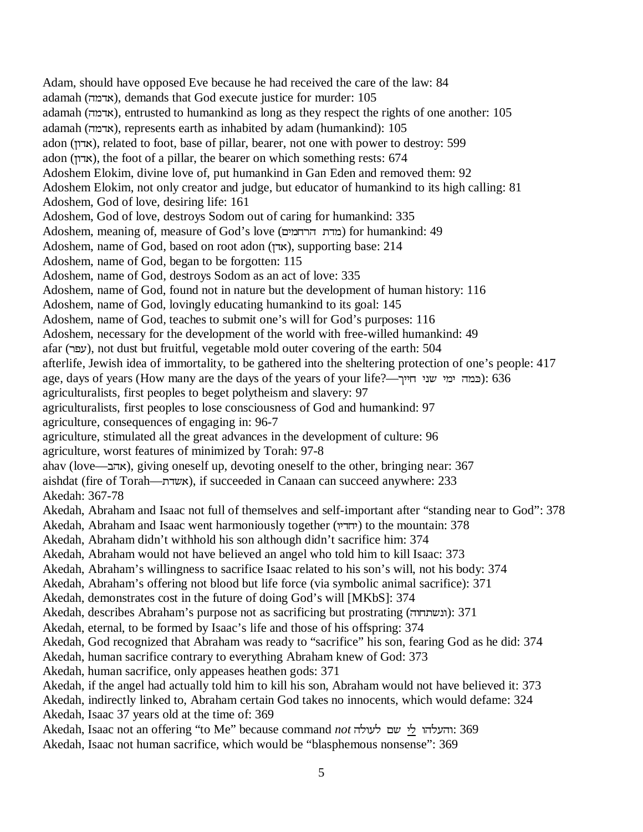Adam, should have opposed Eve because he had received the care of the law: 84 adamah (אדמה), demands that God execute justice for murder:  $105$ adamah (אדמה), entrusted to humankind as long as they respect the rights of one another: 105 adamah (אדמה), represents earth as inhabited by adam (humankind):  $105$ adon (אדון), related to foot, base of pillar, bearer, not one with power to destroy: 599 adon (אדון), the foot of a pillar, the bearer on which something rests:  $674$ Adoshem Elokim, divine love of, put humankind in Gan Eden and removed them: 92 Adoshem Elokim, not only creator and judge, but educator of humankind to its high calling: 81 Adoshem, God of love, desiring life: 161 Adoshem, God of love, destroys Sodom out of caring for humankind: 335 Adoshem, meaning of, measure of God's love (מדת הרחמים) for humankind: 49 Adoshem, name of God, based on root adon (אדן), supporting base: 214 Adoshem, name of God, began to be forgotten: 115 Adoshem, name of God, destroys Sodom as an act of love: 335 Adoshem, name of God, found not in nature but the development of human history: 116 Adoshem, name of God, lovingly educating humankind to its goal: 145 Adoshem, name of God, teaches to submit one's will for God's purposes: 116 Adoshem, necessary for the development of the world with free-willed humankind: 49 afar (USJ), not dust but fruitful, vegetable mold outer covering of the earth: 504 afterlife, Jewish idea of immortality, to be gathered into the sheltering protection of one's people: 417 age, days of years (How many are the days of the years of your life?—OKKMKEDKQKYQ)): 636 agriculturalists, first peoples to beget polytheism and slavery: 97 agriculturalists, first peoples to lose consciousness of God and humankind: 97 agriculture, consequences of engaging in: 96-7 agriculture, stimulated all the great advances in the development of culture: 96 agriculture, worst features of minimized by Torah: 97-8 ahav (love—אהב), giving oneself up, devoting oneself to the other, bringing near: 367 aishdat (fire of Torah—אשדת), if succeeded in Canaan can succeed anywhere: 233 Akedah: 367-78 Akedah, Abraham and Isaac not full of themselves and self-important after "standing near to God": 378 Akedah, Abraham and Isaac went harmoniously together (יחדיו) to the mountain: 378 Akedah, Abraham didn't withhold his son although didn't sacrifice him: 374 Akedah, Abraham would not have believed an angel who told him to kill Isaac: 373 Akedah, Abraham's willingness to sacrifice Isaac related to his son's will, not his body: 374 Akedah, Abraham's offering not blood but life force (via symbolic animal sacrifice): 371 Akedah, demonstrates cost in the future of doing God's will [MKbS]: 374 Akedah, describes Abraham's purpose not as sacrificing but prostrating (ונשתחוה): 371 Akedah, eternal, to be formed by Isaac's life and those of his offspring: 374 Akedah, God recognized that Abraham was ready to "sacrifice" his son, fearing God as he did: 374 Akedah, human sacrifice contrary to everything Abraham knew of God: 373 Akedah, human sacrifice, only appeases heathen gods: 371 Akedah, if the angel had actually told him to kill his son, Abraham would not have believed it: 373 Akedah, indirectly linked to, Abraham certain God takes no innocents, which would defame: 324 Akedah, Isaac 37 years old at the time of: 369 Akedah, Isaac not an offering "to Me" because command not והעלהו לי שם לעולה: 369 Akedah, Isaac not human sacrifice, which would be "blasphemous nonsense": 369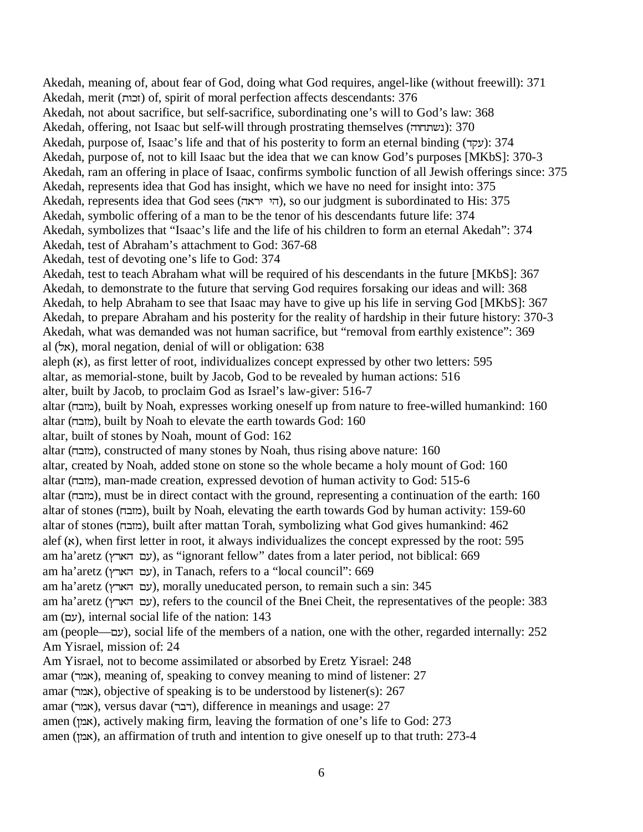Akedah, meaning of, about fear of God, doing what God requires, angel-like (without freewill): 371 Akedah, merit (XI]) of, spirit of moral perfection affects descendants: 376 Akedah, not about sacrifice, but self-sacrifice, subordinating one's will to God's law: 368 Akedah, offering, not Isaac but self-will through prostrating themselves (נשתחוה): 370 Akedah, purpose of, Isaac's life and that of his posterity to form an eternal binding (עקד): 374 Akedah, purpose of, not to kill Isaac but the idea that we can know God's purposes [MKbS]: 370-3 Akedah, ram an offering in place of Isaac, confirms symbolic function of all Jewish offerings since: 375 Akedah, represents idea that God has insight, which we have no need for insight into: 375 Akedah, represents idea that God sees (הי יראה), so our judgment is subordinated to His: 375 Akedah, symbolic offering of a man to be the tenor of his descendants future life: 374 Akedah, symbolizes that "Isaac's life and the life of his children to form an eternal Akedah": 374 Akedah, test of Abraham's attachment to God: 367-68 Akedah, test of devoting one's life to God: 374 Akedah, test to teach Abraham what will be required of his descendants in the future [MKbS]: 367 Akedah, to demonstrate to the future that serving God requires forsaking our ideas and will: 368 Akedah, to help Abraham to see that Isaac may have to give up his life in serving God [MKbS]: 367 Akedah, to prepare Abraham and his posterity for the reality of hardship in their future history: 370-3 Akedah, what was demanded was not human sacrifice, but "removal from earthly existence": 369 al  $(\forall x)$ , moral negation, denial of will or obligation: 638 aleph  $(x)$ , as first letter of root, individualizes concept expressed by other two letters: 595 altar, as memorial-stone, built by Jacob, God to be revealed by human actions: 516 alter, built by Jacob, to proclaim God as Israel's law-giver: 516-7 altar (מזבח), built by Noah, expresses working oneself up from nature to free-willed humankind: 160 altar (מובח), built by Noah to elevate the earth towards God: 160 altar, built of stones by Noah, mount of God: 162 altar (מובח), constructed of many stones by Noah, thus rising above nature: 160 altar, created by Noah, added stone on stone so the whole became a holy mount of God: 160 altar (מובח), man-made creation, expressed devotion of human activity to God: 515-6 altar (מדבה), must be in direct contact with the ground, representing a continuation of the earth: 160 altar of stones (מובח), built by Noah, elevating the earth towards God by human activity: 159-60 altar of stones (מובה), built after mattan Torah, symbolizing what God gives humankind: 462 alef  $(x)$ , when first letter in root, it always individualizes the concept expressed by the root: 595 am ha'aretz (עם הארץ), as "ignorant fellow" dates from a later period, not biblical: 669 am ha'aretz (עם הארץ), in Tanach, refers to a "local council": 669 am ha'aretz (עם הארץ), morally uneducated person, to remain such a sin: 345 am ha'aretz (עם הארץ), refers to the council of the Bnei Cheit, the representatives of the people: 383 am (עם), internal social life of the nation: 143 am (people—עם), social life of the members of a nation, one with the other, regarded internally: 252 Am Yisrael, mission of: 24 Am Yisrael, not to become assimilated or absorbed by Eretz Yisrael: 248 amar (אמר), meaning of, speaking to convey meaning to mind of listener: 27 amar (אמר), objective of speaking is to be understood by listener(s): 267 amar (אמר), versus davar (רבר), difference in meanings and usage: 27 amen (אמן), actively making firm, leaving the formation of one's life to God: 273 amen (אמון), an affirmation of truth and intention to give oneself up to that truth: 273-4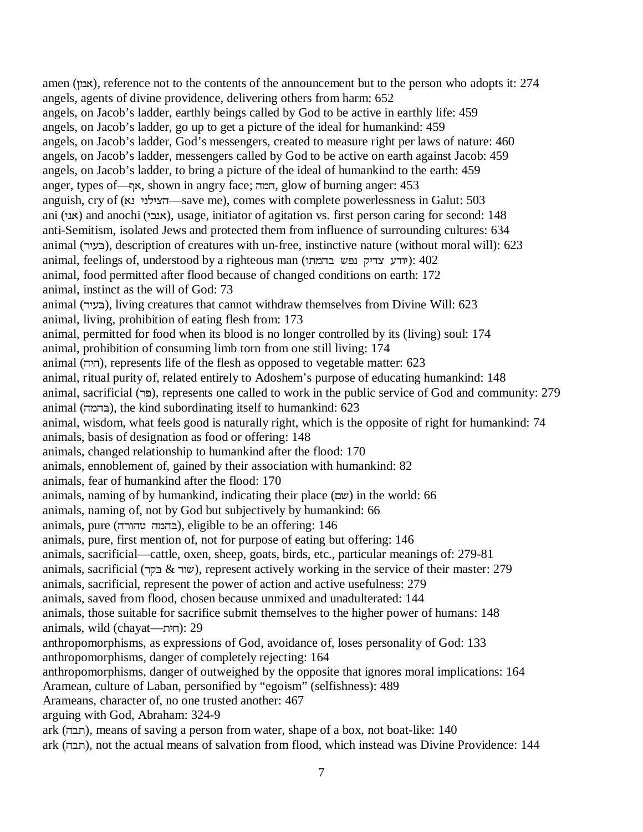amen (אמן), reference not to the contents of the announcement but to the person who adopts it:  $274$ angels, agents of divine providence, delivering others from harm: 652 angels, on Jacob's ladder, earthly beings called by God to be active in earthly life: 459 angels, on Jacob's ladder, go up to get a picture of the ideal for humankind: 459 angels, on Jacob's ladder, God's messengers, created to measure right per laws of nature: 460 angels, on Jacob's ladder, messengers called by God to be active on earth against Jacob: 459 angels, on Jacob's ladder, to bring a picture of the ideal of humankind to the earth: 459 anger, types of—תא, shown in angry face; חמה, glow of burning anger: 453 anguish, cry of (אבא-הצילני נא —save me), comes with complete powerlessness in Galut: 503 ani (אנגי) and anochi (KIEW), usage, initiator of agitation vs. first person caring for second: 148 anti-Semitism, isolated Jews and protected them from influence of surrounding cultures: 634 animal (בעיר), description of creatures with un-free, instinctive nature (without moral will): 623 animal, feelings of, understood by a righteous man (יודע צדיק נפש בהמתו animal, food permitted after flood because of changed conditions on earth: 172 animal, instinct as the will of God: 73 animal (UKJ&), living creatures that cannot withdraw themselves from Divine Will: 623 animal, living, prohibition of eating flesh from: 173 animal, permitted for food when its blood is no longer controlled by its (living) soul: 174 animal, prohibition of consuming limb torn from one still living: 174 animal (YKM), represents life of the flesh as opposed to vegetable matter: 623 animal, ritual purity of, related entirely to Adoshem's purpose of educating humankind: 148 animal, sacrificial (U3), represents one called to work in the public service of God and community: 279 animal (בהמה), the kind subordinating itself to humankind: 623 animal, wisdom, what feels good is naturally right, which is the opposite of right for humankind: 74 animals, basis of designation as food or offering: 148 animals, changed relationship to humankind after the flood: 170 animals, ennoblement of, gained by their association with humankind: 82 animals, fear of humankind after the flood: 170 animals, naming of by humankind, indicating their place  $(\Box \psi)$  in the world: 66 animals, naming of, not by God but subjectively by humankind: 66 animals, pure (בהמה טהורה), eligible to be an offering: 146 animals, pure, first mention of, not for purpose of eating but offering: 146 animals, sacrificial—cattle, oxen, sheep, goats, birds, etc., particular meanings of: 279-81 animals, sacrificial (שור  $\&$  בקר), represent actively working in the service of their master: 279 animals, sacrificial, represent the power of action and active usefulness: 279 animals, saved from flood, chosen because unmixed and unadulterated: 144 animals, those suitable for sacrifice submit themselves to the higher power of humans: 148 animals, wild (chayat—הית): 29 anthropomorphisms, as expressions of God, avoidance of, loses personality of God: 133 anthropomorphisms, danger of completely rejecting: 164 anthropomorphisms, danger of outweighed by the opposite that ignores moral implications: 164 Aramean, culture of Laban, personified by "egoism" (selfishness): 489 Arameans, character of, no one trusted another: 467 arguing with God, Abraham: 324-9 ark (YF), means of saving a person from water, shape of a box, not boat-like: 140 ark (תבה), not the actual means of salvation from flood, which instead was Divine Providence: 144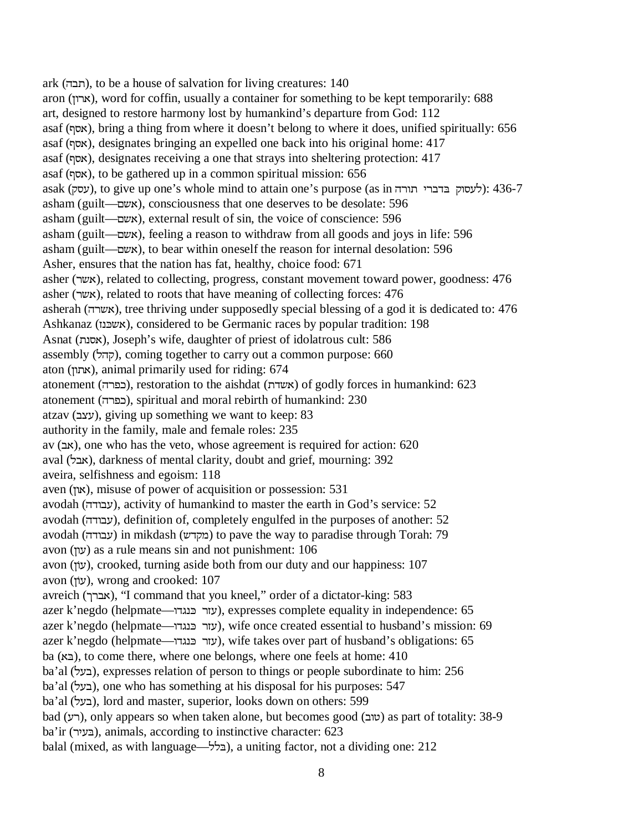ark (תבה), to be a house of salvation for living creatures:  $140$ aron (ארון), word for coffin, usually a container for something to be kept temporarily: 688 art, designed to restore harmony lost by humankind's departure from God: 112 asaf (אסף), bring a thing from where it doesn't belong to where it does, unified spiritually: 656 asaf ([W), designates bringing an expelled one back into his original home: 417 asaf (אסף), designates receiving a one that strays into sheltering protection: 417 asaf (אסף), to be gathered up in a common spiritual mission:  $656$ asak (לעסוק בדברי תורה sasak (לעסוק בדברי הורה); to give up one's whole mind to attain one's purpose (as in asham (guilt—RDW), consciousness that one deserves to be desolate: 596 asham (guilt—RDW), external result of sin, the voice of conscience: 596 asham (guilt—אשם), feeling a reason to withdraw from all goods and joys in life: 596 asham (guilt—אשם), to bear within oneself the reason for internal desolation: 596 Asher, ensures that the nation has fat, healthy, choice food: 671 asher (אשר), related to collecting, progress, constant movement toward power, goodness: 476 asher (אשר), related to roots that have meaning of collecting forces: 476 asherah (אשרה), tree thriving under supposedly special blessing of a god it is dedicated to: 476 Ashkanaz (משכנז), considered to be Germanic races by popular tradition: 198 Asnat (אסנת), Joseph's wife, daughter of priest of idolatrous cult: 586 assembly (קהל), coming together to carry out a common purpose: 660 aton (אתון), animal primarily used for riding: 674 atonement (כפרה), restoration to the aishdat (AUSI) of godly forces in humankind: 623 atonement (כפרה), spiritual and moral rebirth of humankind: 230 atzav (עצב), giving up something we want to keep: 83 authority in the family, male and female roles: 235 av (FW), one who has the veto, whose agreement is required for action: 620 aval (אבל), darkness of mental clarity, doubt and grief, mourning: 392 aveira, selfishness and egoism: 118 aven (און), misuse of power of acquisition or possession:  $531$ avodah (עבודה), activity of humankind to master the earth in God's service: 52 avodah (עבודה), definition of, completely engulfed in the purposes of another: 52 avodah (עבודה) in mikdash (מקדש) to pave the way to paradise through Torah: 79 avon (עון) as a rule means sin and not punishment:  $106$ avon (עוֹן), crooked, turning aside both from our duty and our happiness: 107 avon (עוֹן), wrong and crooked: 107 avreich (אברך), "I command that you kneel," order of a dictator-king: 583 azer k'negdo (helpmate—עזר בּנגדו), expresses complete equality in independence: 65 azer k'negdo (helpmate—עזר בּנגדו $(69)$ ), wife once created essential to husband's mission: 69 azer k'negdo (helpmate—עזר בּנגדו), wife takes over part of husband's obligations: 65  $ba$  ( $\leq x$ ), to come there, where one belongs, where one feels at home: 410 ba'al (בעל), expresses relation of person to things or people subordinate to him: 256 ba'al (בעל), one who has something at his disposal for his purposes: 547 ba'al (בעל), lord and master, superior, looks down on others: 599 bad (רע), only appears so when taken alone, but becomes good (שוב) as part of totality: 38-9 ba'ir (בעיר), animals, according to instinctive character: 623 balal (mixed, as with language— $\rightarrow$ בלל), a uniting factor, not a dividing one: 212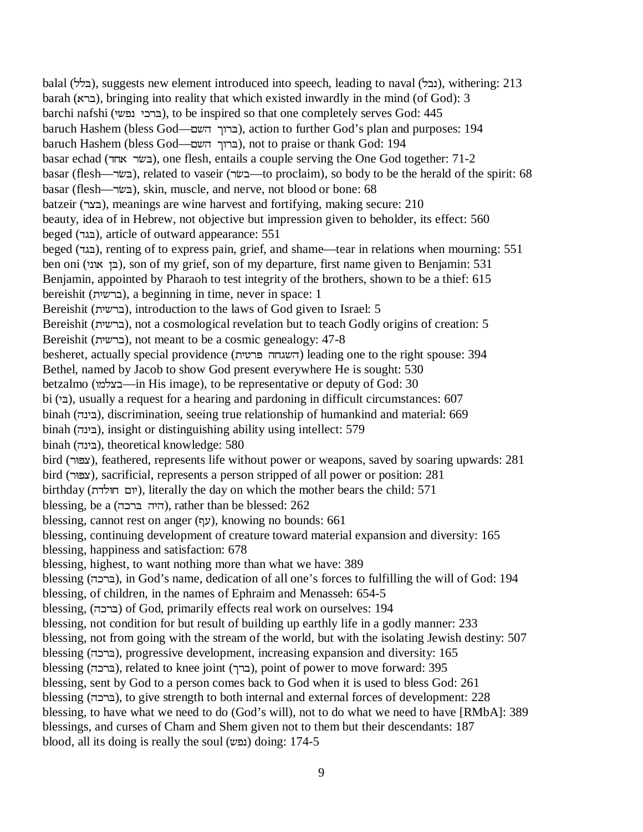balal (בלל), suggests new element introduced into speech, leading to naval (בנלל), withering: 213 barah (WUF), bringing into reality that which existed inwardly in the mind (of God): 3 barchi nafshi (ברכי נפשי), to be inspired so that one completely serves God: 445 baruch Hashem (bless God—הברוך השם), action to further God's plan and purposes: 194 baruch Hashem (bless God—הברוך השם), not to praise or thank God: 194 basar echad (בשׂר אחד), one flesh, entails a couple serving the One God together: 71-2 basar (flesh—בשׂר), related to vaseir (בשׂר—to proclaim), so body to be the herald of the spirit: 68 basar (flesh—U\*&), skin, muscle, and nerve, not blood or bone: 68 batzeir (UP&), meanings are wine harvest and fortifying, making secure: 210 beauty, idea of in Hebrew, not objective but impression given to beholder, its effect: 560 beged (VG&), article of outward appearance: 551 beged (VG&), renting of to express pain, grief, and shame—tear in relations when mourning: 551 ben oni (בן אוני), son of my grief, son of my departure, first name given to Benjamin: 531 Benjamin, appointed by Pharaoh to test integrity of the brothers, shown to be a thief: 615 bereishit (KDUF), a beginning in time, never in space: 1 Bereishit (KDUF), introduction to the laws of God given to Israel: 5 Bereishit (ברשית), not a cosmological revelation but to teach Godly origins of creation: 5 Bereishit (ברשית), not meant to be a cosmic genealogy: 47-8 besheret, actually special providence (K\U3YMGDY) leading one to the right spouse: 394 Bethel, named by Jacob to show God present everywhere He is sought: 530 betzalmo (בצלמו—in His image), to be representative or deputy of God: 30 bi (E<sup> $\epsilon$ </sup>), usually a request for a hearing and pardoning in difficult circumstances: 607 binah (בינה), discrimination, seeing true relationship of humankind and material: 669 binah (YEK&), insight or distinguishing ability using intellect: 579 binah (בינה), theoretical knowledge: 580 bird (U83P), feathered, represents life without power or weapons, saved by soaring upwards: 281 bird (U83P), sacrificial, represents a person stripped of all power or position: 281 birthday (יום חולדת), literally the day on which the mother bears the child: 571 blessing, be a (היה ברכה), rather than be blessed:  $262$ blessing, cannot rest on anger (עָם), knowing no bounds: 661 blessing, continuing development of creature toward material expansion and diversity: 165 blessing, happiness and satisfaction: 678 blessing, highest, to want nothing more than what we have: 389 blessing (YIU&), in God's name, dedication of all one's forces to fulfilling the will of God: 194 blessing, of children, in the names of Ephraim and Menasseh: 654-5 blessing, (YIU&) of God, primarily effects real work on ourselves: 194 blessing, not condition for but result of building up earthly life in a godly manner: 233 blessing, not from going with the stream of the world, but with the isolating Jewish destiny: 507 blessing (YIU&), progressive development, increasing expansion and diversity: 165 blessing (YIU&), related to knee joint (OUF), point of power to move forward: 395 blessing, sent by God to a person comes back to God when it is used to bless God: 261 blessing (YIU&), to give strength to both internal and external forces of development: 228 blessing, to have what we need to do (God's will), not to do what we need to have [RMbA]: 389 blessings, and curses of Cham and Shem given not to them but their descendants: 187  $b$ lood, all its doing is really the soul (נפש) doing: 174-5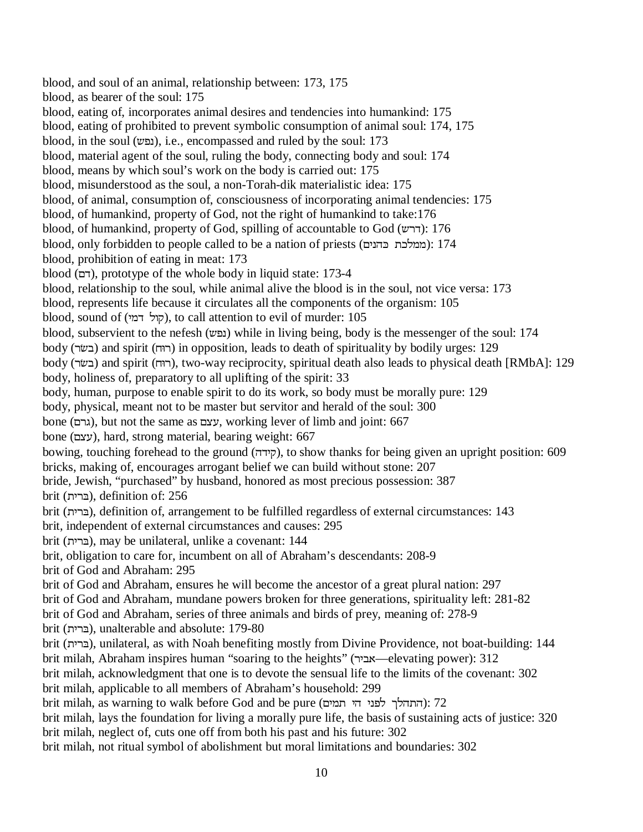blood, and soul of an animal, relationship between: 173, 175 blood, as bearer of the soul: 175 blood, eating of, incorporates animal desires and tendencies into humankind: 175 blood, eating of prohibited to prevent symbolic consumption of animal soul: 174, 175 blood, in the soul (נפש), i.e., encompassed and ruled by the soul: 173 blood, material agent of the soul, ruling the body, connecting body and soul: 174 blood, means by which soul's work on the body is carried out: 175 blood, misunderstood as the soul, a non-Torah-dik materialistic idea: 175 blood, of animal, consumption of, consciousness of incorporating animal tendencies: 175 blood, of humankind, property of God, not the right of humankind to take:176 blood, of humankind, property of God, spilling of accountable to God  $(\forall \tau)$ : 176 blood, only forbidden to people called to be a nation of priests (ממלכת כהנים): 174 blood, prohibition of eating in meat: 173 blood (RV), prototype of the whole body in liquid state: 173-4 blood, relationship to the soul, while animal alive the blood is in the soul, not vice versa: 173 blood, represents life because it circulates all the components of the organism: 105 blood, sound of (קול דמי), to call attention to evil of murder:  $105$ blood, subservient to the nefesh (נפש) while in living being, body is the messenger of the soul: 174 body (בשׂר) and spirit (רוּח) in opposition, leads to death of spirituality by bodily urges: 129 body (רוּח), two-way reciprocity, spiritual death also leads to physical death [RMbA]: 129 body, holiness of, preparatory to all uplifting of the spirit: 33 body, human, purpose to enable spirit to do its work, so body must be morally pure: 129 body, physical, meant not to be master but servitor and herald of the soul: 300 bone (גרם), but not the same as עצם, working lever of limb and joint: 667 bone (עצם), hard, strong material, bearing weight: 667 bowing, touching forehead to the ground (קידה), to show thanks for being given an upright position: 609 bricks, making of, encourages arrogant belief we can build without stone: 207 bride, Jewish, "purchased" by husband, honored as most precious possession: 387 brit (KU&), definition of: 256 brit (KU&), definition of, arrangement to be fulfilled regardless of external circumstances: 143 brit, independent of external circumstances and causes: 295 brit (ברית), may be unilateral, unlike a covenant: 144 brit, obligation to care for, incumbent on all of Abraham's descendants: 208-9 brit of God and Abraham: 295 brit of God and Abraham, ensures he will become the ancestor of a great plural nation: 297 brit of God and Abraham, mundane powers broken for three generations, spirituality left: 281-82 brit of God and Abraham, series of three animals and birds of prey, meaning of: 278-9 brit (KU&), unalterable and absolute: 179-80 brit (KU&), unilateral, as with Noah benefiting mostly from Divine Providence, not boat-building: 144 brit milah, Abraham inspires human "soaring to the heights" (אביר —elevating power): 312 brit milah, acknowledgment that one is to devote the sensual life to the limits of the covenant: 302 brit milah, applicable to all members of Abraham's household: 299  $b$ rit milah, as warning to walk before God and be pure (התהלך לפני הי תמים): 72 brit milah, lays the foundation for living a morally pure life, the basis of sustaining acts of justice: 320 brit milah, neglect of, cuts one off from both his past and his future: 302 brit milah, not ritual symbol of abolishment but moral limitations and boundaries: 302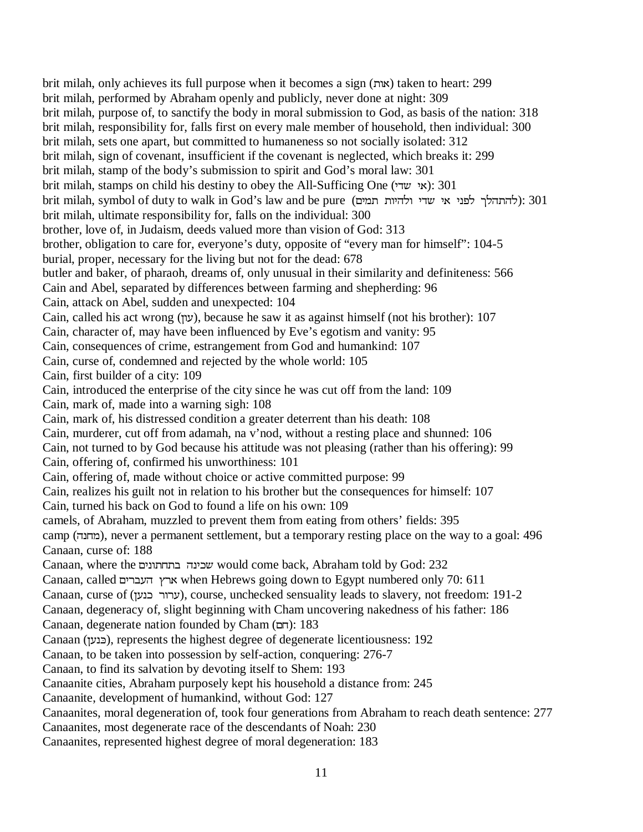brit milah, only achieves its full purpose when it becomes a sign (XW) taken to heart: 299 brit milah, performed by Abraham openly and publicly, never done at night: 309 brit milah, purpose of, to sanctify the body in moral submission to God, as basis of the nation: 318 brit milah, responsibility for, falls first on every male member of household, then individual: 300 brit milah, sets one apart, but committed to humaneness so not socially isolated: 312 brit milah, sign of covenant, insufficient if the covenant is neglected, which breaks it: 299 brit milah, stamp of the body's submission to spirit and God's moral law: 301 brit milah, stamps on child his destiny to obey the All-Sufficing One (א $y<sup>2</sup>$ ): 301 brit milah, symbol of duty to walk in God's law and be pure (להתהלך לפני אי שדי ולהיות תמים): 301 brit milah, ultimate responsibility for, falls on the individual: 300 brother, love of, in Judaism, deeds valued more than vision of God: 313 brother, obligation to care for, everyone's duty, opposite of "every man for himself": 104-5 burial, proper, necessary for the living but not for the dead: 678 butler and baker, of pharaoh, dreams of, only unusual in their similarity and definiteness: 566 Cain and Abel, separated by differences between farming and shepherding: 96 Cain, attack on Abel, sudden and unexpected: 104 Cain, called his act wrong (עוֹן), because he saw it as against himself (not his brother): 107 Cain, character of, may have been influenced by Eve's egotism and vanity: 95 Cain, consequences of crime, estrangement from God and humankind: 107 Cain, curse of, condemned and rejected by the whole world: 105 Cain, first builder of a city: 109 Cain, introduced the enterprise of the city since he was cut off from the land: 109 Cain, mark of, made into a warning sigh: 108 Cain, mark of, his distressed condition a greater deterrent than his death: 108 Cain, murderer, cut off from adamah, na v'nod, without a resting place and shunned: 106 Cain, not turned to by God because his attitude was not pleasing (rather than his offering): 99 Cain, offering of, confirmed his unworthiness: 101 Cain, offering of, made without choice or active committed purpose: 99 Cain, realizes his guilt not in relation to his brother but the consequences for himself: 107 Cain, turned his back on God to found a life on his own: 109 camels, of Abraham, muzzled to prevent them from eating from others' fields: 395 camp (מחנה), never a permanent settlement, but a temporary resting place on the way to a goal: 496 Canaan, curse of: 188 Canaan, where the שכינה בתחתונים would come back, Abraham told by God: 232 Canaan, called ארץ העברים when Hebrews going down to Egypt numbered only 70: 611 Canaan, curse of (ערור כנען), course, unchecked sensuality leads to slavery, not freedom: 191-2 Canaan, degeneracy of, slight beginning with Cham uncovering nakedness of his father: 186 Canaan, degenerate nation founded by Cham (רחב): 183 Canaan (LJE)), represents the highest degree of degenerate licentiousness: 192 Canaan, to be taken into possession by self-action, conquering: 276-7 Canaan, to find its salvation by devoting itself to Shem: 193 Canaanite cities, Abraham purposely kept his household a distance from: 245 Canaanite, development of humankind, without God: 127 Canaanites, moral degeneration of, took four generations from Abraham to reach death sentence: 277 Canaanites, most degenerate race of the descendants of Noah: 230 Canaanites, represented highest degree of moral degeneration: 183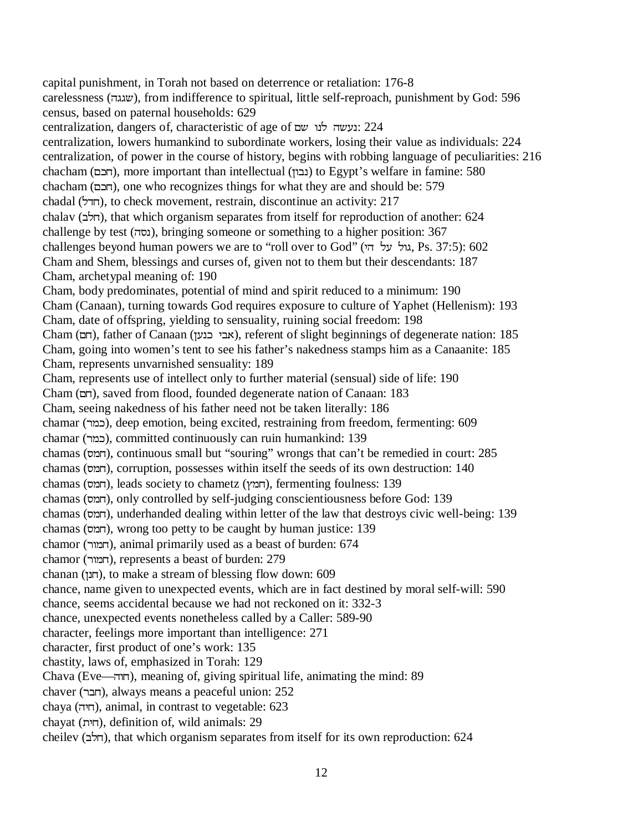capital punishment, in Torah not based on deterrence or retaliation: 176-8 carelessness (YGGD), from indifference to spiritual, little self-reproach, punishment by God: 596 census, based on paternal households: 629 centralization, dangers of, characteristic of age of עשה לנו שם: 224 centralization, lowers humankind to subordinate workers, losing their value as individuals: 224 centralization, of power in the course of history, begins with robbing language of peculiarities: 216 chacham (רוכם), more important than intellectual (נבון) to Egypt's welfare in famine: 580 chacham (RIM), one who recognizes things for what they are and should be: 579 chadal (NVM), to check movement, restrain, discontinue an activity: 217 chalav (הלב), that which organism separates from itself for reproduction of another: 624 challenge by test (Y[E), bringing someone or something to a higher position: 367 challenges beyond human powers we are to "roll over to God" (גול על הי, Ps. 37:5): 602 Cham and Shem, blessings and curses of, given not to them but their descendants: 187 Cham, archetypal meaning of: 190 Cham, body predominates, potential of mind and spirit reduced to a minimum: 190 Cham (Canaan), turning towards God requires exposure to culture of Yaphet (Hellenism): 193 Cham, date of offspring, yielding to sensuality, ruining social freedom: 198 Cham (תר), father of Canaan (אבי כנען), referent of slight beginnings of degenerate nation: 185 Cham, going into women's tent to see his father's nakedness stamps him as a Canaanite: 185 Cham, represents unvarnished sensuality: 189 Cham, represents use of intellect only to further material (sensual) side of life: 190 Cham (RM), saved from flood, founded degenerate nation of Canaan: 183 Cham, seeing nakedness of his father need not be taken literally: 186 chamar (UQI), deep emotion, being excited, restraining from freedom, fermenting: 609 chamar (UQI), committed continuously can ruin humankind: 139 chamas ([QM), continuous small but "souring" wrongs that can't be remedied in court: 285 chamas ([QM), corruption, possesses within itself the seeds of its own destruction: 140 chamas (חמס), leads society to chametz (חמץ), fermenting foulness: 139 chamas ([QM), only controlled by self-judging conscientiousness before God: 139 chamas (חמס), underhanded dealing within letter of the law that destroys civic well-being: 139 chamas ([QM), wrong too petty to be caught by human justice: 139 chamor (חמור), animal primarily used as a beast of burden: 674 chamor (רומור), represents a beast of burden: 279 chanan (LEM), to make a stream of blessing flow down: 609 chance, name given to unexpected events, which are in fact destined by moral self-will: 590 chance, seems accidental because we had not reckoned on it: 332-3 chance, unexpected events nonetheless called by a Caller: 589-90 character, feelings more important than intelligence: 271 character, first product of one's work: 135 chastity, laws of, emphasized in Torah: 129 Chava (Eve—YXM), meaning of, giving spiritual life, animating the mind: 89 chaver (חבר), always means a peaceful union: 252 chaya (YKM), animal, in contrast to vegetable: 623 chayat (KM), definition of, wild animals: 29 cheilev (חלב), that which organism separates from itself for its own reproduction: 624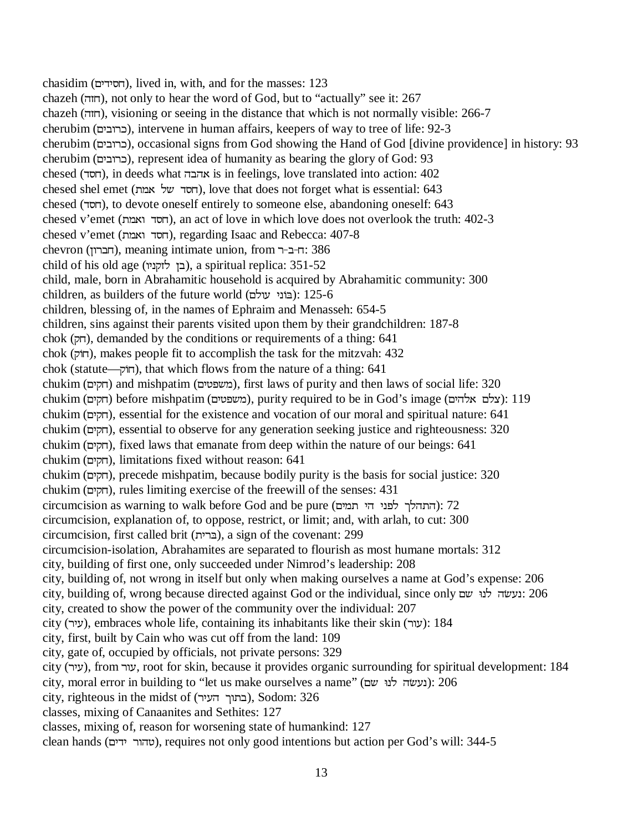chasidim (הסידים), lived in, with, and for the masses: 123 chazeh (Y]M), not only to hear the word of God, but to "actually" see it: 267 chazeh (Y]M), visioning or seeing in the distance that which is not normally visible: 266-7 cherubim (כרובים), intervene in human affairs, keepers of way to tree of life: 92-3 cherubim (RKFXUI), occasional signs from God showing the Hand of God [divine providence] in history: 93 cherubim (כרובים), represent idea of humanity as bearing the glory of God: 93 chesed (חסד), in deeds what אהבה is in feelings, love translated into action:  $402$ chesed shel emet (חסד של אמת), love that does not forget what is essential: 643 chesed (V[M), to devote oneself entirely to someone else, abandoning oneself: 643 chesed v'emet (QWXV[M), an act of love in which love does not overlook the truth: 402-3 chesed v'emet (QWXV[M), regarding Isaac and Rebecca: 407-8 chevron (הברון), meaning intimate union, from רב-ר: 386 child of his old age (בן לזקניו), a spiritual replica: 351-52 child, male, born in Abrahamitic household is acquired by Abrahamitic community: 300 children, as builders of the future world (בוֹנֵי עולם): 125-6 children, blessing of, in the names of Ephraim and Menasseh: 654-5 children, sins against their parents visited upon them by their grandchildren: 187-8 chok (חק), demanded by the conditions or requirements of a thing: 641 chok (חוֹק), makes people fit to accomplish the task for the mitzvah: 432 chok (statute— $\pi$ , that which flows from the nature of a thing: 641 chukim (משפטים) and mishpatim (משפטים), first laws of purity and then laws of social life: 320 chukim (תקים) before mishpatim (משפטים), purity required to be in God's image (ראלם אלהים): 119 chukim (חקים), essential for the existence and vocation of our moral and spiritual nature: 641 chukim (חקים), essential to observe for any generation seeking justice and righteousness: 320 chukim (חקים), fixed laws that emanate from deep within the nature of our beings: 641 chukim (חקים), limitations fixed without reason: 641 chukim (חקים), precede mishpatim, because bodily purity is the basis for social justice: 320 chukim (הקים), rules limiting exercise of the freewill of the senses: 431  $c$ ircumcision as warning to walk before God and be pure (התהלך לפני הי תמים): 72 circumcision, explanation of, to oppose, restrict, or limit; and, with arlah, to cut: 300 circumcision, first called brit (KU&), a sign of the covenant: 299 circumcision-isolation, Abrahamites are separated to flourish as most humane mortals: 312 city, building of first one, only succeeded under Nimrod's leadership: 208 city, building of, not wrong in itself but only when making ourselves a name at God's expense: 206 city, building of, wrong because directed against God or the individual, since only בעשה לנו שם: 206 city, created to show the power of the community over the individual: 207 city (עיר), embraces whole life, containing its inhabitants like their skin (עור):  $184$ city, first, built by Cain who was cut off from the land: 109 city, gate of, occupied by officials, not private persons: 329 city (עיר), from עור, root for skin, because it provides organic surrounding for spiritual development: 184 city, moral error in building to "let us make ourselves a name" (נעשׂה לנוּ שם): 206 city, righteous in the midst of  $(TTT)$ , Sodom: 326 classes, mixing of Canaanites and Sethites: 127 classes, mixing of, reason for worsening state of humankind: 127 clean hands (טהור ידים), requires not only good intentions but action per God's will: 344-5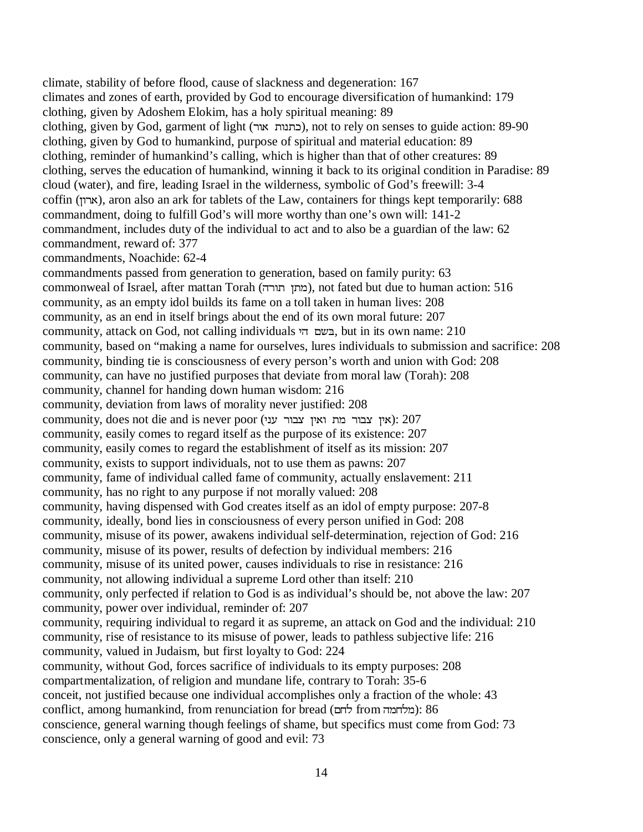climate, stability of before flood, cause of slackness and degeneration: 167 climates and zones of earth, provided by God to encourage diversification of humankind: 179 clothing, given by Adoshem Elokim, has a holy spiritual meaning: 89 clothing, given by God, garment of light (UXWXEI), not to rely on senses to guide action: 89-90 clothing, given by God to humankind, purpose of spiritual and material education: 89 clothing, reminder of humankind's calling, which is higher than that of other creatures: 89 clothing, serves the education of humankind, winning it back to its original condition in Paradise: 89 cloud (water), and fire, leading Israel in the wilderness, symbolic of God's freewill: 3-4 coffin (LXUW), aron also an ark for tablets of the Law, containers for things kept temporarily: 688 commandment, doing to fulfill God's will more worthy than one's own will: 141-2 commandment, includes duty of the individual to act and to also be a guardian of the law: 62 commandment, reward of: 377 commandments, Noachide: 62-4 commandments passed from generation to generation, based on family purity: 63 commonweal of Israel, after mattan Torah (מתן תורה), not fated but due to human action: 516 community, as an empty idol builds its fame on a toll taken in human lives: 208 community, as an end in itself brings about the end of its own moral future: 207 community, attack on God, not calling individuals בשם הי, but in its own name: 210 community, based on "making a name for ourselves, lures individuals to submission and sacrifice: 208 community, binding tie is consciousness of every person's worth and union with God: 208 community, can have no justified purposes that deviate from moral law (Torah): 208 community, channel for handing down human wisdom: 216 community, deviation from laws of morality never justified: 208 community, does not die and is never poor (אין צבור מת ואין צבור (או community, easily comes to regard itself as the purpose of its existence: 207 community, easily comes to regard the establishment of itself as its mission: 207 community, exists to support individuals, not to use them as pawns: 207 community, fame of individual called fame of community, actually enslavement: 211 community, has no right to any purpose if not morally valued: 208 community, having dispensed with God creates itself as an idol of empty purpose: 207-8 community, ideally, bond lies in consciousness of every person unified in God: 208 community, misuse of its power, awakens individual self-determination, rejection of God: 216 community, misuse of its power, results of defection by individual members: 216 community, misuse of its united power, causes individuals to rise in resistance: 216 community, not allowing individual a supreme Lord other than itself: 210 community, only perfected if relation to God is as individual's should be, not above the law: 207 community, power over individual, reminder of: 207 community, requiring individual to regard it as supreme, an attack on God and the individual: 210 community, rise of resistance to its misuse of power, leads to pathless subjective life: 216 community, valued in Judaism, but first loyalty to God: 224 community, without God, forces sacrifice of individuals to its empty purposes: 208 compartmentalization, of religion and mundane life, contrary to Torah: 35-6 conceit, not justified because one individual accomplishes only a fraction of the whole: 43 conflict, among humankind, from renunciation for bread (מלחמה from לחם): 86 conscience, general warning though feelings of shame, but specifics must come from God: 73 conscience, only a general warning of good and evil: 73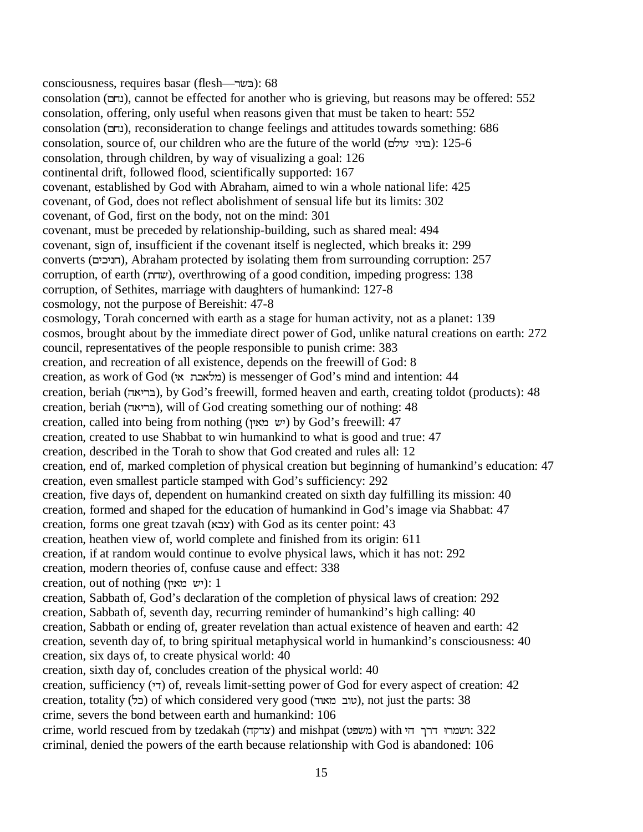consciousness, requires basar (flesh—U\*&): 68 consolation (RME), cannot be effected for another who is grieving, but reasons may be offered: 552 consolation, offering, only useful when reasons given that must be taken to heart: 552 consolation (RME), reconsideration to change feelings and attitudes towards something: 686 consolation, source of, our children who are the future of the world (בוני עולם): 125-6 consolation, through children, by way of visualizing a goal: 126 continental drift, followed flood, scientifically supported: 167 covenant, established by God with Abraham, aimed to win a whole national life: 425 covenant, of God, does not reflect abolishment of sensual life but its limits: 302 covenant, of God, first on the body, not on the mind: 301 covenant, must be preceded by relationship-building, such as shared meal: 494 covenant, sign of, insufficient if the covenant itself is neglected, which breaks it: 299 converts (חניכים), Abraham protected by isolating them from surrounding corruption: 257 corruption, of earth (MD), overthrowing of a good condition, impeding progress: 138 corruption, of Sethites, marriage with daughters of humankind: 127-8 cosmology, not the purpose of Bereishit: 47-8 cosmology, Torah concerned with earth as a stage for human activity, not as a planet: 139 cosmos, brought about by the immediate direct power of God, unlike natural creations on earth: 272 council, representatives of the people responsible to punish crime: 383 creation, and recreation of all existence, depends on the freewill of God: 8 creation, as work of God (מלאבת אי) is messenger of God's mind and intention: 44 creation, beriah (בריאה), by God's freewill, formed heaven and earth, creating toldot (products): 48 creation, beriah (בריאה), will of God creating something our of nothing: 48 creation, called into being from nothing (יש מאין) by God's freewill: 47 creation, created to use Shabbat to win humankind to what is good and true: 47 creation, described in the Torah to show that God created and rules all: 12 creation, end of, marked completion of physical creation but beginning of humankind's education: 47 creation, even smallest particle stamped with God's sufficiency: 292 creation, five days of, dependent on humankind created on sixth day fulfilling its mission: 40 creation, formed and shaped for the education of humankind in God's image via Shabbat: 47 creation, forms one great tzavah (WFP) with God as its center point: 43 creation, heathen view of, world complete and finished from its origin: 611 creation, if at random would continue to evolve physical laws, which it has not: 292 creation, modern theories of, confuse cause and effect: 338  $c$ reation, out of nothing (יש מאין): 1 creation, Sabbath of, God's declaration of the completion of physical laws of creation: 292 creation, Sabbath of, seventh day, recurring reminder of humankind's high calling: 40 creation, Sabbath or ending of, greater revelation than actual existence of heaven and earth: 42 creation, seventh day of, to bring spiritual metaphysical world in humankind's consciousness: 40 creation, six days of, to create physical world: 40 creation, sixth day of, concludes creation of the physical world: 40 creation, sufficiency (KV) of, reveals limit-setting power of God for every aspect of creation: 42 creation, totality (כל) of which considered very good (שוב מאוד), not just the parts: 38 crime, severs the bond between earth and humankind: 106 crime, world rescued from by tzedakah (צדקה) and mishpat (משפט) with אידך הי $322$ criminal, denied the powers of the earth because relationship with God is abandoned: 106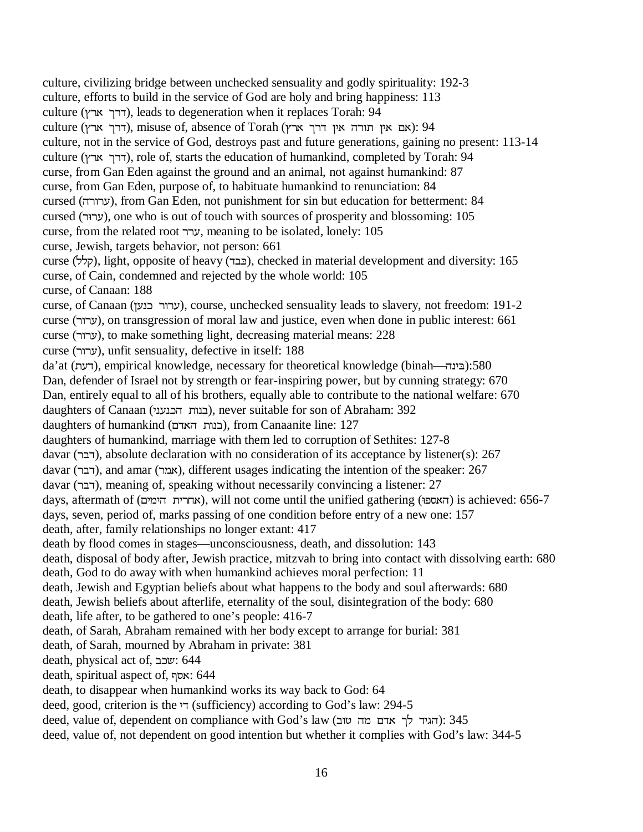culture, civilizing bridge between unchecked sensuality and godly spirituality: 192-3 culture, efforts to build in the service of God are holy and bring happiness: 113 culture (דרך ארץ), leads to degeneration when it replaces Torah: 94 culture (דרך ארץ), misuse of, absence of Torah (דרך אין תורה אין דרך ארץ): 94 culture, not in the service of God, destroys past and future generations, gaining no present: 113-14 culture (דרך ארץ), role of, starts the education of humankind, completed by Torah: 94 curse, from Gan Eden against the ground and an animal, not against humankind: 87 curse, from Gan Eden, purpose of, to habituate humankind to renunciation: 84 cursed (ערורה), from Gan Eden, not punishment for sin but education for betterment: 84 cursed (U8UJ), one who is out of touch with sources of prosperity and blossoming: 105 curse, from the related root UUJ, meaning to be isolated, lonely: 105 curse, Jewish, targets behavior, not person: 661 curse (קלל), light, opposite of heavy (כבד), checked in material development and diversity: 165 curse, of Cain, condemned and rejected by the whole world: 105 curse, of Canaan: 188 curse, of Canaan (LJEIUXUJ), course, unchecked sensuality leads to slavery, not freedom: 191-2 curse (UXUJ), on transgression of moral law and justice, even when done in public interest: 661 curse (UXUJ), to make something light, decreasing material means: 228 curse (ערור), unfit sensuality, defective in itself: 188 da'at (דעת), empirical knowledge, necessary for theoretical knowledge (binah—דעה):580 Dan, defender of Israel not by strength or fear-inspiring power, but by cunning strategy: 670 Dan, entirely equal to all of his brothers, equally able to contribute to the national welfare: 670 daughters of Canaan (בנות הכנעני), never suitable for son of Abraham: 392 daughters of humankind (בנות האדם), from Canaanite line: 127 daughters of humankind, marriage with them led to corruption of Sethites: 127-8 davar (דבר), absolute declaration with no consideration of its acceptance by listener(s): 267 davar (דבר), and amar (אמר), different usages indicating the intention of the speaker: 267 davar (UFV), meaning of, speaking without necessarily convincing a listener: 27 days, aftermath of (האספו), will not come until the unified gathering (האספו) is achieved: 656-7 days, seven, period of, marks passing of one condition before entry of a new one: 157 death, after, family relationships no longer extant: 417 death by flood comes in stages—unconsciousness, death, and dissolution: 143 death, disposal of body after, Jewish practice, mitzvah to bring into contact with dissolving earth: 680 death, God to do away with when humankind achieves moral perfection: 11 death, Jewish and Egyptian beliefs about what happens to the body and soul afterwards: 680 death, Jewish beliefs about afterlife, eternality of the soul, disintegration of the body: 680 death, life after, to be gathered to one's people: 416-7 death, of Sarah, Abraham remained with her body except to arrange for burial: 381 death, of Sarah, mourned by Abraham in private: 381 death, physical act of, שכב: 644 death, spiritual aspect of, אסף: 644 death, to disappear when humankind works its way back to God: 64 deed, good, criterion is the  $\tau$  (sufficiency) according to God's law: 294-5  $\alpha$ deed, value of, dependent on compliance with God's law (הגיד לך האדם מה טוב): 345 deed, value of, not dependent on good intention but whether it complies with God's law: 344-5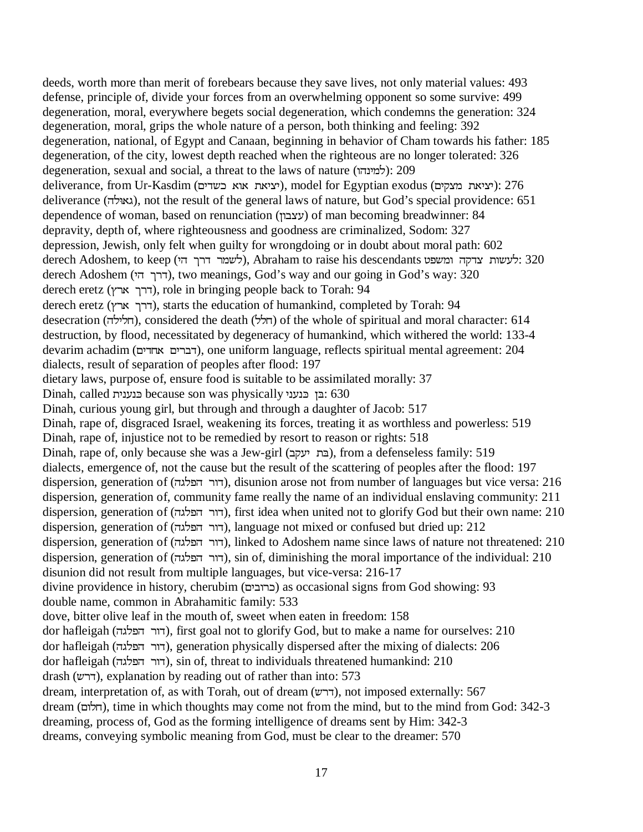deeds, worth more than merit of forebears because they save lives, not only material values: 493 defense, principle of, divide your forces from an overwhelming opponent so some survive: 499 degeneration, moral, everywhere begets social degeneration, which condemns the generation: 324 degeneration, moral, grips the whole nature of a person, both thinking and feeling: 392 degeneration, national, of Egypt and Canaan, beginning in behavior of Cham towards his father: 185 degeneration, of the city, lowest depth reached when the righteous are no longer tolerated: 326 degeneration, sexual and social, a threat to the laws of nature (למינהו): 209 deliverance, from Ur-Kasdim (יציאת אוא כשדים), model for Egyptian exodus (יציאת מצקים): 276 deliverance (גאולה), not the result of the general laws of nature, but God's special providence: 651 dependence of woman, based on renunciation (עצבון) of man becoming breadwinner: 84 depravity, depth of, where righteousness and goodness are criminalized, Sodom: 327 depression, Jewish, only felt when guilty for wrongdoing or in doubt about moral path: 602 derech Adoshem, to keep (לשמר דרך הי), Abraham to raise his descendants לעשות צדקה ומשפט derech Adoshem (דרך הי), two meanings, God's way and our going in God's way: 320 derech eretz (דרך ארץ), role in bringing people back to Torah: 94 derech eretz (דרך ארץ), starts the education of humankind, completed by Torah: 94 desecration (חלילה), considered the death (חלל) of the whole of spiritual and moral character: 614 destruction, by flood, necessitated by degeneracy of humankind, which withered the world: 133-4 devarim achadim (דברים אחדים), one uniform language, reflects spiritual mental agreement: 204 dialects, result of separation of peoples after flood: 197 dietary laws, purpose of, ensure food is suitable to be assimilated morally: 37 Dinah, called בנענית because son was physically בו הווא 630 Dinah, curious young girl, but through and through a daughter of Jacob: 517 Dinah, rape of, disgraced Israel, weakening its forces, treating it as worthless and powerless: 519 Dinah, rape of, injustice not to be remedied by resort to reason or rights: 518 Dinah, rape of, only because she was a Jew-girl (בת יעקב), from a defenseless family: 519 dialects, emergence of, not the cause but the result of the scattering of peoples after the flood: 197 dispersion, generation of (דור הפלגה), disunion arose not from number of languages but vice versa: 216 dispersion, generation of, community fame really the name of an individual enslaving community: 211 dispersion, generation of (דור הפלגה), first idea when united not to glorify God but their own name: 210 dispersion, generation of (דור הפלגה), language not mixed or confused but dried up: 212 dispersion, generation of (דור הפלגה), linked to Adoshem name since laws of nature not threatened: 210 dispersion, generation of (YGNSYUXV), sin of, diminishing the moral importance of the individual: 210 disunion did not result from multiple languages, but vice-versa: 216-17 divine providence in history, cherubim (RKFXUI) as occasional signs from God showing: 93 double name, common in Abrahamitic family: 533 dove, bitter olive leaf in the mouth of, sweet when eaten in freedom: 158 dor hafleigah (דור הפלגה), first goal not to glorify God, but to make a name for ourselves: 210 dor hafleigah (דור הפלגה), generation physically dispersed after the mixing of dialects: 206 dor hafleigah (דור הפלגה), sin of, threat to individuals threatened humankind: 210 drash (DUV), explanation by reading out of rather than into: 573 dream, interpretation of, as with Torah, out of dream (דרש), not imposed externally: 567 dream (הלום), time in which thoughts may come not from the mind, but to the mind from God: 342-3 dreaming, process of, God as the forming intelligence of dreams sent by Him: 342-3 dreams, conveying symbolic meaning from God, must be clear to the dreamer: 570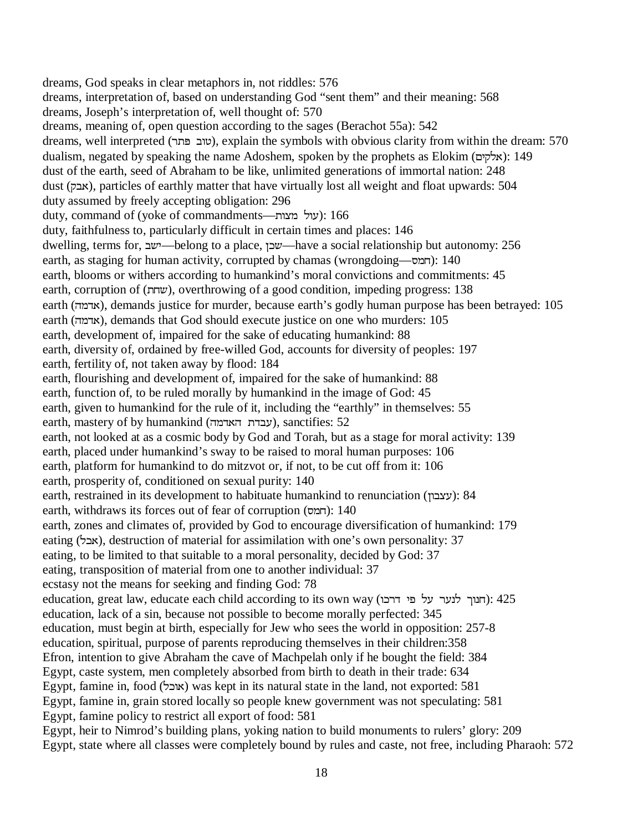dreams, God speaks in clear metaphors in, not riddles: 576 dreams, interpretation of, based on understanding God "sent them" and their meaning: 568 dreams, Joseph's interpretation of, well thought of: 570 dreams, meaning of, open question according to the sages (Berachot 55a): 542 dreams, well interpreted (טוב פתר), explain the symbols with obvious clarity from within the dream: 570 dualism, negated by speaking the name Adoshem, spoken by the prophets as Elokim (אלקים): 149 dust of the earth, seed of Abraham to be like, unlimited generations of immortal nation: 248 dust (HFW), particles of earthly matter that have virtually lost all weight and float upwards: 504 duty assumed by freely accepting obligation: 296 duty, command of (yoke of commandments—על מצות): 166 duty, faithfulness to, particularly difficult in certain times and places: 146 dwelling, terms for, <u>לוב—belong</u> to a place, שכן—have a social relationship but autonomy: 256 earth, as staging for human activity, corrupted by chamas (wrongdoing— $(i)$ : 140 earth, blooms or withers according to humankind's moral convictions and commitments: 45 earth, corruption of (MD), overthrowing of a good condition, impeding progress: 138 earth (אדמה), demands justice for murder, because earth's godly human purpose has been betrayed: 105 earth (אדמה), demands that God should execute justice on one who murders: 105 earth, development of, impaired for the sake of educating humankind: 88 earth, diversity of, ordained by free-willed God, accounts for diversity of peoples: 197 earth, fertility of, not taken away by flood: 184 earth, flourishing and development of, impaired for the sake of humankind: 88 earth, function of, to be ruled morally by humankind in the image of God: 45 earth, given to humankind for the rule of it, including the "earthly" in themselves: 55 earth, mastery of by humankind (עבדת האדמה), sanctifies:  $52$ earth, not looked at as a cosmic body by God and Torah, but as a stage for moral activity: 139 earth, placed under humankind's sway to be raised to moral human purposes: 106 earth, platform for humankind to do mitzvot or, if not, to be cut off from it: 106 earth, prosperity of, conditioned on sexual purity: 140 earth, restrained in its development to habituate humankind to renunciation (עצבון): 84 earth, withdraws its forces out of fear of corruption (חמס): 140 earth, zones and climates of, provided by God to encourage diversification of humankind: 179 eating (אבל), destruction of material for assimilation with one's own personality: 37 eating, to be limited to that suitable to a moral personality, decided by God: 37 eating, transposition of material from one to another individual: 37 ecstasy not the means for seeking and finding God: 78 education, great law, educate each child according to its own way (דער על פי דרכו education, lack of a sin, because not possible to become morally perfected: 345 education, must begin at birth, especially for Jew who sees the world in opposition: 257-8 education, spiritual, purpose of parents reproducing themselves in their children:358 Efron, intention to give Abraham the cave of Machpelah only if he bought the field: 384 Egypt, caste system, men completely absorbed from birth to death in their trade: 634 Egypt, famine in, food (אובל) was kept in its natural state in the land, not exported: 581 Egypt, famine in, grain stored locally so people knew government was not speculating: 581 Egypt, famine policy to restrict all export of food: 581 Egypt, heir to Nimrod's building plans, yoking nation to build monuments to rulers' glory: 209 Egypt, state where all classes were completely bound by rules and caste, not free, including Pharaoh: 572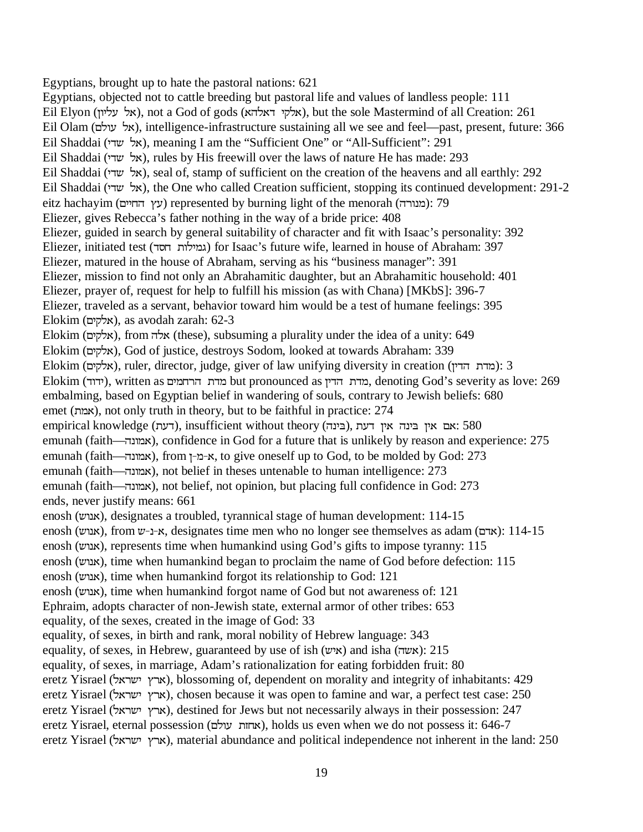Egyptians, brought up to hate the pastoral nations: 621 Egyptians, objected not to cattle breeding but pastoral life and values of landless people: 111 Eil Elyon (אל עליון), not a God of gods (אלקי דאלהא), but the sole Mastermind of all Creation: 261 Eil Olam (אל עולם), intelligence-infrastructure sustaining all we see and feel—past, present, future: 366 Eil Shaddai (אל שדי), meaning I am the "Sufficient One" or "All-Sufficient": 291 Eil Shaddai (אל שדי), rules by His freewill over the laws of nature He has made: 293 Eil Shaddai (אל שדי), seal of, stamp of sufficient on the creation of the heavens and all earthly: 292 Eil Shaddai (אל שדי), the One who called Creation sufficient, stopping its continued development: 291-2 eitz hachayim (עץ החיים) represented by burning light of the menorah (מעורה): 79 Eliezer, gives Rebecca's father nothing in the way of a bride price: 408 Eliezer, guided in search by general suitability of character and fit with Isaac's personality: 392 Eliezer, initiated test (V[MXNKQG) for Isaac's future wife, learned in house of Abraham: 397 Eliezer, matured in the house of Abraham, serving as his "business manager": 391 Eliezer, mission to find not only an Abrahamitic daughter, but an Abrahamitic household: 401 Eliezer, prayer of, request for help to fulfill his mission (as with Chana) [MKbS]: 396-7 Eliezer, traveled as a servant, behavior toward him would be a test of humane feelings: 395  $E$ lokim (אלקים), as avodah zarah: 62-3 Elokim (אלקים), from אלה (these), subsuming a plurality under the idea of a unity: 649 Elokim (RKHNW), God of justice, destroys Sodom, looked at towards Abraham: 339  $E$ lokim (אלקים), ruler, director, judge, giver of law unifying diversity in creation (אלקים): 3  $E$ Elokim (ידוד), written as מדת הרחמים but pronounced as מדת הדין, denoting God's severity as love: 269 embalming, based on Egyptian belief in wandering of souls, contrary to Jewish beliefs: 680 emet (QW), not only truth in theory, but to be faithful in practice: 274 empirical knowledge (דעת), insufficient without theory (דעת), אם אין בינה אין דעת emunah (faith—אמונה), confidence in God for a future that is unlikely by reason and experience: 275 emunah (faith—אמונה), from ו-ב-א, to give oneself up to God, to be molded by God: 273 emunah (faith—אמונה), not belief in theses untenable to human intelligence: 273 emunah (faith—אמונה), not belief, not opinion, but placing full confidence in God: 273 ends, never justify means: 661 enosh (אנוש), designates a troubled, tyrannical stage of human development: 114-15 enosh (אנוש), from ע--ד-א, designates time men who no longer see themselves as adam (אדם): 114-15 enosh (אנוש), represents time when humankind using God's gifts to impose tyranny: 115 enosh (אנרש), time when humankind began to proclaim the name of God before defection: 115 enosh (אנוש), time when humankind forgot its relationship to God: 121 enosh (אנוש), time when humankind forgot name of God but not awareness of: 121 Ephraim, adopts character of non-Jewish state, external armor of other tribes: 653 equality, of the sexes, created in the image of God: 33 equality, of sexes, in birth and rank, moral nobility of Hebrew language: 343 equality, of sexes, in Hebrew, guaranteed by use of ish  $(ww)$  and isha  $(xw)$ : 215 equality, of sexes, in marriage, Adam's rationalization for eating forbidden fruit: 80 eretz Yisrael (ארץ ישראל), blossoming of, dependent on morality and integrity of inhabitants: 429 eretz Yisrael (ארץ ישראל), chosen because it was open to famine and war, a perfect test case: 250 eretz Yisrael (ארץ ישראל), destined for Jews but not necessarily always in their possession: 247 eretz Yisrael, eternal possession (אחות עולם), holds us even when we do not possess it: 646-7 eretz Yisrael (ארץ ישראל), material abundance and political independence not inherent in the land: 250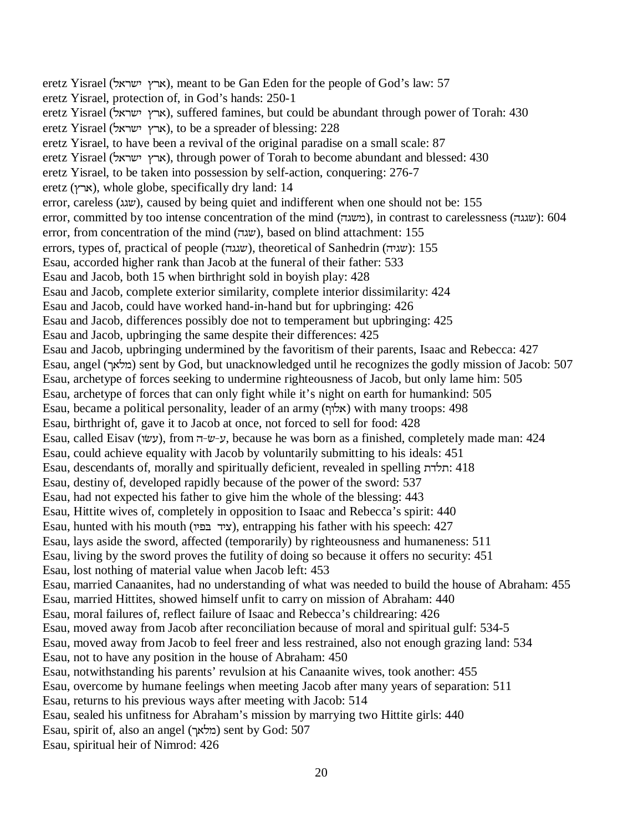eretz Yisrael (ארץ ישראל), meant to be Gan Eden for the people of God's law: 57 eretz Yisrael, protection of, in God's hands: 250-1 eretz Yisrael (ארץ ישראל), suffered famines, but could be abundant through power of Torah: 430 eretz Yisrael (ארץ ישראל), to be a spreader of blessing: 228 eretz Yisrael, to have been a revival of the original paradise on a small scale: 87 eretz Yisrael (ארץ ישראל), through power of Torah to become abundant and blessed: 430 eretz Yisrael, to be taken into possession by self-action, conquering: 276-7 eretz (ארץ), whole globe, specifically dry land: 14 error, careless (ש $w$ ), caused by being quiet and indifferent when one should not be: 155 error, committed by too intense concentration of the mind (מעגה), in contrast to carelessness ( $\omega$ ): 604 error, from concentration of the mind (שגה), based on blind attachment: 155 errors, types of, practical of people (שגגה), theoretical of Sanhedrin ( $\omega$ ): 155 Esau, accorded higher rank than Jacob at the funeral of their father: 533 Esau and Jacob, both 15 when birthright sold in boyish play: 428 Esau and Jacob, complete exterior similarity, complete interior dissimilarity: 424 Esau and Jacob, could have worked hand-in-hand but for upbringing: 426 Esau and Jacob, differences possibly doe not to temperament but upbringing: 425 Esau and Jacob, upbringing the same despite their differences: 425 Esau and Jacob, upbringing undermined by the favoritism of their parents, Isaac and Rebecca: 427 Esau, angel (מלאך) sent by God, but unacknowledged until he recognizes the godly mission of Jacob: 507 Esau, archetype of forces seeking to undermine righteousness of Jacob, but only lame him: 505 Esau, archetype of forces that can only fight while it's night on earth for humankind: 505 Esau, became a political personality, leader of an army (אלוף) with many troops: 498 Esau, birthright of, gave it to Jacob at once, not forced to sell for food: 428 Esau, called Eisav (עשׂו), from ע־ש-J, because he was born as a finished, completely made man: 424 Esau, could achieve equality with Jacob by voluntarily submitting to his ideals: 451 Esau, descendants of, morally and spiritually deficient, revealed in spelling  $\cdot$ תלדת: 418 Esau, destiny of, developed rapidly because of the power of the sword: 537 Esau, had not expected his father to give him the whole of the blessing: 443 Esau, Hittite wives of, completely in opposition to Isaac and Rebecca's spirit: 440 Esau, hunted with his mouth (XKS&VKP), entrapping his father with his speech: 427 Esau, lays aside the sword, affected (temporarily) by righteousness and humaneness: 511 Esau, living by the sword proves the futility of doing so because it offers no security: 451 Esau, lost nothing of material value when Jacob left: 453 Esau, married Canaanites, had no understanding of what was needed to build the house of Abraham: 455 Esau, married Hittites, showed himself unfit to carry on mission of Abraham: 440 Esau, moral failures of, reflect failure of Isaac and Rebecca's childrearing: 426 Esau, moved away from Jacob after reconciliation because of moral and spiritual gulf: 534-5 Esau, moved away from Jacob to feel freer and less restrained, also not enough grazing land: 534 Esau, not to have any position in the house of Abraham: 450 Esau, notwithstanding his parents' revulsion at his Canaanite wives, took another: 455 Esau, overcome by humane feelings when meeting Jacob after many years of separation: 511 Esau, returns to his previous ways after meeting with Jacob: 514 Esau, sealed his unfitness for Abraham's mission by marrying two Hittite girls: 440 Esau, spirit of, also an angel (מלאך) sent by God: 507 Esau, spiritual heir of Nimrod: 426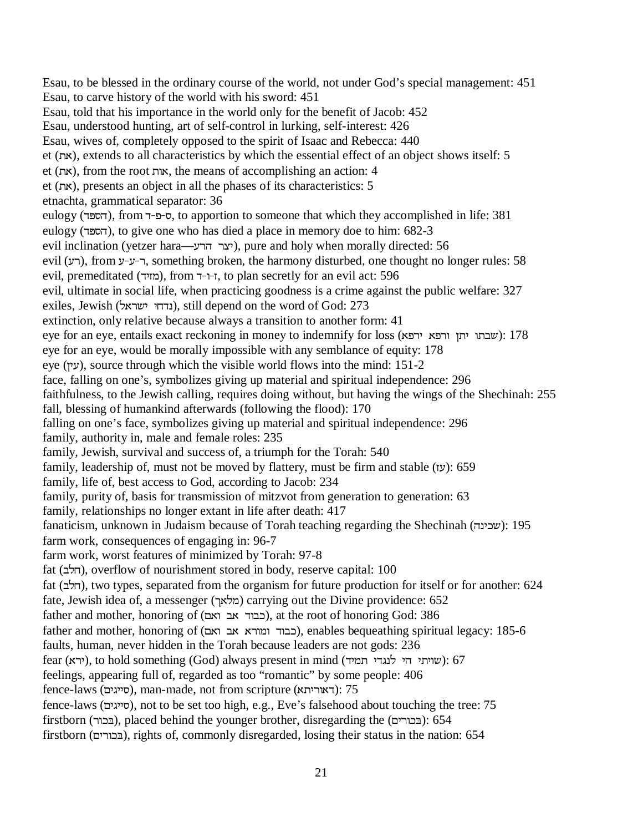Esau, to be blessed in the ordinary course of the world, not under God's special management: 451 Esau, to carve history of the world with his sword: 451 Esau, told that his importance in the world only for the benefit of Jacob: 452 Esau, understood hunting, art of self-control in lurking, self-interest: 426 Esau, wives of, completely opposed to the spirit of Isaac and Rebecca: 440 et (את), extends to all characteristics by which the essential effect of an object shows itself: 5 et (את), from the root אות, the means of accomplishing an action: 4 et (את), presents an object in all the phases of its characteristics: 5 etnachta, grammatical separator: 36 eulogy (הספר), from ס-פ-ד, to apportion to someone that which they accomplished in life: 381 eulogy (הספר), to give one who has died a place in memory doe to him: 682-3 evil inclination (yetzer hara—יצר הרע
( $y$ re and holy when morally directed: 56 evil (רע), from ר- $y$ - $y$ - $y$ , something broken, the harmony disturbed, one thought no longer rules: 58 evil, premeditated (מוזיד), from א--ד, to plan secretly for an evil act: 596 evil, ultimate in social life, when practicing goodness is a crime against the public welfare: 327 exiles, Jewish (נדחי ישראל), still depend on the word of God: 273 extinction, only relative because always a transition to another form: 41 eye for an eye, entails exact reckoning in money to indemnify for loss (שבתו יתן ורפא ירפא): 178 eye for an eye, would be morally impossible with any semblance of equity: 178 eye (ע $y$ ), source through which the visible world flows into the mind: 151-2 face, falling on one's, symbolizes giving up material and spiritual independence: 296 faithfulness, to the Jewish calling, requires doing without, but having the wings of the Shechinah: 255 fall, blessing of humankind afterwards (following the flood): 170 falling on one's face, symbolizes giving up material and spiritual independence: 296 family, authority in, male and female roles: 235 family, Jewish, survival and success of, a triumph for the Torah: 540 family, leadership of, must not be moved by flattery, must be firm and stable (עוֹ): 659 family, life of, best access to God, according to Jacob: 234 family, purity of, basis for transmission of mitzvot from generation to generation: 63 family, relationships no longer extant in life after death: 417 fanaticism, unknown in Judaism because of Torah teaching regarding the Shechinah (שכינה): 195 farm work, consequences of engaging in: 96-7 farm work, worst features of minimized by Torah: 97-8 fat (חלב), overflow of nourishment stored in body, reserve capital: 100 fat (חלב), two types, separated from the organism for future production for itself or for another: 624 fate, Jewish idea of, a messenger (מלאך) carrying out the Divine providence: 652 father and mother, honoring of (כבוד אב ואם), at the root of honoring God: 386 father and mother, honoring of (כבוד ומורא אב ואם), enables bequeathing spiritual legacy: 185-6 faults, human, never hidden in the Torah because leaders are not gods: 236 fear (עירא), to hold something (God) always present in mind (ירא): 67 feelings, appearing full of, regarded as too "romantic" by some people: 406 fence-laws (סייגים), man-made, not from scripture (דאוריתא): 75 fence-laws (RKGKK[), not to be set too high, e.g., Eve's falsehood about touching the tree: 75 firstborn (בכור), placed behind the younger brother, disregarding the (בכורים): 654 firstborn (בכורים), rights of, commonly disregarded, losing their status in the nation: 654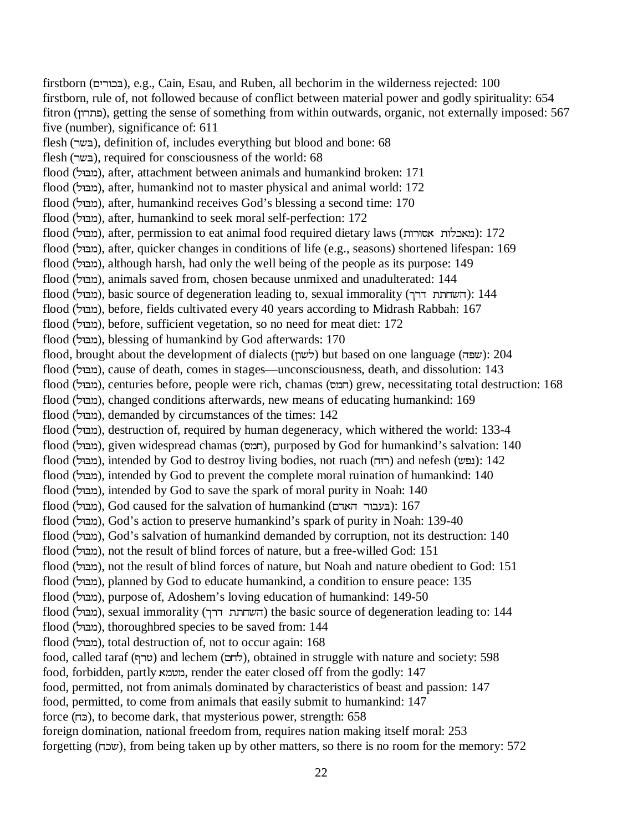firstborn (בכורים), e.g., Cain, Esau, and Ruben, all bechorim in the wilderness rejected: 100 firstborn, rule of, not followed because of conflict between material power and godly spirituality: 654 fitron (פתרון), getting the sense of something from within outwards, organic, not externally imposed: 567 five (number), significance of: 611 flesh (בשר), definition of, includes everything but blood and bone: 68 flesh (בשר), required for consciousness of the world: 68 flood (מבול), after, attachment between animals and humankind broken: 171 flood (מבול), after, humankind not to master physical and animal world: 172 flood (מבול), after, humankind receives God's blessing a second time: 170 flood (מבול), after, humankind to seek moral self-perfection: 172 flood (מבול), after, permission to eat animal food required dietary laws (מבול): 172 flood (מבול), after, quicker changes in conditions of life (e.g., seasons) shortened lifespan: 169 flood (מבול), although harsh, had only the well being of the people as its purpose: 149 flood (מבול), animals saved from, chosen because unmixed and unadulterated: 144 flood (מבול), basic source of degeneration leading to, sexual immorality (השחתת דרך): 144 flood (מבול), before, fields cultivated every 40 years according to Midrash Rabbah: 167 flood (מבול), before, sufficient vegetation, so no need for meat diet: 172 flood (מבּוּל), blessing of humankind by God afterwards: 170 flood, brought about the development of dialects (לשנה) but based on one language (שפה): 204 flood (מבול), cause of death, comes in stages—unconsciousness, death, and dissolution: 143 flood (מבול), centuries before, people were rich, chamas (חמס) grew, necessitating total destruction: 168 flood (מבול), changed conditions afterwards, new means of educating humankind: 169 flood (מבול), demanded by circumstances of the times: 142 flood (מבול), destruction of, required by human degeneracy, which withered the world: 133-4 flood (מבול), given widespread chamas (חמס), purposed by God for humankind's salvation: 140 flood (מבול), intended by God to destroy living bodies, not ruach (רוּח) and nefesh (נפש): 142 flood (מבול), intended by God to prevent the complete moral ruination of humankind: 140 flood (מבול), intended by God to save the spark of moral purity in Noah: 140  $f$ er (מבול), God caused for the salvation of humankind (בעבור האדם):  $167$ flood (מבול), God's action to preserve humankind's spark of purity in Noah: 139-40 flood (מבול), God's salvation of humankind demanded by corruption, not its destruction: 140 flood (מבול), not the result of blind forces of nature, but a free-willed God: 151 flood (מבול), not the result of blind forces of nature, but Noah and nature obedient to God: 151 flood (מבול), planned by God to educate humankind, a condition to ensure peace: 135 flood (מבול), purpose of, Adoshem's loving education of humankind: 149-50 flood (מבול), sexual immorality (השחתת דרך) the basic source of degeneration leading to: 144 flood (מבול), thoroughbred species to be saved from: 144 flood (מבּוּל), total destruction of, not to occur again: 168 food, called taraf (שרף) and lechem (לחם), obtained in struggle with nature and society: 598 food, forbidden, partly מטמא, render the eater closed off from the godly: 147 food, permitted, not from animals dominated by characteristics of beast and passion: 147 food, permitted, to come from animals that easily submit to humankind: 147 force ( $\epsilon$ ), to become dark, that mysterious power, strength: 658 foreign domination, national freedom from, requires nation making itself moral: 253 forgetting (MID), from being taken up by other matters, so there is no room for the memory: 572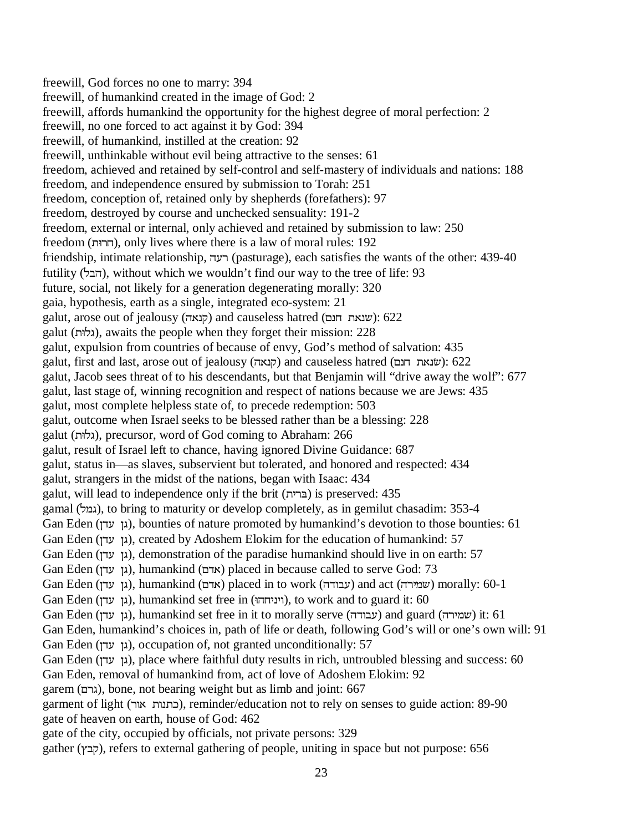freewill, God forces no one to marry: 394 freewill, of humankind created in the image of God: 2 freewill, affords humankind the opportunity for the highest degree of moral perfection: 2 freewill, no one forced to act against it by God: 394 freewill, of humankind, instilled at the creation: 92 freewill, unthinkable without evil being attractive to the senses: 61 freedom, achieved and retained by self-control and self-mastery of individuals and nations: 188 freedom, and independence ensured by submission to Torah: 251 freedom, conception of, retained only by shepherds (forefathers): 97 freedom, destroyed by course and unchecked sensuality: 191-2 freedom, external or internal, only achieved and retained by submission to law: 250 freedom (8UM), only lives where there is a law of moral rules: 192 friendship, intimate relationship, רעה (pasturage), each satisfies the wants of the other: 439-40 futility (הבל), without which we wouldn't find our way to the tree of life: 93 future, social, not likely for a generation degenerating morally: 320 gaia, hypothesis, earth as a single, integrated eco-system: 21 galut, arose out of jealousy (קנאה) and causeless hatred (שנאת חנם): 622 galut (גלוּת), awaits the people when they forget their mission: 228 galut, expulsion from countries of because of envy, God's method of salvation: 435 galut, first and last, arose out of jealousy (קנאה) and causeless hatred (שנאת חנם): 622 galut, Jacob sees threat of to his descendants, but that Benjamin will "drive away the wolf": 677 galut, last stage of, winning recognition and respect of nations because we are Jews: 435 galut, most complete helpless state of, to precede redemption: 503 galut, outcome when Israel seeks to be blessed rather than be a blessing: 228 galut (8NG), precursor, word of God coming to Abraham: 266 galut, result of Israel left to chance, having ignored Divine Guidance: 687 galut, status in—as slaves, subservient but tolerated, and honored and respected: 434 galut, strangers in the midst of the nations, began with Isaac: 434 galut, will lead to independence only if the brit  $(ETT)$  is preserved: 435 gamal (גמל), to bring to maturity or develop completely, as in gemilut chasadim: 353-4 Gan Eden (גן עדן), bounties of nature promoted by humankind's devotion to those bounties: 61 Gan Eden (גן עדן), created by Adoshem Elokim for the education of humankind: 57 Gan Eden (גן עדן), demonstration of the paradise humankind should live in on earth: 57 Gan Eden (גן עדן), humankind (אדם) placed in because called to serve God: 73 Gan Eden (עבודה), humankind (אדם) placed in to work (עבודה) and act (שמירה) morally: 60-1 Gan Eden (גן עדן), humankind set free in (וויניחהו), to work and to guard it: 60 Gan Eden (עגן עדן), humankind set free in it to morally serve (עבודה) and guard (עבודה) it: 61 Gan Eden, humankind's choices in, path of life or death, following God's will or one's own will: 91 Gan Eden (גן עדן), occupation of, not granted unconditionally: 57 Gan Eden (גן עדן), place where faithful duty results in rich, untroubled blessing and success: 60 Gan Eden, removal of humankind from, act of love of Adoshem Elokim: 92 garem (RUG), bone, not bearing weight but as limb and joint: 667 garment of light (UXWXEI), reminder/education not to rely on senses to guide action: 89-90 gate of heaven on earth, house of God: 462 gate of the city, occupied by officials, not private persons: 329 gather (קבץ), refers to external gathering of people, uniting in space but not purpose: 656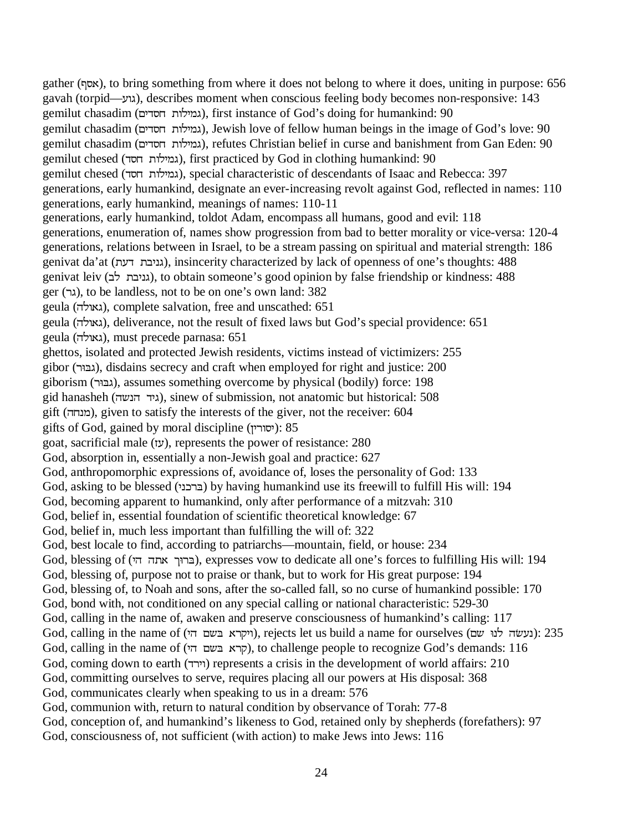gather ([W), to bring something from where it does not belong to where it does, uniting in purpose: 656 gavah (torpid—גוע), describes moment when conscious feeling body becomes non-responsive: 143 gemilut chasadim (גמילות חסדים), first instance of God's doing for humankind: 90 gemilut chasadim (גמילות חסדים), Jewish love of fellow human beings in the image of God's love: 90 gemilut chasadim (גמילות חסדים), refutes Christian belief in curse and banishment from Gan Eden: 90 gemilut chesed (גמילות חסד), first practiced by God in clothing humankind: 90 gemilut chesed (גמילות חסד), special characteristic of descendants of Isaac and Rebecca: 397 generations, early humankind, designate an ever-increasing revolt against God, reflected in names: 110 generations, early humankind, meanings of names: 110-11 generations, early humankind, toldot Adam, encompass all humans, good and evil: 118 generations, enumeration of, names show progression from bad to better morality or vice-versa: 120-4 generations, relations between in Israel, to be a stream passing on spiritual and material strength: 186 genivat da'at (גניבת דעת), insincerity characterized by lack of openness of one's thoughts: 488 genivat leiv (גניבת לב), to obtain someone's good opinion by false friendship or kindness: 488 ger (גר), to be landless, not to be on one's own land: 382 geula (גאולה), complete salvation, free and unscathed: 651 geula (גאולה), deliverance, not the result of fixed laws but God's special providence: 651 geula (גאולה), must precede parnasa: 651 ghettos, isolated and protected Jewish residents, victims instead of victimizers: 255 gibor (U8&G), disdains secrecy and craft when employed for right and justice: 200 giborism (U8&G), assumes something overcome by physical (bodily) force: 198 gid hanasheh (גיד הנשה), sinew of submission, not anatomic but historical: 508 gift (מנחה), given to satisfy the interests of the giver, not the receiver: 604 gifts of God, gained by moral discipline (יסורין): 85 goat, sacrificial male (]J), represents the power of resistance: 280 God, absorption in, essentially a non-Jewish goal and practice: 627 God, anthropomorphic expressions of, avoidance of, loses the personality of God: 133 God, asking to be blessed (ברכני) by having humankind use its freewill to fulfill His will: 194 God, becoming apparent to humankind, only after performance of a mitzvah: 310 God, belief in, essential foundation of scientific theoretical knowledge: 67 God, belief in, much less important than fulfilling the will of: 322 God, best locale to find, according to patriarchs—mountain, field, or house: 234 God, blessing of (ברוך אתה הי), expresses vow to dedicate all one's forces to fulfilling His will: 194 God, blessing of, purpose not to praise or thank, but to work for His great purpose: 194 God, blessing of, to Noah and sons, after the so-called fall, so no curse of humankind possible: 170 God, bond with, not conditioned on any special calling or national characteristic: 529-30 God, calling in the name of, awaken and preserve consciousness of humankind's calling: 117 God, calling in the name of (ויקרא בשם הי), rejects let us build a name for ourselves (נעשׂה לנוּ שם): 235 God, calling in the name of (קרא בשם הי), to challenge people to recognize God's demands: 116 God, coming down to earth (VUKX) represents a crisis in the development of world affairs: 210 God, committing ourselves to serve, requires placing all our powers at His disposal: 368 God, communicates clearly when speaking to us in a dream: 576 God, communion with, return to natural condition by observance of Torah: 77-8 God, conception of, and humankind's likeness to God, retained only by shepherds (forefathers): 97

God, consciousness of, not sufficient (with action) to make Jews into Jews: 116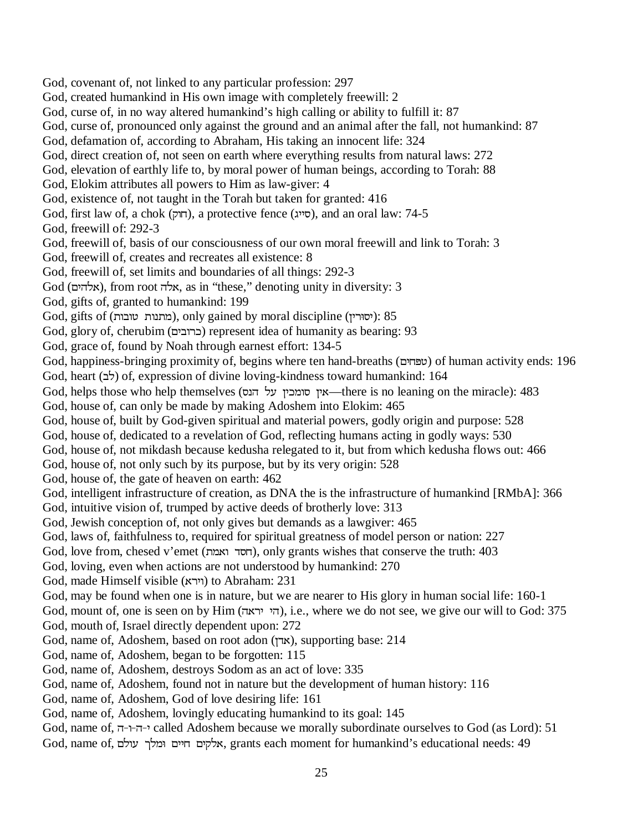God, covenant of, not linked to any particular profession: 297 God, created humankind in His own image with completely freewill: 2 God, curse of, in no way altered humankind's high calling or ability to fulfill it: 87 God, curse of, pronounced only against the ground and an animal after the fall, not humankind: 87 God, defamation of, according to Abraham, His taking an innocent life: 324 God, direct creation of, not seen on earth where everything results from natural laws: 272 God, elevation of earthly life to, by moral power of human beings, according to Torah: 88 God, Elokim attributes all powers to Him as law-giver: 4 God, existence of, not taught in the Torah but taken for granted: 416 God, first law of, a chok (חוק), a protective fence (סייג), and an oral law:  $74-5$ God, freewill of: 292-3 God, freewill of, basis of our consciousness of our own moral freewill and link to Torah: 3 God, freewill of, creates and recreates all existence: 8 God, freewill of, set limits and boundaries of all things: 292-3  $God$  (אלהים), from root אלה, as in "these," denoting unity in diversity: 3 God, gifts of, granted to humankind: 199 God, gifts of (מתנות טובות), only gained by moral discipline (יסורין): 85 God, glory of, cherubim (כרובים) represent idea of humanity as bearing: 93 God, grace of, found by Noah through earnest effort: 134-5 God, happiness-bringing proximity of, begins where ten hand-breaths (טפּחים) of human activity ends: 196 God, heart ( $\forall$ כ) of, expression of divine loving-kindness toward humankind: 164 God, helps those who help themselves (אין סומכין של הנס —there is no leaning on the miracle): 483 God, house of, can only be made by making Adoshem into Elokim: 465 God, house of, built by God-given spiritual and material powers, godly origin and purpose: 528 God, house of, dedicated to a revelation of God, reflecting humans acting in godly ways: 530 God, house of, not mikdash because kedusha relegated to it, but from which kedusha flows out: 466 God, house of, not only such by its purpose, but by its very origin: 528 God, house of, the gate of heaven on earth: 462 God, intelligent infrastructure of creation, as DNA the is the infrastructure of humankind [RMbA]: 366 God, intuitive vision of, trumped by active deeds of brotherly love: 313 God, Jewish conception of, not only gives but demands as a lawgiver: 465 God, laws of, faithfulness to, required for spiritual greatness of model person or nation: 227 God, love from, chesed v'emet (חסד ואמת), only grants wishes that conserve the truth: 403 God, loving, even when actions are not understood by humankind: 270 God, made Himself visible (וירא) to Abraham: 231 God, may be found when one is in nature, but we are nearer to His glory in human social life: 160-1 God, mount of, one is seen on by Him (הי יראה), i.e., where we do not see, we give our will to God: 375 God, mouth of, Israel directly dependent upon: 272 God, name of, Adoshem, based on root adon (אדן), supporting base: 214 God, name of, Adoshem, began to be forgotten: 115 God, name of, Adoshem, destroys Sodom as an act of love: 335 God, name of, Adoshem, found not in nature but the development of human history: 116 God, name of, Adoshem, God of love desiring life: 161 God, name of, Adoshem, lovingly educating humankind to its goal: 145 God, name of, י-ה-י-ד, called Adoshem because we morally subordinate ourselves to God (as Lord): 51

God, name of, הלקים חיים ומלך עולם, grants each moment for humankind's educational needs: 49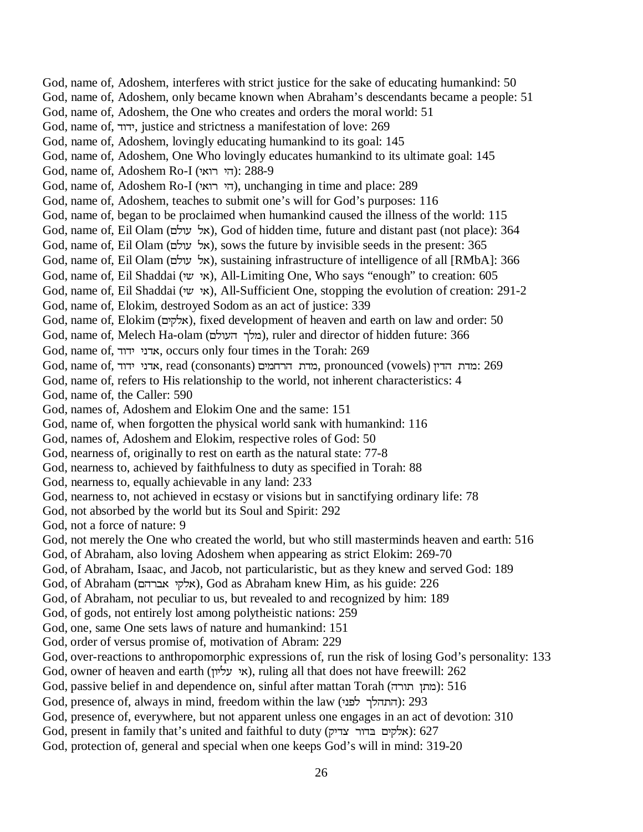God, name of, Adoshem, interferes with strict justice for the sake of educating humankind: 50 God, name of, Adoshem, only became known when Abraham's descendants became a people: 51 God, name of, Adoshem, the One who creates and orders the moral world: 51 God, name of, ידוד, justice and strictness a manifestation of love: 269 God, name of, Adoshem, lovingly educating humankind to its goal: 145 God, name of, Adoshem, One Who lovingly educates humankind to its ultimate goal: 145 God, name of, Adoshem Ro-I (הי רואי): 288-9 God, name of, Adoshem Ro-I (הי רואי), unchanging in time and place: 289 God, name of, Adoshem, teaches to submit one's will for God's purposes: 116 God, name of, began to be proclaimed when humankind caused the illness of the world: 115 God, name of, Eil Olam (אל עולם), God of hidden time, future and distant past (not place): 364 God, name of, Eil Olam (אל עולם), sows the future by invisible seeds in the present: 365 God, name of, Eil Olam (אל עולם), sustaining infrastructure of intelligence of all [RMbA]: 366 God, name of, Eil Shaddai (אי שי), All-Limiting One, Who says "enough" to creation: 605 God, name of, Eil Shaddai (א $\kappa$ W), All-Sufficient One, stopping the evolution of creation: 291-2 God, name of, Elokim, destroyed Sodom as an act of justice: 339 God, name of, Elokim (אלקים), fixed development of heaven and earth on law and order: 50 God, name of, Melech Ha-olam (מלך העולם), ruler and director of hidden future: 366 God, name of, אדני ידוד, occurs only four times in the Torah: 269 God, name of, אדני ידוד, read (consonants) מדת הרחמים, pronounced (vowels) מדת הדין. 269 God, name of, refers to His relationship to the world, not inherent characteristics: 4 God, name of, the Caller: 590 God, names of, Adoshem and Elokim One and the same: 151 God, name of, when forgotten the physical world sank with humankind: 116 God, names of, Adoshem and Elokim, respective roles of God: 50 God, nearness of, originally to rest on earth as the natural state: 77-8 God, nearness to, achieved by faithfulness to duty as specified in Torah: 88 God, nearness to, equally achievable in any land: 233 God, nearness to, not achieved in ecstasy or visions but in sanctifying ordinary life: 78 God, not absorbed by the world but its Soul and Spirit: 292 God, not a force of nature: 9 God, not merely the One who created the world, but who still masterminds heaven and earth: 516 God, of Abraham, also loving Adoshem when appearing as strict Elokim: 269-70 God, of Abraham, Isaac, and Jacob, not particularistic, but as they knew and served God: 189 God, of Abraham (אלקי אברהם), God as Abraham knew Him, as his guide: 226 God, of Abraham, not peculiar to us, but revealed to and recognized by him: 189 God, of gods, not entirely lost among polytheistic nations: 259 God, one, same One sets laws of nature and humankind: 151 God, order of versus promise of, motivation of Abram: 229 God, over-reactions to anthropomorphic expressions of, run the risk of losing God's personality: 133 God, owner of heaven and earth (אי עליון), ruling all that does not have freewill: 262 God, passive belief in and dependence on, sinful after mattan Torah (מתן תורה): 516 God, presence of, always in mind, freedom within the law (התהלך לפני): 293 God, presence of, everywhere, but not apparent unless one engages in an act of devotion: 310 God, present in family that's united and faithful to duty (אלקים בדור צדיק): 627 God, protection of, general and special when one keeps God's will in mind: 319-20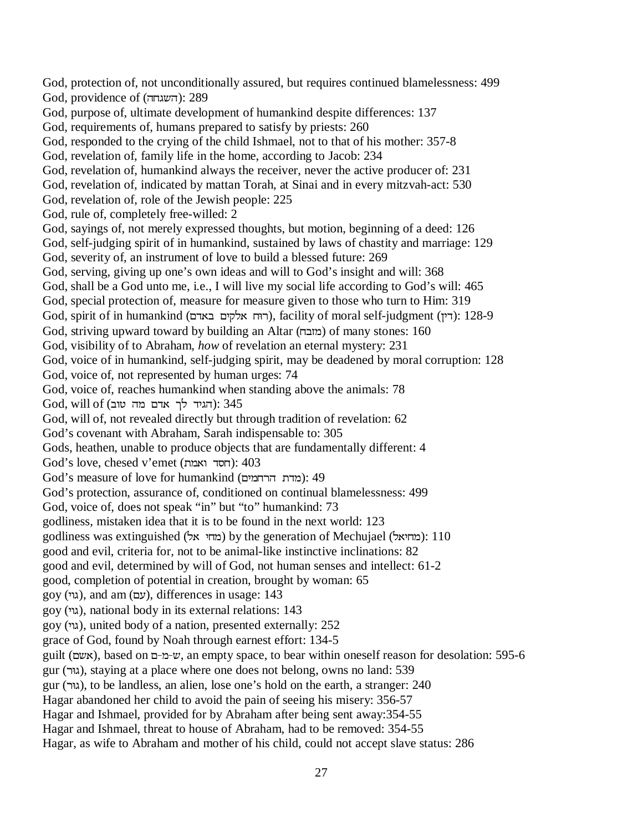God, protection of, not unconditionally assured, but requires continued blamelessness: 499 God, providence of (השגחה): 289 God, purpose of, ultimate development of humankind despite differences: 137 God, requirements of, humans prepared to satisfy by priests: 260 God, responded to the crying of the child Ishmael, not to that of his mother: 357-8 God, revelation of, family life in the home, according to Jacob: 234 God, revelation of, humankind always the receiver, never the active producer of: 231 God, revelation of, indicated by mattan Torah, at Sinai and in every mitzvah-act: 530 God, revelation of, role of the Jewish people: 225 God, rule of, completely free-willed: 2 God, sayings of, not merely expressed thoughts, but motion, beginning of a deed: 126 God, self-judging spirit of in humankind, sustained by laws of chastity and marriage: 129 God, severity of, an instrument of love to build a blessed future: 269 God, serving, giving up one's own ideas and will to God's insight and will: 368 God, shall be a God unto me, i.e., I will live my social life according to God's will: 465 God, special protection of, measure for measure given to those who turn to Him: 319 God, spirit of in humankind (רוּח אלקים באדם), facility of moral self-judgment (רין): 128-9 God, striving upward toward by building an Altar (מובח) of many stones: 160 God, visibility of to Abraham, *how* of revelation an eternal mystery: 231 God, voice of in humankind, self-judging spirit, may be deadened by moral corruption: 128 God, voice of, not represented by human urges: 74 God, voice of, reaches humankind when standing above the animals: 78  $God,$  הגיד לך אדם מה טוב): 345 God, will of, not revealed directly but through tradition of revelation: 62 God's covenant with Abraham, Sarah indispensable to: 305 Gods, heathen, unable to produce objects that are fundamentally different: 4  $God's love, checked v'emet (תסד ואמת): 403$  $God's measure of love for humankind (crtn TTT)$ : (מדת הרחמים): 49 God's protection, assurance of, conditioned on continual blamelessness: 499 God, voice of, does not speak "in" but "to" humankind: 73 godliness, mistaken idea that it is to be found in the next world: 123 godliness was extinguished (מחי אל) by the generation of Mechujael (מחיאל): 110 good and evil, criteria for, not to be animal-like instinctive inclinations: 82 good and evil, determined by will of God, not human senses and intellect: 61-2 good, completion of potential in creation, brought by woman: 65  $goy (x)$ , and am (עם), differences in usage: 143 goy (KXG), national body in its external relations: 143 goy (KXG), united body of a nation, presented externally: 252 grace of God, found by Noah through earnest effort: 134-5 guilt (אשם), based on ש-מ-ם, an empty space, to bear within oneself reason for desolation: 595-6 gur (גוּר), staying at a place where one does not belong, owns no land: 539 gur (גוּר), to be landless, an alien, lose one's hold on the earth, a stranger: 240 Hagar abandoned her child to avoid the pain of seeing his misery: 356-57 Hagar and Ishmael, provided for by Abraham after being sent away:354-55 Hagar and Ishmael, threat to house of Abraham, had to be removed: 354-55 Hagar, as wife to Abraham and mother of his child, could not accept slave status: 286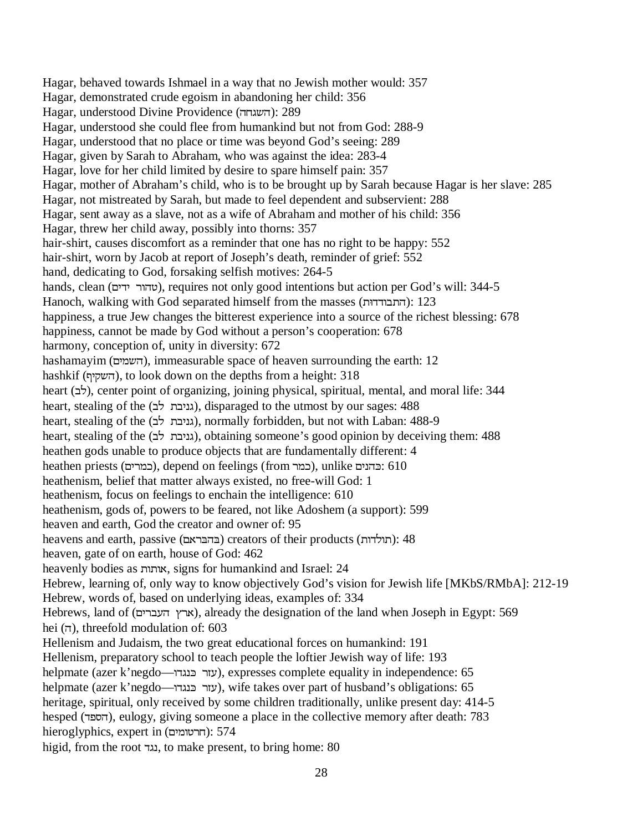Hagar, behaved towards Ishmael in a way that no Jewish mother would: 357 Hagar, demonstrated crude egoism in abandoning her child: 356 Hagar, understood Divine Providence (השגחה): 289 Hagar, understood she could flee from humankind but not from God: 288-9 Hagar, understood that no place or time was beyond God's seeing: 289 Hagar, given by Sarah to Abraham, who was against the idea: 283-4 Hagar, love for her child limited by desire to spare himself pain: 357 Hagar, mother of Abraham's child, who is to be brought up by Sarah because Hagar is her slave: 285 Hagar, not mistreated by Sarah, but made to feel dependent and subservient: 288 Hagar, sent away as a slave, not as a wife of Abraham and mother of his child: 356 Hagar, threw her child away, possibly into thorns: 357 hair-shirt, causes discomfort as a reminder that one has no right to be happy: 552 hair-shirt, worn by Jacob at report of Joseph's death, reminder of grief: 552 hand, dedicating to God, forsaking selfish motives: 264-5 hands, clean (טהור ידים), requires not only good intentions but action per God's will: 344-5 Hanoch, walking with God separated himself from the masses (התבודדות): 123 happiness, a true Jew changes the bitterest experience into a source of the richest blessing: 678 happiness, cannot be made by God without a person's cooperation: 678 harmony, conception of, unity in diversity: 672 hashamayim (השמים), immeasurable space of heaven surrounding the earth: 12 hashkif (השקיף), to look down on the depths from a height: 318 heart (לב), center point of organizing, joining physical, spiritual, mental, and moral life: 344 heart, stealing of the (גניבת לב), disparaged to the utmost by our sages: 488 heart, stealing of the (גניבת לב), normally forbidden, but not with Laban: 488-9 heart, stealing of the (גניבת לב), obtaining someone's good opinion by deceiving them: 488 heathen gods unable to produce objects that are fundamentally different: 4 heathen priests (כמרים), depend on feelings (from כמר), unlike בהנים: 610 heathenism, belief that matter always existed, no free-will God: 1 heathenism, focus on feelings to enchain the intelligence: 610 heathenism, gods of, powers to be feared, not like Adoshem (a support): 599 heaven and earth, God the creator and owner of: 95 heavens and earth, passive (בהבראם) creators of their products (תולדות): 48 heaven, gate of on earth, house of God: 462 heavenly bodies as אותות, signs for humankind and Israel: 24 Hebrew, learning of, only way to know objectively God's vision for Jewish life [MKbS/RMbA]: 212-19 Hebrew, words of, based on underlying ideas, examples of: 334 Hebrews, land of (ארץ העברים), already the designation of the land when Joseph in Egypt: 569 hei  $(\pi)$ , threefold modulation of: 603 Hellenism and Judaism, the two great educational forces on humankind: 191 Hellenism, preparatory school to teach people the loftier Jewish way of life: 193 helpmate (azer k'negdo—עזר בּנגדו $($ GE), expresses complete equality in independence: 65 helpmate (azer k'negdo—עזר בּנגדו $(azer K'negdo)$ ), wife takes over part of husband's obligations: 65 heritage, spiritual, only received by some children traditionally, unlike present day: 414-5 hesped (הספד), eulogy, giving someone a place in the collective memory after death: 783 hieroglyphics, expert in (חרטומים): 574 higid, from the root נגד, to make present, to bring home:  $80$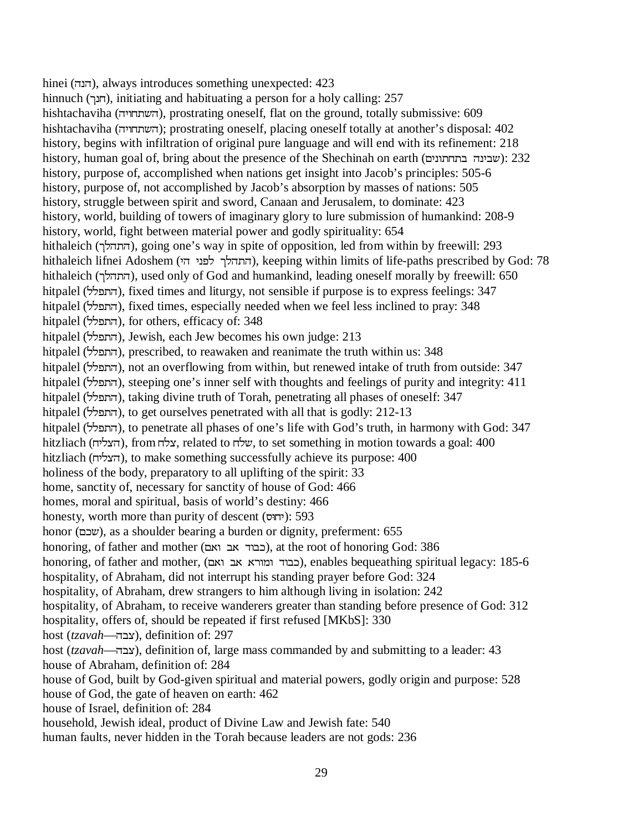hinei (הנה), always introduces something unexpected: 423 hinnuch (חנך), initiating and habituating a person for a holy calling: 257 hishtachaviha (השתחויה), prostrating oneself, flat on the ground, totally submissive: 609 hishtachaviha (השתחויה); prostrating oneself, placing oneself totally at another's disposal: 402 history, begins with infiltration of original pure language and will end with its refinement: 218 history, human goal of, bring about the presence of the Shechinah on earth (שבינה בתחתונים): 232 history, purpose of, accomplished when nations get insight into Jacob's principles: 505-6 history, purpose of, not accomplished by Jacob's absorption by masses of nations: 505 history, struggle between spirit and sword, Canaan and Jerusalem, to dominate: 423 history, world, building of towers of imaginary glory to lure submission of humankind: 208-9 history, world, fight between material power and godly spirituality: 654 hithaleich (התהלך), going one's way in spite of opposition, led from within by freewill: 293 hithaleich lifnei Adoshem (התהלך לפני הי), keeping within limits of life-paths prescribed by God: 78 hithaleich (ONYY), used only of God and humankind, leading oneself morally by freewill: 650 hitpalel (התפלל), fixed times and liturgy, not sensible if purpose is to express feelings: 347 hitpalel (התפלל), fixed times, especially needed when we feel less inclined to pray: 348 hitpalel (התפלל), for others, efficacy of: 348 hitpalel (התפלל), Jewish, each Jew becomes his own judge: 213 hitpalel (התפלל), prescribed, to reawaken and reanimate the truth within us: 348 hitpalel (התפלל), not an overflowing from within, but renewed intake of truth from outside: 347 hitpalel (התפלל), steeping one's inner self with thoughts and feelings of purity and integrity: 411 hitpalel (התפלל), taking divine truth of Torah, penetrating all phases of oneself: 347 hitpalel (התפלל), to get ourselves penetrated with all that is godly: 212-13 hitpalel (התפלל), to penetrate all phases of one's life with God's truth, in harmony with God: 347 hitzliach (הצליח), from צלח, related to שלח, to set something in motion towards a goal: 400 hitzliach (MKNPY), to make something successfully achieve its purpose: 400 holiness of the body, preparatory to all uplifting of the spirit: 33 home, sanctity of, necessary for sanctity of house of God: 466 homes, moral and spiritual, basis of world's destiny: 466 honesty, worth more than purity of descent (יחוּס): 593 honor (שכם), as a shoulder bearing a burden or dignity, preferment: 655 honoring, of father and mother (כבוד אב ואם), at the root of honoring God: 386 honoring, of father and mother, (כבוד ומורא אב ואם), enables bequeathing spiritual legacy: 185-6 hospitality, of Abraham, did not interrupt his standing prayer before God: 324 hospitality, of Abraham, drew strangers to him although living in isolation: 242 hospitality, of Abraham, to receive wanderers greater than standing before presence of God: 312 hospitality, offers of, should be repeated if first refused [MKbS]: 330 host (*tzavah*—YFP), definition of: 297 host (*tzavah*— $\equiv$ צבה), definition of, large mass commanded by and submitting to a leader: 43 house of Abraham, definition of: 284 house of God, built by God-given spiritual and material powers, godly origin and purpose: 528 house of God, the gate of heaven on earth: 462 house of Israel, definition of: 284 household, Jewish ideal, product of Divine Law and Jewish fate: 540 human faults, never hidden in the Torah because leaders are not gods: 236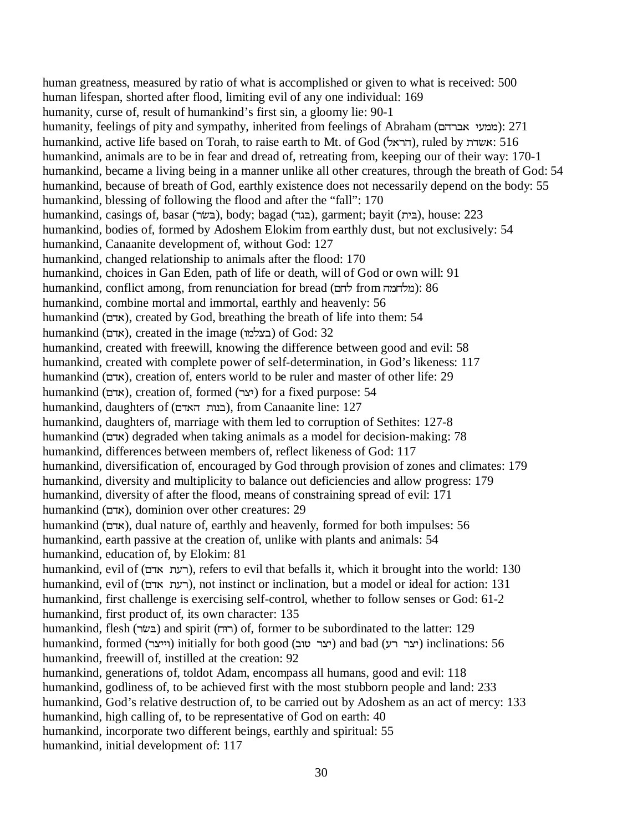human greatness, measured by ratio of what is accomplished or given to what is received: 500 human lifespan, shorted after flood, limiting evil of any one individual: 169 humanity, curse of, result of humankind's first sin, a gloomy lie: 90-1 humanity, feelings of pity and sympathy, inherited from feelings of Abraham (ממעי אברהם): 271 humankind, active life based on Torah, to raise earth to Mt. of God (הראל), ruled by אשדת humankind, animals are to be in fear and dread of, retreating from, keeping our of their way: 170-1 humankind, became a living being in a manner unlike all other creatures, through the breath of God: 54 humankind, because of breath of God, earthly existence does not necessarily depend on the body: 55 humankind, blessing of following the flood and after the "fall": 170 humankind, casings of, basar (בגוד), body; bagad (בגר), garment; bayit (בית), house: 223 humankind, bodies of, formed by Adoshem Elokim from earthly dust, but not exclusively: 54 humankind, Canaanite development of, without God: 127 humankind, changed relationship to animals after the flood: 170 humankind, choices in Gan Eden, path of life or death, will of God or own will: 91 humankind, conflict among, from renunciation for bread (הולחמה from  $\ddot{\epsilon}$ ומלחמה): 86 humankind, combine mortal and immortal, earthly and heavenly: 56 humankind (אדם), created by God, breathing the breath of life into them: 54 humankind (בצלמו), created in the image (בצלמו) of God: 32 humankind, created with freewill, knowing the difference between good and evil: 58 humankind, created with complete power of self-determination, in God's likeness: 117 humankind (אדם), creation of, enters world to be ruler and master of other life: 29 humankind (אדם), creation of, formed (יצר) for a fixed purpose: 54 humankind, daughters of (בנות האדם), from Canaanite line: 127 humankind, daughters of, marriage with them led to corruption of Sethites: 127-8 humankind (RVW) degraded when taking animals as a model for decision-making: 78 humankind, differences between members of, reflect likeness of God: 117 humankind, diversification of, encouraged by God through provision of zones and climates: 179 humankind, diversity and multiplicity to balance out deficiencies and allow progress: 179 humankind, diversity of after the flood, means of constraining spread of evil: 171 humankind (RVW), dominion over other creatures: 29 humankind (אדם), dual nature of, earthly and heavenly, formed for both impulses: 56 humankind, earth passive at the creation of, unlike with plants and animals: 54 humankind, education of, by Elokim: 81 humankind, evil of (רעת אדם), refers to evil that befalls it, which it brought into the world: 130 humankind, evil of (רעת אדם), not instinct or inclination, but a model or ideal for action: 131 humankind, first challenge is exercising self-control, whether to follow senses or God: 61-2 humankind, first product of, its own character: 135 humankind, flesh (בשׂר) and spirit (רוּח) of, former to be subordinated to the latter: 129 humankind, formed (וייצר) initially for both good (יצר טוב) and bad (יצר רע) inclinations: 56 humankind, freewill of, instilled at the creation: 92 humankind, generations of, toldot Adam, encompass all humans, good and evil: 118 humankind, godliness of, to be achieved first with the most stubborn people and land: 233 humankind, God's relative destruction of, to be carried out by Adoshem as an act of mercy: 133 humankind, high calling of, to be representative of God on earth: 40 humankind, incorporate two different beings, earthly and spiritual: 55 humankind, initial development of: 117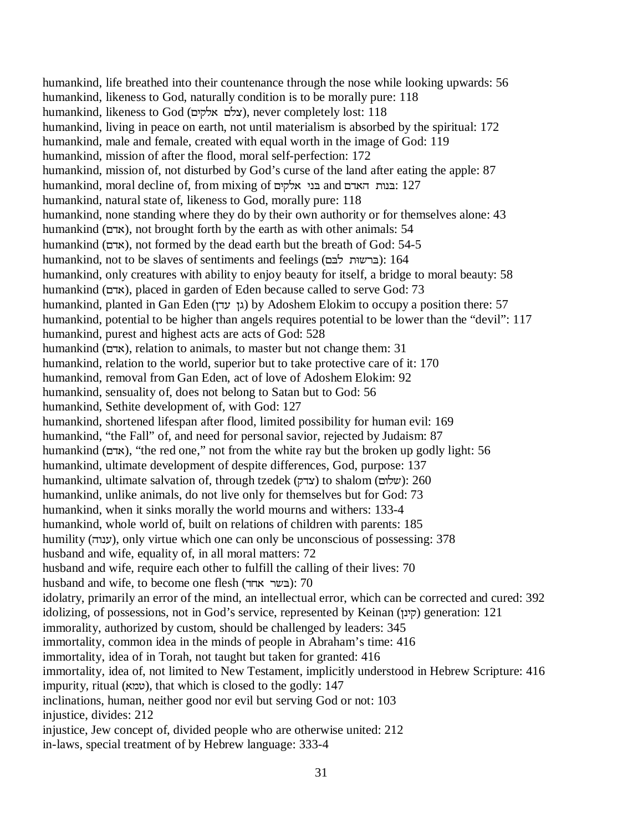humankind, life breathed into their countenance through the nose while looking upwards: 56 humankind, likeness to God, naturally condition is to be morally pure: 118 humankind, likeness to God (צלם אלקים), never completely lost: 118 humankind, living in peace on earth, not until materialism is absorbed by the spiritual: 172 humankind, male and female, created with equal worth in the image of God: 119 humankind, mission of after the flood, moral self-perfection: 172 humankind, mission of, not disturbed by God's curse of the land after eating the apple: 87 humankind, moral decline of, from mixing of בני אלקים and בני גלקים humankind, natural state of, likeness to God, morally pure: 118 humankind, none standing where they do by their own authority or for themselves alone: 43 humankind (אדם), not brought forth by the earth as with other animals: 54 humankind (אדם), not formed by the dead earth but the breath of God: 54-5 humankind, not to be slaves of sentiments and feelings (ברשות לבם): 164 humankind, only creatures with ability to enjoy beauty for itself, a bridge to moral beauty: 58 humankind (אדם), placed in garden of Eden because called to serve God: 73 humankind, planted in Gan Eden (גן עדן) by Adoshem Elokim to occupy a position there: 57 humankind, potential to be higher than angels requires potential to be lower than the "devil": 117 humankind, purest and highest acts are acts of God: 528 humankind (אדם), relation to animals, to master but not change them: 31 humankind, relation to the world, superior but to take protective care of it: 170 humankind, removal from Gan Eden, act of love of Adoshem Elokim: 92 humankind, sensuality of, does not belong to Satan but to God: 56 humankind, Sethite development of, with God: 127 humankind, shortened lifespan after flood, limited possibility for human evil: 169 humankind, "the Fall" of, and need for personal savior, rejected by Judaism: 87 humankind (אדם), "the red one," not from the white ray but the broken up godly light: 56 humankind, ultimate development of despite differences, God, purpose: 137 humankind, ultimate salvation of, through tzedek (צדק) to shalom (שלום): 260 humankind, unlike animals, do not live only for themselves but for God: 73 humankind, when it sinks morally the world mourns and withers: 133-4 humankind, whole world of, built on relations of children with parents: 185 humility (ענהד), only virtue which one can only be unconscious of possessing: 378 husband and wife, equality of, in all moral matters: 72 husband and wife, require each other to fulfill the calling of their lives: 70 husband and wife, to become one flesh (בשר אחד): 70 idolatry, primarily an error of the mind, an intellectual error, which can be corrected and cured: 392 idolizing, of possessions, not in God's service, represented by Keinan (קינן) generation: 121 immorality, authorized by custom, should be challenged by leaders: 345 immortality, common idea in the minds of people in Abraham's time: 416 immortality, idea of in Torah, not taught but taken for granted: 416 immortality, idea of, not limited to New Testament, implicitly understood in Hebrew Scripture: 416 impurity, ritual (שמא), that which is closed to the godly: 147 inclinations, human, neither good nor evil but serving God or not: 103 injustice, divides: 212 injustice, Jew concept of, divided people who are otherwise united: 212 in-laws, special treatment of by Hebrew language: 333-4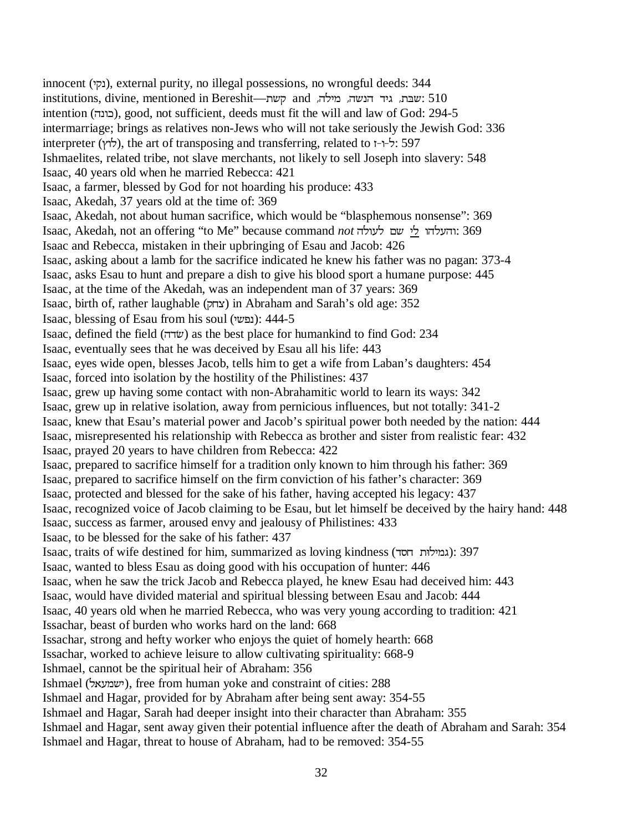innocent (נקי), external purity, no illegal possessions, no wrongful deeds: 344 institutions, divine, mentioned in Bereshit—שבת. גיד הנשה, מילה, and קשת intention (YEXI), good, not sufficient, deeds must fit the will and law of God: 294-5 intermarriage; brings as relatives non-Jews who will not take seriously the Jewish God: 336 interpreter ( $\forall$ לוץ), the art of transposing and transferring, related to  $I^{\neg}$ : 597 Ishmaelites, related tribe, not slave merchants, not likely to sell Joseph into slavery: 548 Isaac, 40 years old when he married Rebecca: 421 Isaac, a farmer, blessed by God for not hoarding his produce: 433 Isaac, Akedah, 37 years old at the time of: 369 Isaac, Akedah, not about human sacrifice, which would be "blasphemous nonsense": 369 Isaac, Akedah, not an offering "to Me" because command *not* והעלהו לי שם לעולה: 369 Isaac and Rebecca, mistaken in their upbringing of Esau and Jacob: 426 Isaac, asking about a lamb for the sacrifice indicated he knew his father was no pagan: 373-4 Isaac, asks Esau to hunt and prepare a dish to give his blood sport a humane purpose: 445 Isaac, at the time of the Akedah, was an independent man of 37 years: 369 Isaac, birth of, rather laughable (HMP) in Abraham and Sarah's old age: 352 Isaac, blessing of Esau from his soul (נפשי): 444-5 Isaac, defined the field (שׂדה) as the best place for humankind to find God: 234 Isaac, eventually sees that he was deceived by Esau all his life: 443 Isaac, eyes wide open, blesses Jacob, tells him to get a wife from Laban's daughters: 454 Isaac, forced into isolation by the hostility of the Philistines: 437 Isaac, grew up having some contact with non-Abrahamitic world to learn its ways: 342 Isaac, grew up in relative isolation, away from pernicious influences, but not totally: 341-2 Isaac, knew that Esau's material power and Jacob's spiritual power both needed by the nation: 444 Isaac, misrepresented his relationship with Rebecca as brother and sister from realistic fear: 432 Isaac, prayed 20 years to have children from Rebecca: 422 Isaac, prepared to sacrifice himself for a tradition only known to him through his father: 369 Isaac, prepared to sacrifice himself on the firm conviction of his father's character: 369 Isaac, protected and blessed for the sake of his father, having accepted his legacy: 437 Isaac, recognized voice of Jacob claiming to be Esau, but let himself be deceived by the hairy hand: 448 Isaac, success as farmer, aroused envy and jealousy of Philistines: 433 Isaac, to be blessed for the sake of his father: 437 Isaac, traits of wife destined for him, summarized as loving kindness (גמילוּת חסד): 397 Isaac, wanted to bless Esau as doing good with his occupation of hunter: 446 Isaac, when he saw the trick Jacob and Rebecca played, he knew Esau had deceived him: 443 Isaac, would have divided material and spiritual blessing between Esau and Jacob: 444 Isaac, 40 years old when he married Rebecca, who was very young according to tradition: 421 Issachar, beast of burden who works hard on the land: 668 Issachar, strong and hefty worker who enjoys the quiet of homely hearth: 668 Issachar, worked to achieve leisure to allow cultivating spirituality: 668-9 Ishmael, cannot be the spiritual heir of Abraham: 356 Ishmael (ישמעאל), free from human yoke and constraint of cities: 288 Ishmael and Hagar, provided for by Abraham after being sent away: 354-55 Ishmael and Hagar, Sarah had deeper insight into their character than Abraham: 355 Ishmael and Hagar, sent away given their potential influence after the death of Abraham and Sarah: 354 Ishmael and Hagar, threat to house of Abraham, had to be removed: 354-55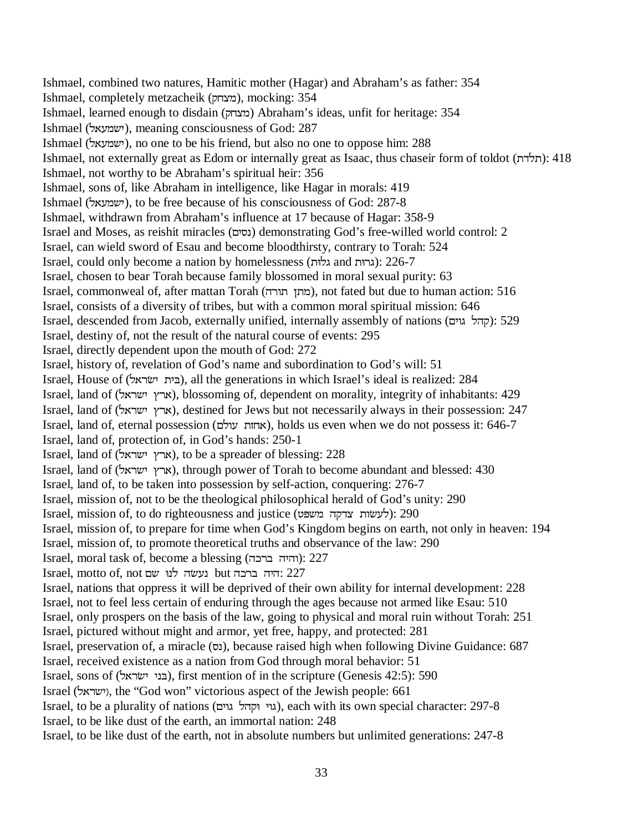Ishmael, combined two natures, Hamitic mother (Hagar) and Abraham's as father: 354 Ishmael, completely metzacheik (מצחק), mocking: 354 Ishmael, learned enough to disdain (מצחק) Abraham's ideas, unfit for heritage: 354 Ishmael (ישמעאל), meaning consciousness of God: 287 Ishmael (ישמעאל), no one to be his friend, but also no one to oppose him: 288 Ishmael, not externally great as Edom or internally great as Isaac, thus chaseir form of toldot (תלדה): 418 Ishmael, not worthy to be Abraham's spiritual heir: 356 Ishmael, sons of, like Abraham in intelligence, like Hagar in morals: 419 Ishmael (ישמעאל), to be free because of his consciousness of God: 287-8 Ishmael, withdrawn from Abraham's influence at 17 because of Hagar: 358-9 Israel and Moses, as reishit miracles (RK[E) demonstrating God's free-willed world control: 2 Israel, can wield sword of Esau and become bloodthirsty, contrary to Torah: 524 Israel, could only become a nation by homelessness (גרות and גלות): 226-7 Israel, chosen to bear Torah because family blossomed in moral sexual purity: 63 Israel, commonweal of, after mattan Torah (מתן תורה), not fated but due to human action: 516 Israel, consists of a diversity of tribes, but with a common moral spiritual mission: 646 Israel, descended from Jacob, externally unified, internally assembly of nations (קהל גוים): 529 Israel, destiny of, not the result of the natural course of events: 295 Israel, directly dependent upon the mouth of God: 272 Israel, history of, revelation of God's name and subordination to God's will: 51 Israel, House of (NWU\*KK&), all the generations in which Israel's ideal is realized: 284 Israel, land of (ארץ ישראל), blossoming of, dependent on morality, integrity of inhabitants: 429 Israel, land of (ארץ ישראל), destined for Jews but not necessarily always in their possession: 247 Israel, land of, eternal possession (אחות עולם), holds us even when we do not possess it: 646-7 Israel, land of, protection of, in God's hands: 250-1 Israel, land of (ארץ ישראל), to be a spreader of blessing:  $228$ Israel, land of (NWUDKUW), through power of Torah to become abundant and blessed: 430 Israel, land of, to be taken into possession by self-action, conquering: 276-7 Israel, mission of, not to be the theological philosophical herald of God's unity: 290 Israel, mission of, to do righteousness and justice (לעשות צדקה משפט): 290 Israel, mission of, to prepare for time when God's Kingdom begins on earth, not only in heaven: 194 Israel, mission of, to promote theoretical truths and observance of the law: 290  $Israel$ , moral task of, become a blessing (והיה ברכה): 227 Israel, motto of, not נעשׂה לנוּ אם but היה ברכה: 227 Israel, nations that oppress it will be deprived of their own ability for internal development: 228 Israel, not to feel less certain of enduring through the ages because not armed like Esau: 510 Israel, only prospers on the basis of the law, going to physical and moral ruin without Torah: 251 Israel, pictured without might and armor, yet free, happy, and protected: 281 Israel, preservation of, a miracle (נס), because raised high when following Divine Guidance: 687 Israel, received existence as a nation from God through moral behavior: 51 Israel, sons of (בני ישׂראל), first mention of in the scripture (Genesis 42:5): 590 Israel (ישראל), the "God won" victorious aspect of the Jewish people: 661 Israel, to be a plurality of nations (גוי וּקהל גוים), each with its own special character: 297-8 Israel, to be like dust of the earth, an immortal nation: 248 Israel, to be like dust of the earth, not in absolute numbers but unlimited generations: 247-8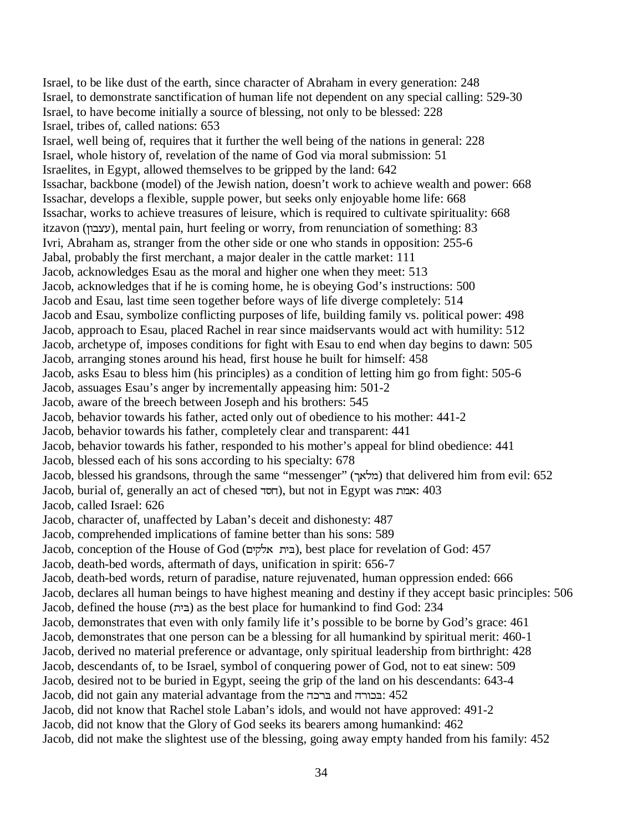Israel, to be like dust of the earth, since character of Abraham in every generation: 248 Israel, to demonstrate sanctification of human life not dependent on any special calling: 529-30 Israel, to have become initially a source of blessing, not only to be blessed: 228 Israel, tribes of, called nations: 653 Israel, well being of, requires that it further the well being of the nations in general: 228 Israel, whole history of, revelation of the name of God via moral submission: 51 Israelites, in Egypt, allowed themselves to be gripped by the land: 642 Issachar, backbone (model) of the Jewish nation, doesn't work to achieve wealth and power: 668 Issachar, develops a flexible, supple power, but seeks only enjoyable home life: 668 Issachar, works to achieve treasures of leisure, which is required to cultivate spirituality: 668 itzavon (עצבון), mental pain, hurt feeling or worry, from renunciation of something: 83 Ivri, Abraham as, stranger from the other side or one who stands in opposition: 255-6 Jabal, probably the first merchant, a major dealer in the cattle market: 111 Jacob, acknowledges Esau as the moral and higher one when they meet: 513 Jacob, acknowledges that if he is coming home, he is obeying God's instructions: 500 Jacob and Esau, last time seen together before ways of life diverge completely: 514 Jacob and Esau, symbolize conflicting purposes of life, building family vs. political power: 498 Jacob, approach to Esau, placed Rachel in rear since maidservants would act with humility: 512 Jacob, archetype of, imposes conditions for fight with Esau to end when day begins to dawn: 505 Jacob, arranging stones around his head, first house he built for himself: 458 Jacob, asks Esau to bless him (his principles) as a condition of letting him go from fight: 505-6 Jacob, assuages Esau's anger by incrementally appeasing him: 501-2 Jacob, aware of the breech between Joseph and his brothers: 545 Jacob, behavior towards his father, acted only out of obedience to his mother: 441-2 Jacob, behavior towards his father, completely clear and transparent: 441 Jacob, behavior towards his father, responded to his mother's appeal for blind obedience: 441 Jacob, blessed each of his sons according to his specialty: 678 Jacob, blessed his grandsons, through the same "messenger" (OWNQ) that delivered him from evil: 652 Jacob, burial of, generally an act of chesed V[M), but not in Egypt was QW: 403 Jacob, called Israel: 626 Jacob, character of, unaffected by Laban's deceit and dishonesty: 487 Jacob, comprehended implications of famine better than his sons: 589 Jacob, conception of the House of God (RKHNWK&), best place for revelation of God: 457 Jacob, death-bed words, aftermath of days, unification in spirit: 656-7 Jacob, death-bed words, return of paradise, nature rejuvenated, human oppression ended: 666 Jacob, declares all human beings to have highest meaning and destiny if they accept basic principles: 506 Jacob, defined the house (K&) as the best place for humankind to find God: 234 Jacob, demonstrates that even with only family life it's possible to be borne by God's grace: 461 Jacob, demonstrates that one person can be a blessing for all humankind by spiritual merit: 460-1 Jacob, derived no material preference or advantage, only spiritual leadership from birthright: 428 Jacob, descendants of, to be Israel, symbol of conquering power of God, not to eat sinew: 509 Jacob, desired not to be buried in Egypt, seeing the grip of the land on his descendants: 643-4 Jacob, did not gain any material advantage from the ברכה and EIS2:  $452$ Jacob, did not know that Rachel stole Laban's idols, and would not have approved: 491-2 Jacob, did not know that the Glory of God seeks its bearers among humankind: 462 Jacob, did not make the slightest use of the blessing, going away empty handed from his family: 452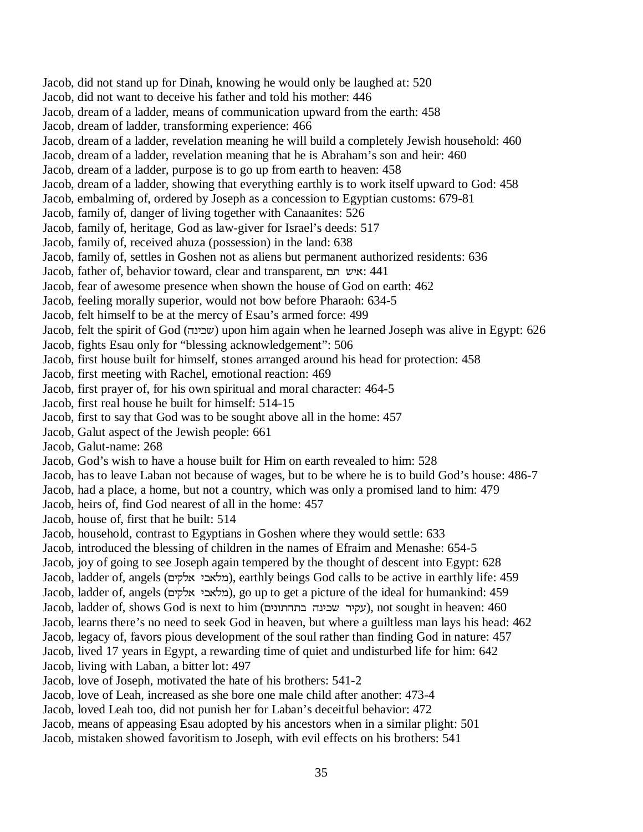Jacob, did not stand up for Dinah, knowing he would only be laughed at: 520 Jacob, did not want to deceive his father and told his mother: 446 Jacob, dream of a ladder, means of communication upward from the earth: 458 Jacob, dream of ladder, transforming experience: 466 Jacob, dream of a ladder, revelation meaning he will build a completely Jewish household: 460 Jacob, dream of a ladder, revelation meaning that he is Abraham's son and heir: 460 Jacob, dream of a ladder, purpose is to go up from earth to heaven: 458 Jacob, dream of a ladder, showing that everything earthly is to work itself upward to God: 458 Jacob, embalming of, ordered by Joseph as a concession to Egyptian customs: 679-81 Jacob, family of, danger of living together with Canaanites: 526 Jacob, family of, heritage, God as law-giver for Israel's deeds: 517 Jacob, family of, received ahuza (possession) in the land: 638 Jacob, family of, settles in Goshen not as aliens but permanent authorized residents: 636 Jacob, father of, behavior toward, clear and transparent, איש תם: 441 Jacob, fear of awesome presence when shown the house of God on earth: 462 Jacob, feeling morally superior, would not bow before Pharaoh: 634-5 Jacob, felt himself to be at the mercy of Esau's armed force: 499 Jacob, felt the spirit of God (YEKID) upon him again when he learned Joseph was alive in Egypt: 626 Jacob, fights Esau only for "blessing acknowledgement": 506 Jacob, first house built for himself, stones arranged around his head for protection: 458 Jacob, first meeting with Rachel, emotional reaction: 469 Jacob, first prayer of, for his own spiritual and moral character: 464-5 Jacob, first real house he built for himself: 514-15 Jacob, first to say that God was to be sought above all in the home: 457 Jacob, Galut aspect of the Jewish people: 661 Jacob, Galut-name: 268 Jacob, God's wish to have a house built for Him on earth revealed to him: 528 Jacob, has to leave Laban not because of wages, but to be where he is to build God's house: 486-7 Jacob, had a place, a home, but not a country, which was only a promised land to him: 479 Jacob, heirs of, find God nearest of all in the home: 457 Jacob, house of, first that he built: 514 Jacob, household, contrast to Egyptians in Goshen where they would settle: 633 Jacob, introduced the blessing of children in the names of Efraim and Menashe: 654-5 Jacob, joy of going to see Joseph again tempered by the thought of descent into Egypt: 628 Jacob, ladder of, angels (מלאכי אלקים), earthly beings God calls to be active in earthly life: 459 Jacob, ladder of, angels (מלאכי אלקים), go up to get a picture of the ideal for humankind: 459 Jacob, ladder of, shows God is next to him (RKEXMFYEKIDUKHJ), not sought in heaven: 460 Jacob, learns there's no need to seek God in heaven, but where a guiltless man lays his head: 462 Jacob, legacy of, favors pious development of the soul rather than finding God in nature: 457 Jacob, lived 17 years in Egypt, a rewarding time of quiet and undisturbed life for him: 642 Jacob, living with Laban, a bitter lot: 497 Jacob, love of Joseph, motivated the hate of his brothers: 541-2 Jacob, love of Leah, increased as she bore one male child after another: 473-4 Jacob, loved Leah too, did not punish her for Laban's deceitful behavior: 472 Jacob, means of appeasing Esau adopted by his ancestors when in a similar plight: 501

Jacob, mistaken showed favoritism to Joseph, with evil effects on his brothers: 541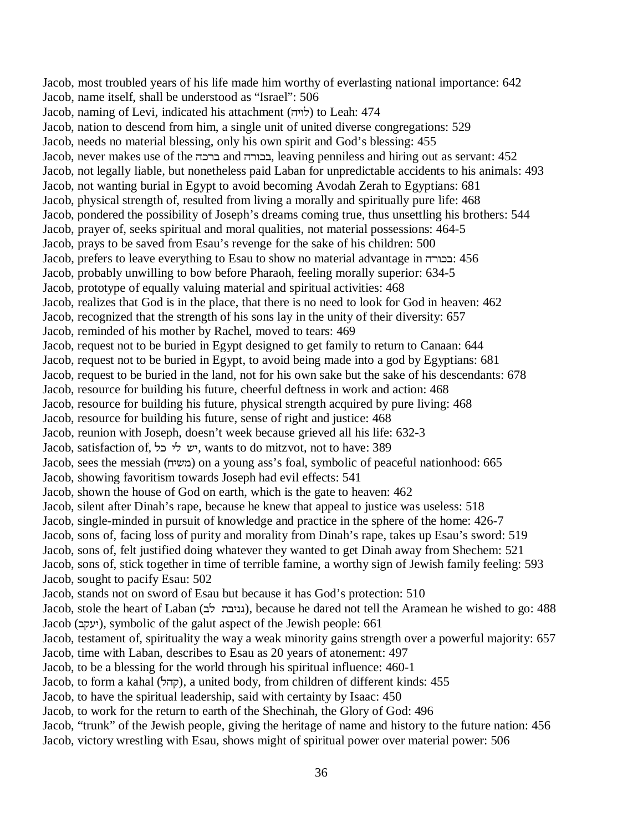Jacob, most troubled years of his life made him worthy of everlasting national importance: 642 Jacob, name itself, shall be understood as "Israel": 506 Jacob, naming of Levi, indicated his attachment (לויה) to Leah: 474 Jacob, nation to descend from him, a single unit of united diverse congregations: 529 Jacob, needs no material blessing, only his own spirit and God's blessing: 455 Jacob, never makes use of the ברכה and ברכורה leaving penniless and hiring out as servant: 452 Jacob, not legally liable, but nonetheless paid Laban for unpredictable accidents to his animals: 493 Jacob, not wanting burial in Egypt to avoid becoming Avodah Zerah to Egyptians: 681 Jacob, physical strength of, resulted from living a morally and spiritually pure life: 468 Jacob, pondered the possibility of Joseph's dreams coming true, thus unsettling his brothers: 544 Jacob, prayer of, seeks spiritual and moral qualities, not material possessions: 464-5 Jacob, prays to be saved from Esau's revenge for the sake of his children: 500 Jacob, prefers to leave everything to Esau to show no material advantage in  $\pm 456$ Jacob, probably unwilling to bow before Pharaoh, feeling morally superior: 634-5 Jacob, prototype of equally valuing material and spiritual activities: 468 Jacob, realizes that God is in the place, that there is no need to look for God in heaven: 462 Jacob, recognized that the strength of his sons lay in the unity of their diversity: 657 Jacob, reminded of his mother by Rachel, moved to tears: 469 Jacob, request not to be buried in Egypt designed to get family to return to Canaan: 644 Jacob, request not to be buried in Egypt, to avoid being made into a god by Egyptians: 681 Jacob, request to be buried in the land, not for his own sake but the sake of his descendants: 678 Jacob, resource for building his future, cheerful deftness in work and action: 468 Jacob, resource for building his future, physical strength acquired by pure living: 468 Jacob, resource for building his future, sense of right and justice: 468 Jacob, reunion with Joseph, doesn't week because grieved all his life: 632-3 Jacob, satisfaction of, יש לי בל, wants to do mitzvot, not to have: 389 Jacob, sees the messiah (משיח) on a young ass's foal, symbolic of peaceful nationhood: 665 Jacob, showing favoritism towards Joseph had evil effects: 541 Jacob, shown the house of God on earth, which is the gate to heaven: 462 Jacob, silent after Dinah's rape, because he knew that appeal to justice was useless: 518 Jacob, single-minded in pursuit of knowledge and practice in the sphere of the home: 426-7 Jacob, sons of, facing loss of purity and morality from Dinah's rape, takes up Esau's sword: 519 Jacob, sons of, felt justified doing whatever they wanted to get Dinah away from Shechem: 521 Jacob, sons of, stick together in time of terrible famine, a worthy sign of Jewish family feeling: 593 Jacob, sought to pacify Esau: 502 Jacob, stands not on sword of Esau but because it has God's protection: 510 Jacob, stole the heart of Laban (גניבת לב), because he dared not tell the Aramean he wished to go: 488 Jacob (FHJK), symbolic of the galut aspect of the Jewish people: 661 Jacob, testament of, spirituality the way a weak minority gains strength over a powerful majority: 657 Jacob, time with Laban, describes to Esau as 20 years of atonement: 497 Jacob, to be a blessing for the world through his spiritual influence: 460-1 Jacob, to form a kahal (NYH), a united body, from children of different kinds: 455 Jacob, to have the spiritual leadership, said with certainty by Isaac: 450 Jacob, to work for the return to earth of the Shechinah, the Glory of God: 496 Jacob, "trunk" of the Jewish people, giving the heritage of name and history to the future nation: 456 Jacob, victory wrestling with Esau, shows might of spiritual power over material power: 506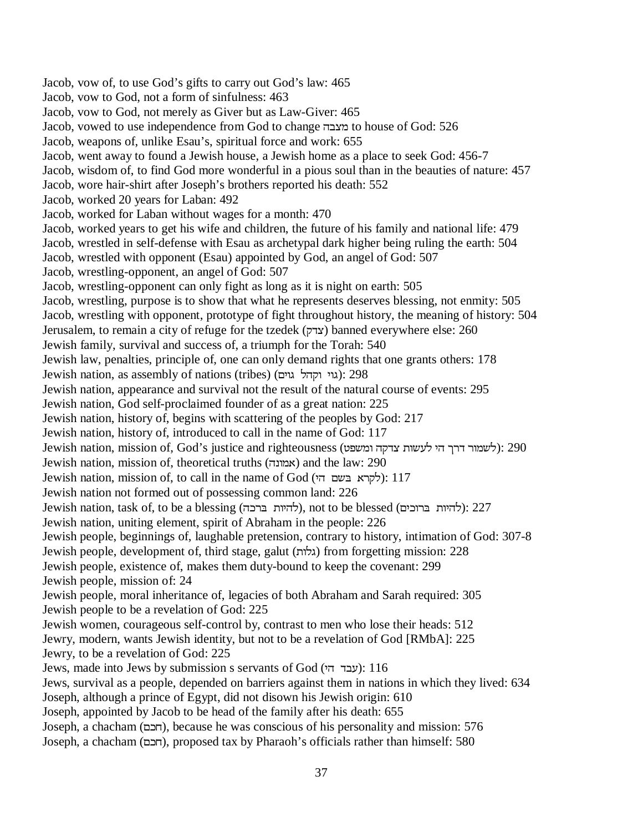Jacob, vow of, to use God's gifts to carry out God's law: 465 Jacob, vow to God, not a form of sinfulness: 463 Jacob, vow to God, not merely as Giver but as Law-Giver: 465 Jacob, vowed to use independence from God to change מצבה to house of God: 526 Jacob, weapons of, unlike Esau's, spiritual force and work: 655 Jacob, went away to found a Jewish house, a Jewish home as a place to seek God: 456-7 Jacob, wisdom of, to find God more wonderful in a pious soul than in the beauties of nature: 457 Jacob, wore hair-shirt after Joseph's brothers reported his death: 552 Jacob, worked 20 years for Laban: 492 Jacob, worked for Laban without wages for a month: 470 Jacob, worked years to get his wife and children, the future of his family and national life: 479 Jacob, wrestled in self-defense with Esau as archetypal dark higher being ruling the earth: 504 Jacob, wrestled with opponent (Esau) appointed by God, an angel of God: 507 Jacob, wrestling-opponent, an angel of God: 507 Jacob, wrestling-opponent can only fight as long as it is night on earth: 505 Jacob, wrestling, purpose is to show that what he represents deserves blessing, not enmity: 505 Jacob, wrestling with opponent, prototype of fight throughout history, the meaning of history: 504 Jerusalem, to remain a city of refuge for the tzedek (HVP) banned everywhere else: 260 Jewish family, survival and success of, a triumph for the Torah: 540 Jewish law, penalties, principle of, one can only demand rights that one grants others: 178 Jewish nation, as assembly of nations (tribes) (גוי וקהל גוים): 298 Jewish nation, appearance and survival not the result of the natural course of events: 295 Jewish nation, God self-proclaimed founder of as a great nation: 225 Jewish nation, history of, begins with scattering of the peoples by God: 217 Jewish nation, history of, introduced to call in the name of God: 117 Jewish nation, mission of, God's justice and righteousness (לשמור דרך הי לעשות צדקה ומשפט): 290 Jewish nation, mission of, theoretical truths (אמונה) and the law: 290 Jewish nation, mission of, to call in the name of God (לקרא בּשם הי): 117 Jewish nation not formed out of possessing common land: 226 Jewish nation, task of, to be a blessing (להיות ברכה), not to be blessed (להיות להיות): 227 Jewish nation, uniting element, spirit of Abraham in the people: 226 Jewish people, beginnings of, laughable pretension, contrary to history, intimation of God: 307-8 Jewish people, development of, third stage, galut (גלות) from forgetting mission: 228 Jewish people, existence of, makes them duty-bound to keep the covenant: 299 Jewish people, mission of: 24 Jewish people, moral inheritance of, legacies of both Abraham and Sarah required: 305 Jewish people to be a revelation of God: 225 Jewish women, courageous self-control by, contrast to men who lose their heads: 512 Jewry, modern, wants Jewish identity, but not to be a revelation of God [RMbA]: 225 Jewry, to be a revelation of God: 225 Jews, made into Jews by submission s servants of God (עבד הי): 116 Jews, survival as a people, depended on barriers against them in nations in which they lived: 634 Joseph, although a prince of Egypt, did not disown his Jewish origin: 610 Joseph, appointed by Jacob to be head of the family after his death: 655 Joseph, a chacham (RIM), because he was conscious of his personality and mission: 576 Joseph, a chacham (RIM), proposed tax by Pharaoh's officials rather than himself: 580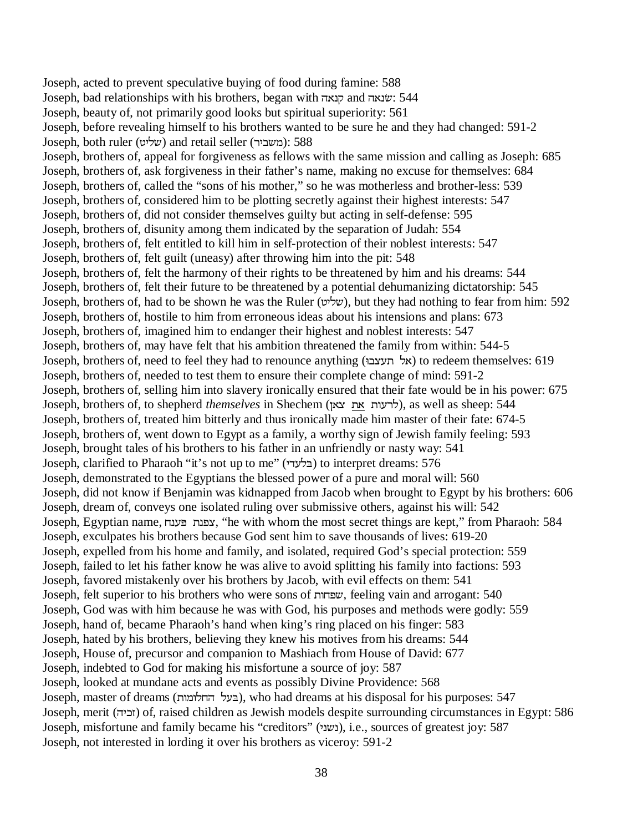Joseph, acted to prevent speculative buying of food during famine: 588 Joseph, bad relationships with his brothers, began with קנאה and  $\ddot{\text{v}}$ Joseph, beauty of, not primarily good looks but spiritual superiority: 561 Joseph, before revealing himself to his brothers wanted to be sure he and they had changed: 591-2 Joseph, both ruler (שליט) and retail seller (במשביר): 588 Joseph, brothers of, appeal for forgiveness as fellows with the same mission and calling as Joseph: 685 Joseph, brothers of, ask forgiveness in their father's name, making no excuse for themselves: 684 Joseph, brothers of, called the "sons of his mother," so he was motherless and brother-less: 539 Joseph, brothers of, considered him to be plotting secretly against their highest interests: 547 Joseph, brothers of, did not consider themselves guilty but acting in self-defense: 595 Joseph, brothers of, disunity among them indicated by the separation of Judah: 554 Joseph, brothers of, felt entitled to kill him in self-protection of their noblest interests: 547 Joseph, brothers of, felt guilt (uneasy) after throwing him into the pit: 548 Joseph, brothers of, felt the harmony of their rights to be threatened by him and his dreams: 544 Joseph, brothers of, felt their future to be threatened by a potential dehumanizing dictatorship: 545 Joseph, brothers of, had to be shown he was the Ruler (\KND), but they had nothing to fear from him: 592 Joseph, brothers of, hostile to him from erroneous ideas about his intensions and plans: 673 Joseph, brothers of, imagined him to endanger their highest and noblest interests: 547 Joseph, brothers of, may have felt that his ambition threatened the family from within: 544-5 Joseph, brothers of, need to feel they had to renounce anything (אל תעצבו) to redeem themselves: 619 Joseph, brothers of, needed to test them to ensure their complete change of mind: 591-2 Joseph, brothers of, selling him into slavery ironically ensured that their fate would be in his power: 675 Joseph, brothers of, to shepherd *themselves* in Shechem (LWPWXJUN), as well as sheep: 544 Joseph, brothers of, treated him bitterly and thus ironically made him master of their fate: 674-5 Joseph, brothers of, went down to Egypt as a family, a worthy sign of Jewish family feeling: 593 Joseph, brought tales of his brothers to his father in an unfriendly or nasty way: 541 Joseph, clarified to Pharaoh "it's not up to me" (בלעדי) to interpret dreams: 576 Joseph, demonstrated to the Egyptians the blessed power of a pure and moral will: 560 Joseph, did not know if Benjamin was kidnapped from Jacob when brought to Egypt by his brothers: 606 Joseph, dream of, conveys one isolated ruling over submissive others, against his will: 542 Joseph, Egyptian name, צפנת פענח, "he with whom the most secret things are kept," from Pharaoh: 584 Joseph, exculpates his brothers because God sent him to save thousands of lives: 619-20 Joseph, expelled from his home and family, and isolated, required God's special protection: 559 Joseph, failed to let his father know he was alive to avoid splitting his family into factions: 593 Joseph, favored mistakenly over his brothers by Jacob, with evil effects on them: 541 Joseph, felt superior to his brothers who were sons of XMSD, feeling vain and arrogant: 540 Joseph, God was with him because he was with God, his purposes and methods were godly: 559 Joseph, hand of, became Pharaoh's hand when king's ring placed on his finger: 583 Joseph, hated by his brothers, believing they knew his motives from his dreams: 544 Joseph, House of, precursor and companion to Mashiach from House of David: 677 Joseph, indebted to God for making his misfortune a source of joy: 587 Joseph, looked at mundane acts and events as possibly Divine Providence: 568 Joseph, master of dreams (בעל החלומות), who had dreams at his disposal for his purposes: 547 Joseph, merit (YKI]) of, raised children as Jewish models despite surrounding circumstances in Egypt: 586 Joseph, misfortune and family became his "creditors" (נשני), i.e., sources of greatest joy: 587 Joseph, not interested in lording it over his brothers as viceroy: 591-2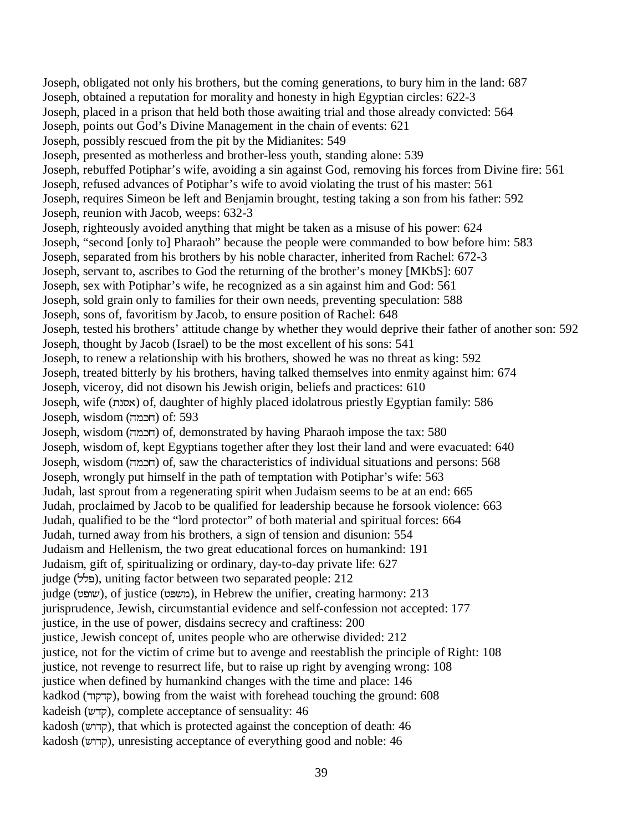Joseph, obligated not only his brothers, but the coming generations, to bury him in the land: 687 Joseph, obtained a reputation for morality and honesty in high Egyptian circles: 622-3 Joseph, placed in a prison that held both those awaiting trial and those already convicted: 564 Joseph, points out God's Divine Management in the chain of events: 621 Joseph, possibly rescued from the pit by the Midianites: 549 Joseph, presented as motherless and brother-less youth, standing alone: 539 Joseph, rebuffed Potiphar's wife, avoiding a sin against God, removing his forces from Divine fire: 561 Joseph, refused advances of Potiphar's wife to avoid violating the trust of his master: 561 Joseph, requires Simeon be left and Benjamin brought, testing taking a son from his father: 592 Joseph, reunion with Jacob, weeps: 632-3 Joseph, righteously avoided anything that might be taken as a misuse of his power: 624 Joseph, "second [only to] Pharaoh" because the people were commanded to bow before him: 583 Joseph, separated from his brothers by his noble character, inherited from Rachel: 672-3 Joseph, servant to, ascribes to God the returning of the brother's money [MKbS]: 607 Joseph, sex with Potiphar's wife, he recognized as a sin against him and God: 561 Joseph, sold grain only to families for their own needs, preventing speculation: 588 Joseph, sons of, favoritism by Jacob, to ensure position of Rachel: 648 Joseph, tested his brothers' attitude change by whether they would deprive their father of another son: 592 Joseph, thought by Jacob (Israel) to be the most excellent of his sons: 541 Joseph, to renew a relationship with his brothers, showed he was no threat as king: 592 Joseph, treated bitterly by his brothers, having talked themselves into enmity against him: 674 Joseph, viceroy, did not disown his Jewish origin, beliefs and practices: 610 Joseph, wife (E[W) of, daughter of highly placed idolatrous priestly Egyptian family: 586  $Joseph, wisdom (תכמה) of: 593$ Joseph, wisdom (חכמה) of, demonstrated by having Pharaoh impose the tax: 580 Joseph, wisdom of, kept Egyptians together after they lost their land and were evacuated: 640 Joseph, wisdom (חבמה) of, saw the characteristics of individual situations and persons: 568 Joseph, wrongly put himself in the path of temptation with Potiphar's wife: 563 Judah, last sprout from a regenerating spirit when Judaism seems to be at an end: 665 Judah, proclaimed by Jacob to be qualified for leadership because he forsook violence: 663 Judah, qualified to be the "lord protector" of both material and spiritual forces: 664 Judah, turned away from his brothers, a sign of tension and disunion: 554 Judaism and Hellenism, the two great educational forces on humankind: 191 Judaism, gift of, spiritualizing or ordinary, day-to-day private life: 627  $j$ iudge (5%), uniting factor between two separated people: 212 judge (\SXD), of justice (\3DQ), in Hebrew the unifier, creating harmony: 213 jurisprudence, Jewish, circumstantial evidence and self-confession not accepted: 177 justice, in the use of power, disdains secrecy and craftiness: 200 justice, Jewish concept of, unites people who are otherwise divided: 212 justice, not for the victim of crime but to avenge and reestablish the principle of Right: 108 justice, not revenge to resurrect life, but to raise up right by avenging wrong: 108 justice when defined by humankind changes with the time and place: 146 kadkod (קדקוד), bowing from the waist with forehead touching the ground: 608 kadeish (קדש), complete acceptance of sensuality: 46 kadosh (קדוש), that which is protected against the conception of death: 46 kadosh (קדוש), unresisting acceptance of everything good and noble: 46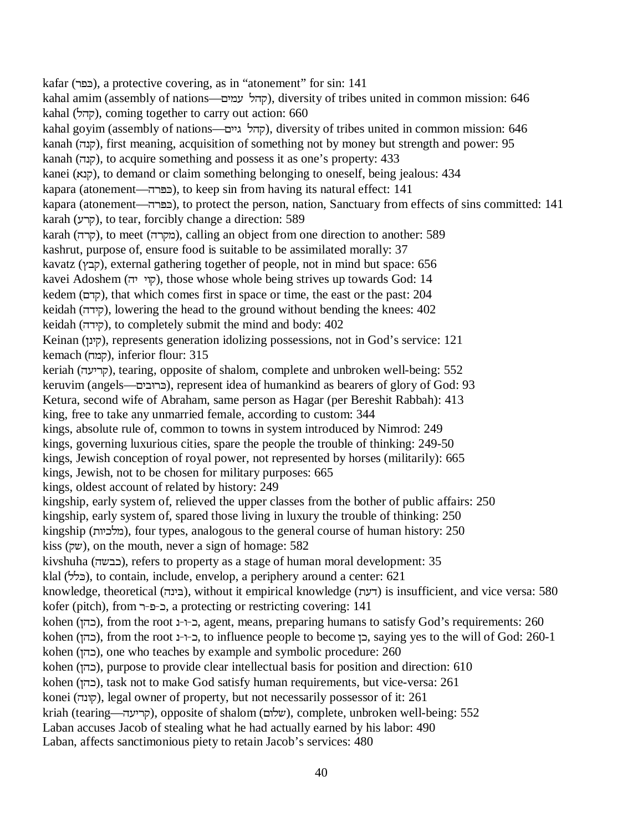kafar (כפר), a protective covering, as in "atonement" for sin: 141 kahal amim (assembly of nations—קהל עמים), diversity of tribes united in common mission: 646 kahal (קהל), coming together to carry out action: 660 kahal goyim (assembly of nations—קהל גיים), diversity of tribes united in common mission: 646 kanah (קנה), first meaning, acquisition of something not by money but strength and power: 95 kanah (קנה), to acquire something and possess it as one's property: 433 kanei (קנא), to demand or claim something belonging to oneself, being jealous: 434 kapara (atonement—הפרדה), to keep sin from having its natural effect: 141 kapara (atonement—
ighthorories (cert the person, nation, Sanctuary from effects of sins committed: 141 karah (קרע), to tear, forcibly change a direction: 589 karah (קרה), to meet (מקרה), calling an object from one direction to another: 589 kashrut, purpose of, ensure food is suitable to be assimilated morally: 37 kavatz (קבץ), external gathering together of people, not in mind but space: 656 kavei Adoshem (קוי יה), those whose whole being strives up towards God: 14 kedem (קדם), that which comes first in space or time, the east or the past: 204 keidah (קידה), lowering the head to the ground without bending the knees: 402 keidah (קידה), to completely submit the mind and body: 402 Keinan (קינן), represents generation idolizing possessions, not in God's service: 121 kemach (קמה), inferior flour: 315 keriah (קריעה), tearing, opposite of shalom, complete and unbroken well-being: 552 keruvim (angels—הרובים), represent idea of humankind as bearers of glory of God: 93 Ketura, second wife of Abraham, same person as Hagar (per Bereshit Rabbah): 413 king, free to take any unmarried female, according to custom: 344 kings, absolute rule of, common to towns in system introduced by Nimrod: 249 kings, governing luxurious cities, spare the people the trouble of thinking: 249-50 kings, Jewish conception of royal power, not represented by horses (militarily): 665 kings, Jewish, not to be chosen for military purposes: 665 kings, oldest account of related by history: 249 kingship, early system of, relieved the upper classes from the bother of public affairs: 250 kingship, early system of, spared those living in luxury the trouble of thinking: 250 kingship (מלכיות), four types, analogous to the general course of human history: 250 kiss (שק), on the mouth, never a sign of homage: 582 kivshuha (כבשה), refers to property as a stage of human moral development: 35 klal (בלל), to contain, include, envelop, a periphery around a center: 621 knowledge, theoretical (בינה), without it empirical knowledge (דעת) is insufficient, and vice versa: 580 kofer (pitch), from ר-פ-ר, a protecting or restricting covering: 141 kohen (בהן), from the root ב-1-1, agent, means, preparing humans to satisfy God's requirements: 260 kohen (בהן), from the root ב- $-1$ , to influence people to become כ), saying yes to the will of God: 260-1 kohen (כהן), one who teaches by example and symbolic procedure: 260 kohen (בהן), purpose to provide clear intellectual basis for position and direction: 610 kohen (LYI), task not to make God satisfy human requirements, but vice-versa: 261 konei (קונה), legal owner of property, but not necessarily possessor of it: 261 kriah (tearing—קריעה), opposite of shalom (שלום), complete, unbroken well-being: 552 Laban accuses Jacob of stealing what he had actually earned by his labor: 490 Laban, affects sanctimonious piety to retain Jacob's services: 480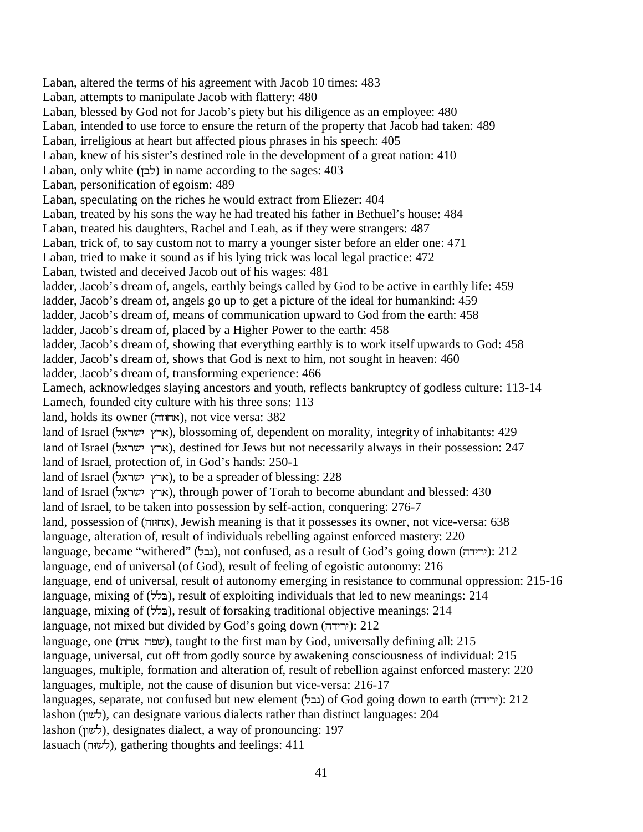Laban, altered the terms of his agreement with Jacob 10 times: 483 Laban, attempts to manipulate Jacob with flattery: 480 Laban, blessed by God not for Jacob's piety but his diligence as an employee: 480 Laban, intended to use force to ensure the return of the property that Jacob had taken: 489 Laban, irreligious at heart but affected pious phrases in his speech: 405 Laban, knew of his sister's destined role in the development of a great nation: 410 Laban, only white (לבן) in name according to the sages:  $403$ Laban, personification of egoism: 489 Laban, speculating on the riches he would extract from Eliezer: 404 Laban, treated by his sons the way he had treated his father in Bethuel's house: 484 Laban, treated his daughters, Rachel and Leah, as if they were strangers: 487 Laban, trick of, to say custom not to marry a younger sister before an elder one: 471 Laban, tried to make it sound as if his lying trick was local legal practice: 472 Laban, twisted and deceived Jacob out of his wages: 481 ladder, Jacob's dream of, angels, earthly beings called by God to be active in earthly life: 459 ladder, Jacob's dream of, angels go up to get a picture of the ideal for humankind: 459 ladder, Jacob's dream of, means of communication upward to God from the earth: 458 ladder, Jacob's dream of, placed by a Higher Power to the earth: 458 ladder, Jacob's dream of, showing that everything earthly is to work itself upwards to God: 458 ladder, Jacob's dream of, shows that God is next to him, not sought in heaven: 460 ladder, Jacob's dream of, transforming experience: 466 Lamech, acknowledges slaying ancestors and youth, reflects bankruptcy of godless culture: 113-14 Lamech, founded city culture with his three sons: 113 land, holds its owner (אחוזה), not vice versa: 382 land of Israel (אדץ ישראל), blossoming of, dependent on morality, integrity of inhabitants: 429 land of Israel (ארץ ישראל), destined for Jews but not necessarily always in their possession: 247 land of Israel, protection of, in God's hands: 250-1 land of Israel (ארץ ישראל), to be a spreader of blessing: 228 land of Israel (ארץ ישראל), through power of Torah to become abundant and blessed: 430 land of Israel, to be taken into possession by self-action, conquering: 276-7 land, possession of (אחוזה), Jewish meaning is that it possesses its owner, not vice-versa: 638 language, alteration of, result of individuals rebelling against enforced mastery: 220 language, became "withered" (נבל), not confused, as a result of God's going down (ירידה): 212 language, end of universal (of God), result of feeling of egoistic autonomy: 216 language, end of universal, result of autonomy emerging in resistance to communal oppression: 215-16 language, mixing of (בלל), result of exploiting individuals that led to new meanings: 214 language, mixing of (בלל), result of forsaking traditional objective meanings: 214 language, not mixed but divided by God's going down  $($ ירידה): 212 language, one (שפה אחת), taught to the first man by God, universally defining all: 215 language, universal, cut off from godly source by awakening consciousness of individual: 215 languages, multiple, formation and alteration of, result of rebellion against enforced mastery: 220 languages, multiple, not the cause of disunion but vice-versa: 216-17 languages, separate, not confused but new element (נבל) of God going down to earth ( $\gamma$ ירידה): 212 lashon (לשון), can designate various dialects rather than distinct languages: 204 lashon (לשון), designates dialect, a way of pronouncing: 197 lasuach (לשוּח), gathering thoughts and feelings: 411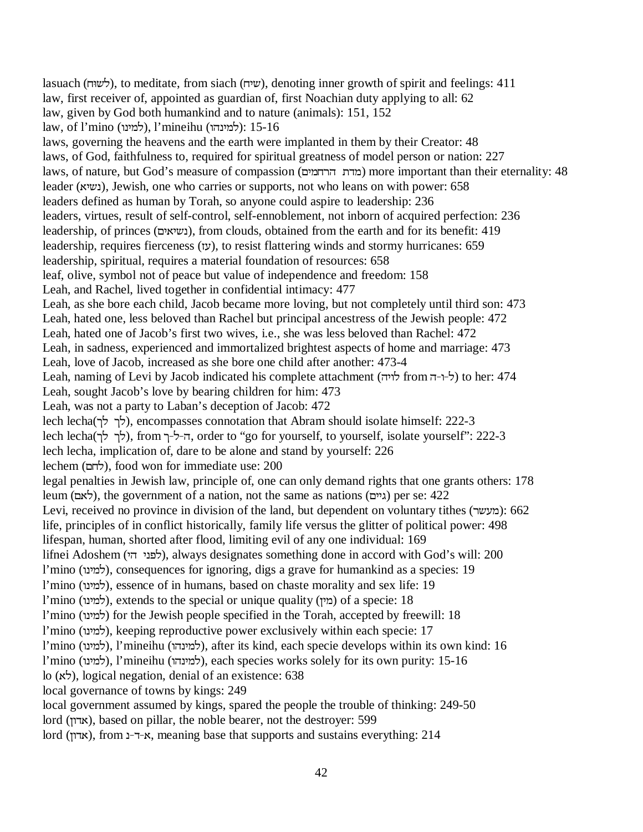lasuach (לשוּה), to meditate, from siach (שיה), denoting inner growth of spirit and feelings: 411 law, first receiver of, appointed as guardian of, first Noachian duty applying to all: 62 law, given by God both humankind and to nature (animals): 151, 152 law, of l'mino (למינה), l'mineihu (למינה): 15-16 laws, governing the heavens and the earth were implanted in them by their Creator: 48 laws, of God, faithfulness to, required for spiritual greatness of model person or nation: 227 laws, of nature, but God's measure of compassion (מדת הרחמים) more important than their eternality: 48 leader (נשיא), Jewish, one who carries or supports, not who leans on with power: 658 leaders defined as human by Torah, so anyone could aspire to leadership: 236 leaders, virtues, result of self-control, self-ennoblement, not inborn of acquired perfection: 236 leadership, of princes (נשיאים), from clouds, obtained from the earth and for its benefit: 419 leadership, requires fierceness ( $y$ ), to resist flattering winds and stormy hurricanes: 659 leadership, spiritual, requires a material foundation of resources: 658 leaf, olive, symbol not of peace but value of independence and freedom: 158 Leah, and Rachel, lived together in confidential intimacy: 477 Leah, as she bore each child, Jacob became more loving, but not completely until third son: 473 Leah, hated one, less beloved than Rachel but principal ancestress of the Jewish people: 472 Leah, hated one of Jacob's first two wives, i.e., she was less beloved than Rachel: 472 Leah, in sadness, experienced and immortalized brightest aspects of home and marriage: 473 Leah, love of Jacob, increased as she bore one child after another: 473-4 Leah, naming of Levi by Jacob indicated his complete attachment ( $\forall$ ו-ד from ל- $\forall$ ) to her: 474 Leah, sought Jacob's love by bearing children for him: 473 Leah, was not a party to Laban's deception of Jacob: 472 lech lecha(לך לך ל), encompasses connotation that Abram should isolate himself: 222-3 lech lecha(לך לך לר), from ה-ל-ך, order to "go for yourself, to yourself, isolate yourself": 222-3 lech lecha, implication of, dare to be alone and stand by yourself: 226 lechem (לחם), food won for immediate use: 200 legal penalties in Jewish law, principle of, one can only demand rights that one grants others: 178 leum (גיים), the government of a nation, not the same as nations (גיים) per se: 422 Levi, received no province in division of the land, but dependent on voluntary tithes (מעשר): 662 life, principles of in conflict historically, family life versus the glitter of political power: 498 lifespan, human, shorted after flood, limiting evil of any one individual: 169 lifnei Adoshem (לפני הי), always designates something done in accord with God's will: 200  $l'$ mino (למינו), consequences for ignoring, digs a grave for humankind as a species: 19  $l'$ mino (למינו), essence of in humans, based on chaste morality and sex life: 19 l'mino (למינו), extends to the special or unique quality (מין) of a specie: 18  $l'$ mino (למינו) for the Jewish people specified in the Torah, accepted by freewill: 18  $l'$ mino (למינו), keeping reproductive power exclusively within each specie: 17  $l'$ mino (למינו), l'mineihu (למינהו), after its kind, each specie develops within its own kind: 16  $l'$ mino (למינו), l'mineihu (למינהו), each species works solely for its own purity: 15-16 lo (WN), logical negation, denial of an existence: 638 local governance of towns by kings: 249 local government assumed by kings, spared the people the trouble of thinking: 249-50 lord (אדון), based on pillar, the noble bearer, not the destroyer: 599

lord (אדון), from א-ד-נ, meaning base that supports and sustains everything: 214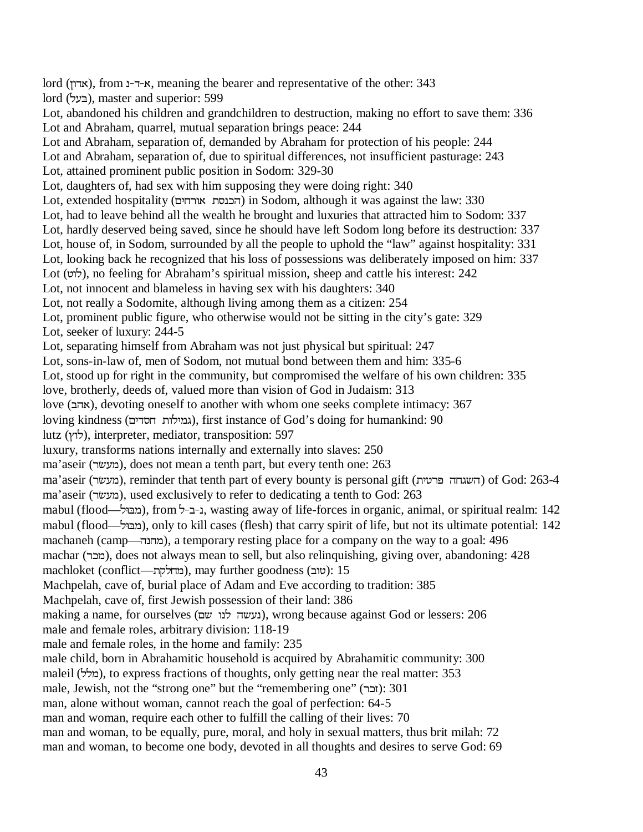lord (אדון), from --- א-ד-ב, meaning the bearer and representative of the other: 343 lord (בעל), master and superior: 599 Lot, abandoned his children and grandchildren to destruction, making no effort to save them: 336 Lot and Abraham, quarrel, mutual separation brings peace: 244 Lot and Abraham, separation of, demanded by Abraham for protection of his people: 244 Lot and Abraham, separation of, due to spiritual differences, not insufficient pasturage: 243 Lot, attained prominent public position in Sodom: 329-30 Lot, daughters of, had sex with him supposing they were doing right: 340 Lot, extended hospitality (הכנסת אורחים) in Sodom, although it was against the law: 330 Lot, had to leave behind all the wealth he brought and luxuries that attracted him to Sodom: 337 Lot, hardly deserved being saved, since he should have left Sodom long before its destruction: 337 Lot, house of, in Sodom, surrounded by all the people to uphold the "law" against hospitality: 331 Lot, looking back he recognized that his loss of possessions was deliberately imposed on him: 337 Lot (\XN), no feeling for Abraham's spiritual mission, sheep and cattle his interest: 242 Lot, not innocent and blameless in having sex with his daughters: 340 Lot, not really a Sodomite, although living among them as a citizen: 254 Lot, prominent public figure, who otherwise would not be sitting in the city's gate: 329 Lot, seeker of luxury: 244-5 Lot, separating himself from Abraham was not just physical but spiritual: 247 Lot, sons-in-law of, men of Sodom, not mutual bond between them and him: 335-6 Lot, stood up for right in the community, but compromised the welfare of his own children: 335 love, brotherly, deeds of, valued more than vision of God in Judaism: 313 love (אהב), devoting oneself to another with whom one seeks complete intimacy: 367 loving kindness (גמילות חסדים), first instance of God's doing for humankind: 90 lutz (לוץ), interpreter, mediator, transposition: 597 luxury, transforms nations internally and externally into slaves: 250 ma'aseir (מעשׂר), does not mean a tenth part, but every tenth one: 263 ma'aseir (מעשׂר), reminder that tenth part of every bounty is personal gift (השגחה פרטית) of God: 263-4 ma'aseir (מעשׂר), used exclusively to refer to dedicating a tenth to God: 263 mabul (flood—א<sub>ו</sub>ב-ב-ל), wasting away of life-forces in organic, animal, or spiritual realm: 142 mabul (flood—), only to kill cases (flesh) that carry spirit of life, but not its ultimate potential: 142 machaneh (camp—מחנה), a temporary resting place for a company on the way to a goal: 496 machar (מכר), does not always mean to sell, but also relinquishing, giving over, abandoning: 428 machloket (conflict—תחלקת), may further goodness (טוב): 15 Machpelah, cave of, burial place of Adam and Eve according to tradition: 385 Machpelah, cave of, first Jewish possession of their land: 386 making a name, for ourselves (נעשה לנו שם), wrong because against God or lessers: 206 male and female roles, arbitrary division: 118-19 male and female roles, in the home and family: 235 male child, born in Abrahamitic household is acquired by Abrahamitic community: 300 maleil (מלל), to express fractions of thoughts, only getting near the real matter: 353 male, Jewish, not the "strong one" but the "remembering one" (וכר): 301 man, alone without woman, cannot reach the goal of perfection: 64-5 man and woman, require each other to fulfill the calling of their lives: 70 man and woman, to be equally, pure, moral, and holy in sexual matters, thus brit milah: 72 man and woman, to become one body, devoted in all thoughts and desires to serve God: 69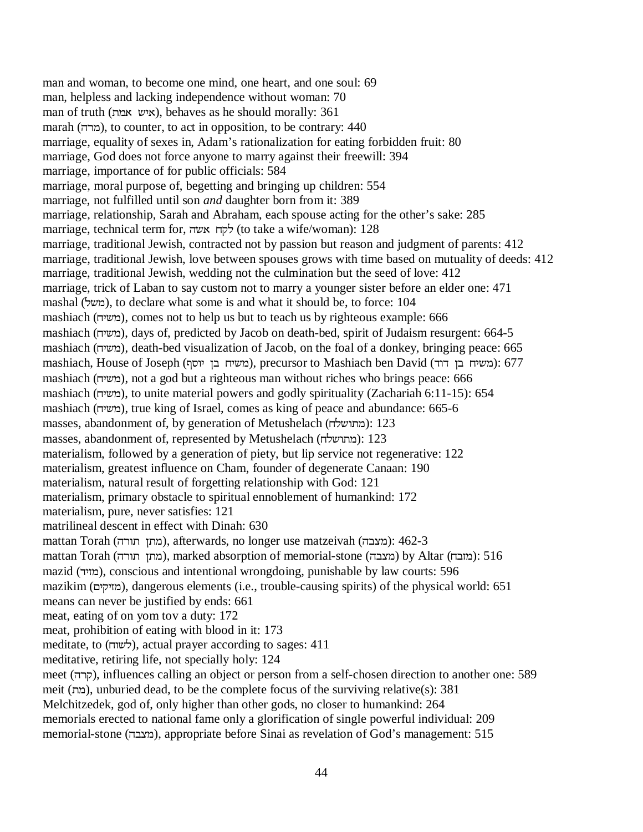man and woman, to become one mind, one heart, and one soul: 69 man, helpless and lacking independence without woman: 70 man of truth (איש אמה), behaves as he should morally: 361 marah (מרה), to counter, to act in opposition, to be contrary: 440 marriage, equality of sexes in, Adam's rationalization for eating forbidden fruit: 80 marriage, God does not force anyone to marry against their freewill: 394 marriage, importance of for public officials: 584 marriage, moral purpose of, begetting and bringing up children: 554 marriage, not fulfilled until son *and* daughter born from it: 389 marriage, relationship, Sarah and Abraham, each spouse acting for the other's sake: 285 marriage, technical term for, לקח אשה (to take a wife/woman): 128 marriage, traditional Jewish, contracted not by passion but reason and judgment of parents: 412 marriage, traditional Jewish, love between spouses grows with time based on mutuality of deeds: 412 marriage, traditional Jewish, wedding not the culmination but the seed of love: 412 marriage, trick of Laban to say custom not to marry a younger sister before an elder one: 471 mashal (משל), to declare what some is and what it should be, to force: 104 mashiach (משיח), comes not to help us but to teach us by righteous example: 666 mashiach (משיח), days of, predicted by Jacob on death-bed, spirit of Judaism resurgent: 664-5 mashiach (משיה), death-bed visualization of Jacob, on the foal of a donkey, bringing peace: 665 mashiach, House of Joseph (משיח בן יוסף), precursor to Mashiach ben David (משיח בן דוד): 677 mashiach (משיח), not a god but a righteous man without riches who brings peace: 666 mashiach (משיח), to unite material powers and godly spirituality (Zachariah 6:11-15): 654 mashiach (משיח), true king of Israel, comes as king of peace and abundance: 665-6 masses, abandonment of, by generation of Metushelach (מתושלה): 123 masses, abandonment of, represented by Metushelach (מתושלה): 123 materialism, followed by a generation of piety, but lip service not regenerative: 122 materialism, greatest influence on Cham, founder of degenerate Canaan: 190 materialism, natural result of forgetting relationship with God: 121 materialism, primary obstacle to spiritual ennoblement of humankind: 172 materialism, pure, never satisfies: 121 matrilineal descent in effect with Dinah: 630 mattan Torah (מתן תורה), afterwards, no longer use matzeivah (מעבה): 462-3 mattan Torah (מתון תורה), marked absorption of memorial-stone (מצבה) by Altar (מזבח): 516 mazid (מוד), conscious and intentional wrongdoing, punishable by law courts: 596 mazikim (RKHK]Q), dangerous elements (i.e., trouble-causing spirits) of the physical world: 651 means can never be justified by ends: 661 meat, eating of on yom tov a duty: 172 meat, prohibition of eating with blood in it: 173 meditate, to  $(\forall w\vec{v})$ , actual prayer according to sages: 411 meditative, retiring life, not specially holy: 124 meet (קרה), influences calling an object or person from a self-chosen direction to another one: 589 meit (מה), unburied dead, to be the complete focus of the surviving relative(s): 381 Melchitzedek, god of, only higher than other gods, no closer to humankind: 264 memorials erected to national fame only a glorification of single powerful individual: 209 memorial-stone (מצבה), appropriate before Sinai as revelation of God's management: 515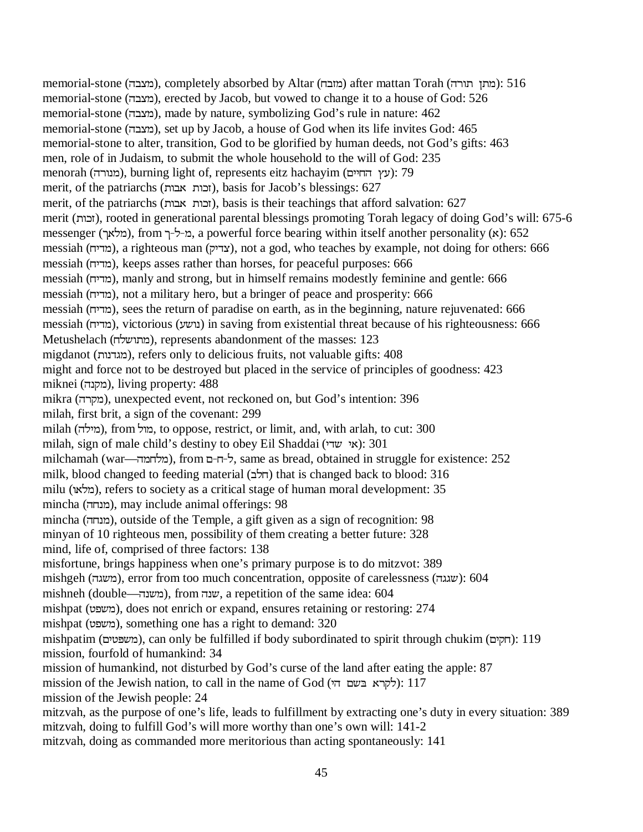memorial-stone (מצבה), completely absorbed by Altar (מובח) after mattan Torah (מורה): 516 memorial-stone (מצבה), erected by Jacob, but vowed to change it to a house of God: 526 memorial-stone (מצבה), made by nature, symbolizing God's rule in nature: 462 memorial-stone (מצבה), set up by Jacob, a house of God when its life invites God: 465 memorial-stone to alter, transition, God to be glorified by human deeds, not God's gifts: 463 men, role of in Judaism, to submit the whole household to the will of God: 235 menorah (מנורה), burning light of, represents eitz hachayim (מנורה): 79 merit, of the patriarchs (XFWXI]), basis for Jacob's blessings: 627 merit, of the patriarchs (XFWXI]), basis is their teachings that afford salvation: 627 merit (XI]), rooted in generational parental blessings promoting Torah legacy of doing God's will: 675-6 messenger (מלאך), from מ-ל-ך, a powerful force bearing within itself another personality (x): 652 messiah (מדיח), a righteous man (צדיק), not a god, who teaches by example, not doing for others: 666 messiah (מדיח), keeps asses rather than horses, for peaceful purposes: 666 messiah (מדיח), manly and strong, but in himself remains modestly feminine and gentle: 666 messiah (מדיח), not a military hero, but a bringer of peace and prosperity: 666 messiah (מדיח), sees the return of paradise on earth, as in the beginning, nature rejuvenated: 666 messiah (מדיח), victorious (נושע) in saving from existential threat because of his righteousness: 666 Metushelach (מתושלה), represents abandonment of the masses: 123 migdanot (מגדנות), refers only to delicious fruits, not valuable gifts: 408 might and force not to be destroyed but placed in the service of principles of goodness: 423 miknei (מקנה), living property: 488 mikra (מקרה), unexpected event, not reckoned on, but God's intention: 396 milah, first brit, a sign of the covenant: 299 milah (מילה), from מול, to oppose, restrict, or limit, and, with arlah, to cut: 300 milah, sign of male child's destiny to obey Eil Shaddai (אי שדי): 301 milchamah (war—ל-ח-ם), from ל-ח-ם, same as bread, obtained in struggle for existence: 252 milk, blood changed to feeding material  $(\pi\tau)$  that is changed back to blood: 316 milu (מלאו), refers to society as a critical stage of human moral development: 35 mincha (מנחה), may include animal offerings: 98 mincha (YMEQ), outside of the Temple, a gift given as a sign of recognition: 98 minyan of 10 righteous men, possibility of them creating a better future: 328 mind, life of, comprised of three factors: 138 misfortune, brings happiness when one's primary purpose is to do mitzvot: 389 mishgeh (משגה), error from too much concentration, opposite of carelessness (שגגה): 604 mishneh (double—משנה), from שנה, a repetition of the same idea: 604 mishpat (משפט), does not enrich or expand, ensures retaining or restoring: 274 mishpat (משפט), something one has a right to demand: 320 mishpatim (משפטים), can only be fulfilled if body subordinated to spirit through chukim (רחקים): 119 mission, fourfold of humankind: 34 mission of humankind, not disturbed by God's curse of the land after eating the apple: 87  $mission$  of the Jewish nation, to call in the name of God (לקרא בּשם הי): 117 mission of the Jewish people: 24 mitzvah, as the purpose of one's life, leads to fulfillment by extracting one's duty in every situation: 389 mitzvah, doing to fulfill God's will more worthy than one's own will: 141-2 mitzvah, doing as commanded more meritorious than acting spontaneously: 141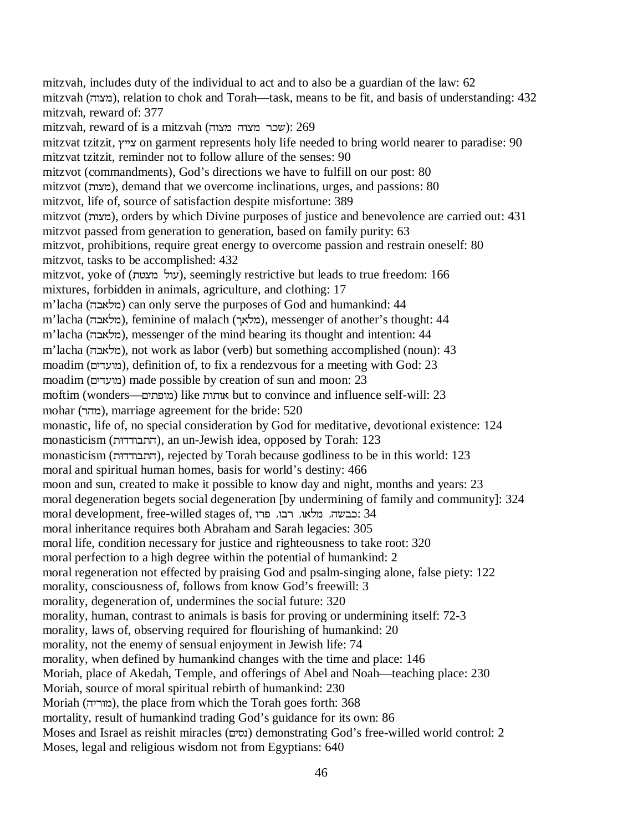mitzvah, includes duty of the individual to act and to also be a guardian of the law: 62  $m$ itzvah (מצוה), relation to chok and Torah—task, means to be fit, and basis of understanding: 432 mitzvah, reward of: 377  $m$ itzvah, reward of is a mitzvah (שכר מצוה שלו $(269)$ mitzvat tzitzit, צייץ on garment represents holy life needed to bring world nearer to paradise: 90 mitzvat tzitzit, reminder not to follow allure of the senses: 90 mitzvot (commandments), God's directions we have to fulfill on our post: 80 mitzvot (XPQ), demand that we overcome inclinations, urges, and passions: 80 mitzvot, life of, source of satisfaction despite misfortune: 389 mitzvot (מצות), orders by which Divine purposes of justice and benevolence are carried out: 431 mitzvot passed from generation to generation, based on family purity: 63 mitzvot, prohibitions, require great energy to overcome passion and restrain oneself: 80 mitzvot, tasks to be accomplished: 432 mitzvot, yoke of (עול מצטח), seemingly restrictive but leads to true freedom: 166 mixtures, forbidden in animals, agriculture, and clothing: 17 m'lacha (מלאכה) can only serve the purposes of God and humankind: 44 m'lacha (מלאכה), feminine of malach (מלאך), messenger of another's thought: 44 m'lacha (מלאכה), messenger of the mind bearing its thought and intention: 44 m'lacha (מלאבה), not work as labor (verb) but something accomplished (noun): 43 moadim (מועדים), definition of, to fix a rendezvous for a meeting with God: 23 moadim (מועדים) made possible by creation of sun and moon: 23 moftim (wonders—RKSXQ) like XXW but to convince and influence self-will: 23 mohar (מהר), marriage agreement for the bride: 520 monastic, life of, no special consideration by God for meditative, devotional existence: 124 monasticism (התבודדות), an un-Jewish idea, opposed by Torah: 123 monasticism (התבודדות), rejected by Torah because godliness to be in this world: 123 moral and spiritual human homes, basis for world's destiny: 466 moon and sun, created to make it possible to know day and night, months and years: 23 moral degeneration begets social degeneration [by undermining of family and community]: 324 moral development, free-willed stages of, יכבשה, מלאו, רבו, פרו moral inheritance requires both Abraham and Sarah legacies: 305 moral life, condition necessary for justice and righteousness to take root: 320 moral perfection to a high degree within the potential of humankind: 2 moral regeneration not effected by praising God and psalm-singing alone, false piety: 122 morality, consciousness of, follows from know God's freewill: 3 morality, degeneration of, undermines the social future: 320 morality, human, contrast to animals is basis for proving or undermining itself: 72-3 morality, laws of, observing required for flourishing of humankind: 20 morality, not the enemy of sensual enjoyment in Jewish life: 74 morality, when defined by humankind changes with the time and place: 146 Moriah, place of Akedah, Temple, and offerings of Abel and Noah—teaching place: 230 Moriah, source of moral spiritual rebirth of humankind: 230 Moriah (מוריה), the place from which the Torah goes forth: 368 mortality, result of humankind trading God's guidance for its own: 86 Moses and Israel as reishit miracles (RK[E) demonstrating God's free-willed world control: 2 Moses, legal and religious wisdom not from Egyptians: 640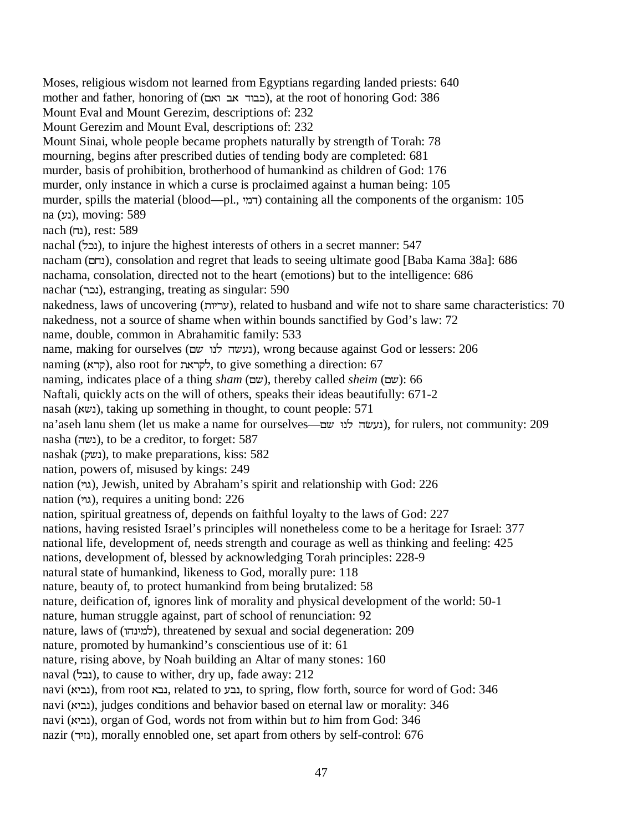Moses, religious wisdom not learned from Egyptians regarding landed priests: 640 mother and father, honoring of (RWXFWVXFI), at the root of honoring God: 386 Mount Eval and Mount Gerezim, descriptions of: 232 Mount Gerezim and Mount Eval, descriptions of: 232 Mount Sinai, whole people became prophets naturally by strength of Torah: 78 mourning, begins after prescribed duties of tending body are completed: 681 murder, basis of prohibition, brotherhood of humankind as children of God: 176 murder, only instance in which a curse is proclaimed against a human being: 105 murder, spills the material (blood—pl., דמי) containing all the components of the organism: 105 na (נע), moving: 589 nach (נח), rest: 589 nachal (NIE), to injure the highest interests of others in a secret manner: 547 nacham (נחם), consolation and regret that leads to seeing ultimate good [Baba Kama 38a]: 686 nachama, consolation, directed not to the heart (emotions) but to the intelligence: 686 nachar (נכר), estranging, treating as singular: 590 nakedness, laws of uncovering (XKUJ), related to husband and wife not to share same characteristics: 70 nakedness, not a source of shame when within bounds sanctified by God's law: 72 name, double, common in Abrahamitic family: 533 name, making for ourselves (נעשה לנו שם), wrong because against God or lessers: 206 naming (קרא), also root for לקראת, to give something a direction: 67 naming, indicates place of a thing *sham* (RD), thereby called *sheim* (RD): 66 Naftali, quickly acts on the will of others, speaks their ideas beautifully: 671-2 nasah (נשא), taking up something in thought, to count people: 571 na'aseh lanu shem (let us make a name for ourselves—נעשׂה לנוּ שם), for rulers, not community: 209 nasha (נשה), to be a creditor, to forget: 587 nashak (נשק), to make preparations, kiss: 582 nation, powers of, misused by kings: 249 nation (גוי), Jewish, united by Abraham's spirit and relationship with God: 226 nation (גוי), requires a uniting bond: 226 nation, spiritual greatness of, depends on faithful loyalty to the laws of God: 227 nations, having resisted Israel's principles will nonetheless come to be a heritage for Israel: 377 national life, development of, needs strength and courage as well as thinking and feeling: 425 nations, development of, blessed by acknowledging Torah principles: 228-9 natural state of humankind, likeness to God, morally pure: 118 nature, beauty of, to protect humankind from being brutalized: 58 nature, deification of, ignores link of morality and physical development of the world: 50-1 nature, human struggle against, part of school of renunciation: 92 nature, laws of (למינהו), threatened by sexual and social degeneration: 209 nature, promoted by humankind's conscientious use of it: 61 nature, rising above, by Noah building an Altar of many stones: 160 naval (נבל), to cause to wither, dry up, fade away: 212 navi (נביא), from root נבא, related to נבע, to spring, flow forth, source for word of God: 346 navi (גביא), judges conditions and behavior based on eternal law or morality: 346 navi (WKFE), organ of God, words not from within but *to* him from God: 346 nazir (UK]E), morally ennobled one, set apart from others by self-control: 676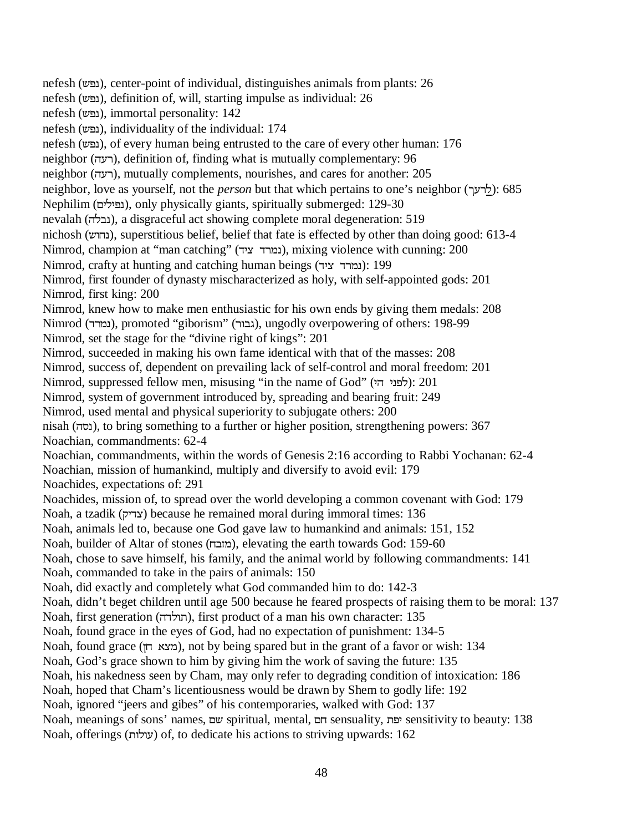nefesh (DSE), center-point of individual, distinguishes animals from plants: 26 nefesh (נפש), definition of, will, starting impulse as individual: 26 nefesh (נפש), immortal personality:  $142$ nefesh (נפש), individuality of the individual: 174 nefesh (נפש), of every human being entrusted to the care of every other human: 176 neighbor (רעה), definition of, finding what is mutually complementary: 96 neighbor (רעה), mutually complements, nourishes, and cares for another: 205 neighbor, love as yourself, not the *person* but that which pertains to one's neighbor (לרעך): 685 Nephilim (נפילים), only physically giants, spiritually submerged: 129-30 nevalah (נבלה), a disgraceful act showing complete moral degeneration: 519 nichosh (DXME), superstitious belief, belief that fate is effected by other than doing good: 613-4 Nimrod, champion at "man catching" (נמרד ציד), mixing violence with cunning: 200 Nimrod, crafty at hunting and catching human beings (נמרד ציד): 199 Nimrod, first founder of dynasty mischaracterized as holy, with self-appointed gods: 201 Nimrod, first king: 200 Nimrod, knew how to make men enthusiastic for his own ends by giving them medals: 208 Nimrod (נמרד), promoted "giborism" (גבור), ungodly overpowering of others: 198-99 Nimrod, set the stage for the "divine right of kings": 201 Nimrod, succeeded in making his own fame identical with that of the masses: 208 Nimrod, success of, dependent on prevailing lack of self-control and moral freedom: 201 Nimrod, suppressed fellow men, misusing "in the name of God" (לפני הי): 201 Nimrod, system of government introduced by, spreading and bearing fruit: 249 Nimrod, used mental and physical superiority to subjugate others: 200 nisah (Y[E), to bring something to a further or higher position, strengthening powers: 367 Noachian, commandments: 62-4 Noachian, commandments, within the words of Genesis 2:16 according to Rabbi Yochanan: 62-4 Noachian, mission of humankind, multiply and diversify to avoid evil: 179 Noachides, expectations of: 291 Noachides, mission of, to spread over the world developing a common covenant with God: 179 Noah, a tzadik (HKVP) because he remained moral during immoral times: 136 Noah, animals led to, because one God gave law to humankind and animals: 151, 152 Noah, builder of Altar of stones (מובח), elevating the earth towards God: 159-60 Noah, chose to save himself, his family, and the animal world by following commandments: 141 Noah, commanded to take in the pairs of animals: 150 Noah, did exactly and completely what God commanded him to do: 142-3 Noah, didn't beget children until age 500 because he feared prospects of raising them to be moral: 137 Noah, first generation (תולדה), first product of a man his own character: 135 Noah, found grace in the eyes of God, had no expectation of punishment: 134-5 Noah, found grace (מצא חן), not by being spared but in the grant of a favor or wish: 134 Noah, God's grace shown to him by giving him the work of saving the future: 135 Noah, his nakedness seen by Cham, may only refer to degrading condition of intoxication: 186 Noah, hoped that Cham's licentiousness would be drawn by Shem to godly life: 192 Noah, ignored "jeers and gibes" of his contemporaries, walked with God: 137 Noah, meanings of sons' names, וכת spiritual, mental, דם sensuality, יפת sensitivity to beauty: 138 Noah, offerings (עולות) of, to dedicate his actions to striving upwards:  $162$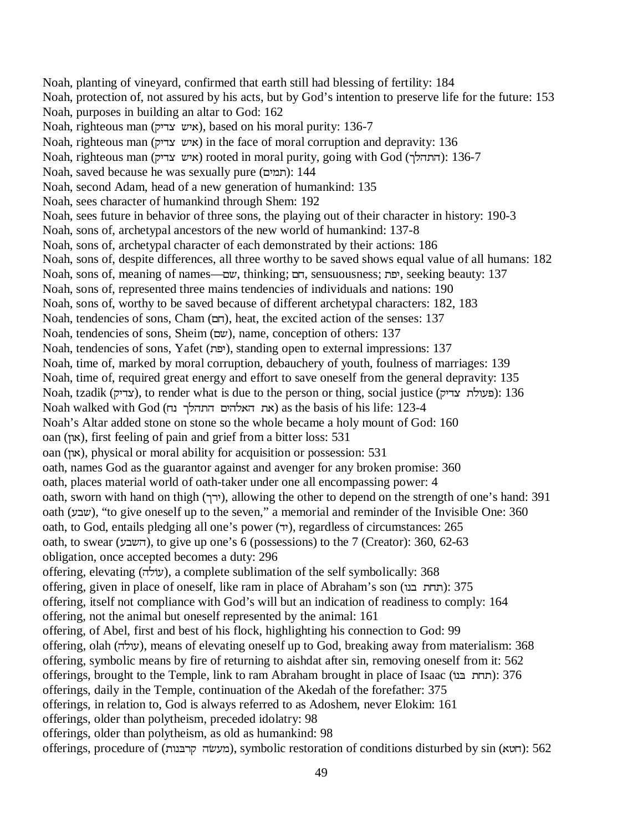Noah, planting of vineyard, confirmed that earth still had blessing of fertility: 184 Noah, protection of, not assured by his acts, but by God's intention to preserve life for the future: 153 Noah, purposes in building an altar to God: 162 Noah, righteous man (איש צדיק), based on his moral purity: 136-7 Noah, righteous man (איש צדיק) in the face of moral corruption and depravity: 136 Noah, righteous man (איש צדיק) rooted in moral purity, going with God (התהלך): 136-7 Noah, saved because he was sexually pure (תמים): 144 Noah, second Adam, head of a new generation of humankind: 135 Noah, sees character of humankind through Shem: 192 Noah, sees future in behavior of three sons, the playing out of their character in history: 190-3 Noah, sons of, archetypal ancestors of the new world of humankind: 137-8 Noah, sons of, archetypal character of each demonstrated by their actions: 186 Noah, sons of, despite differences, all three worthy to be saved shows equal value of all humans: 182 Noah, sons of, meaning of names—עם, thinking; רב, sensuousness; יפת, seeking beauty: 137 Noah, sons of, represented three mains tendencies of individuals and nations: 190 Noah, sons of, worthy to be saved because of different archetypal characters: 182, 183 Noah, tendencies of sons, Cham  $(\Box \Box)$ , heat, the excited action of the senses: 137 Noah, tendencies of sons, Sheim (RD), name, conception of others: 137 Noah, tendencies of sons, Yafet (יפת), standing open to external impressions: 137 Noah, time of, marked by moral corruption, debauchery of youth, foulness of marriages: 139 Noah, time of, required great energy and effort to save oneself from the general depravity: 135 Noah, tzadik (צדיק), to render what is due to the person or thing, social justice (פעולת צדיק): 136 Noah walked with God (את האלהים התהלך נח) as the basis of his life: 123-4 Noah's Altar added stone on stone so the whole became a holy mount of God: 160 oan (LXW), first feeling of pain and grief from a bitter loss: 531 oan (און), physical or moral ability for acquisition or possession: 531 oath, names God as the guarantor against and avenger for any broken promise: 360 oath, places material world of oath-taker under one all encompassing power: 4 oath, sworn with hand on thigh (ירך), allowing the other to depend on the strength of one's hand: 391 oath (שבע), "to give oneself up to the seven," a memorial and reminder of the Invisible One: 360 oath, to God, entails pledging all one's power (VK), regardless of circumstances: 265 oath, to swear (השבע), to give up one's 6 (possessions) to the 7 (Creator):  $360, 62-63$ obligation, once accepted becomes a duty: 296 offering, elevating (עוֹלה), a complete sublimation of the self symbolically: 368 offering, given in place of oneself, like ram in place of Abraham's son (תחת בנו): 375 offering, itself not compliance with God's will but an indication of readiness to comply: 164 offering, not the animal but oneself represented by the animal: 161 offering, of Abel, first and best of his flock, highlighting his connection to God: 99 offering, olah (עולה), means of elevating oneself up to God, breaking away from materialism: 368 offering, symbolic means by fire of returning to aishdat after sin, removing oneself from it: 562 offerings, brought to the Temple, link to ram Abraham brought in place of Isaac (תחת בנו): 376 offerings, daily in the Temple, continuation of the Akedah of the forefather: 375 offerings, in relation to, God is always referred to as Adoshem, never Elokim: 161 offerings, older than polytheism, preceded idolatry: 98 offerings, older than polytheism, as old as humankind: 98 offerings, procedure of (מעשׂה קרבּנות), symbolic restoration of conditions disturbed by sin (תאוא): 562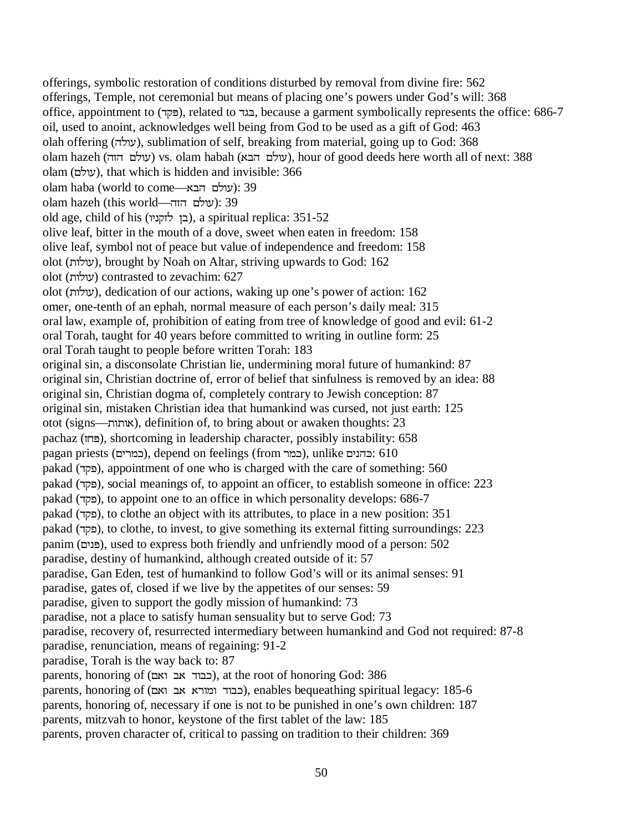offerings, symbolic restoration of conditions disturbed by removal from divine fire: 562 offerings, Temple, not ceremonial but means of placing one's powers under God's will: 368 office, appointment to (פקד), related to בגד, because a garment symbolically represents the office: 686-7 oil, used to anoint, acknowledges well being from God to be used as a gift of God: 463 olah offering (YNXJ), sublimation of self, breaking from material, going up to God: 368 olam hazeh (עולם הזה) vs. olam habah (עולם הבא), hour of good deeds here worth all of next: 388 olam (RNXJ), that which is hidden and invisible: 366 olam haba (world to come—עולם הבא): 39 olam hazeh (this world—יעולם הזה): 39 old age, child of his (XKEH]NLF), a spiritual replica: 351-52 olive leaf, bitter in the mouth of a dove, sweet when eaten in freedom: 158 olive leaf, symbol not of peace but value of independence and freedom: 158 olot (XNXJ), brought by Noah on Altar, striving upwards to God: 162 olot (XNXJ) contrasted to zevachim: 627 olot (XNXJ), dedication of our actions, waking up one's power of action: 162 omer, one-tenth of an ephah, normal measure of each person's daily meal: 315 oral law, example of, prohibition of eating from tree of knowledge of good and evil: 61-2 oral Torah, taught for 40 years before committed to writing in outline form: 25 oral Torah taught to people before written Torah: 183 original sin, a disconsolate Christian lie, undermining moral future of humankind: 87 original sin, Christian doctrine of, error of belief that sinfulness is removed by an idea: 88 original sin, Christian dogma of, completely contrary to Jewish conception: 87 original sin, mistaken Christian idea that humankind was cursed, not just earth: 125 otot (signs—XXW), definition of, to bring about or awaken thoughts: 23 pachaz (פחז), shortcoming in leadership character, possibly instability: 658 pagan priests (כמרים), depend on feelings (from כמר), unlike  $\epsilon$ בהונים: 610 pakad (פקד), appointment of one who is charged with the care of something: 560 pakad (פקד), social meanings of, to appoint an officer, to establish someone in office: 223 pakad (פקד), to appoint one to an office in which personality develops: 686-7 pakad (פקד), to clothe an object with its attributes, to place in a new position: 351 pakad (VHS), to clothe, to invest, to give something its external fitting surroundings: 223 panim (RKE3), used to express both friendly and unfriendly mood of a person: 502 paradise, destiny of humankind, although created outside of it: 57 paradise, Gan Eden, test of humankind to follow God's will or its animal senses: 91 paradise, gates of, closed if we live by the appetites of our senses: 59 paradise, given to support the godly mission of humankind: 73 paradise, not a place to satisfy human sensuality but to serve God: 73 paradise, recovery of, resurrected intermediary between humankind and God not required: 87-8 paradise, renunciation, means of regaining: 91-2 paradise, Torah is the way back to: 87 parents, honoring of (כבוד אב ואם), at the root of honoring God: 386 parents, honoring of (כבוד ומורא אב ואם), enables bequeathing spiritual legacy: 185-6 parents, honoring of, necessary if one is not to be punished in one's own children: 187 parents, mitzvah to honor, keystone of the first tablet of the law: 185 parents, proven character of, critical to passing on tradition to their children: 369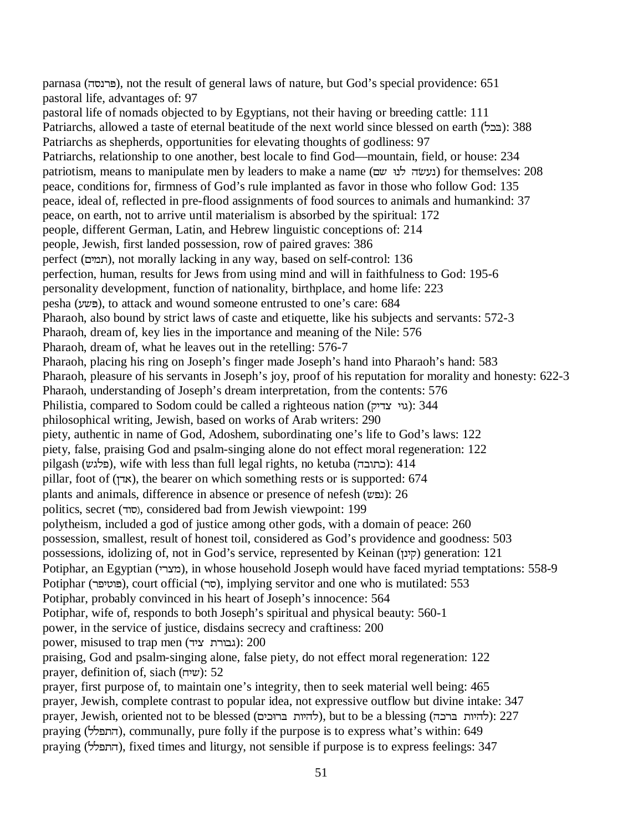parnasa (Y[EU3), not the result of general laws of nature, but God's special providence: 651 pastoral life, advantages of: 97 pastoral life of nomads objected to by Egyptians, not their having or breeding cattle: 111 Patriarchs, allowed a taste of eternal beatitude of the next world since blessed on earth (E2): 388 Patriarchs as shepherds, opportunities for elevating thoughts of godliness: 97 Patriarchs, relationship to one another, best locale to find God—mountain, field, or house: 234 patriotism, means to manipulate men by leaders to make a name (נעשׂה לנוּ שם) for themselves: 208 peace, conditions for, firmness of God's rule implanted as favor in those who follow God: 135 peace, ideal of, reflected in pre-flood assignments of food sources to animals and humankind: 37 peace, on earth, not to arrive until materialism is absorbed by the spiritual: 172 people, different German, Latin, and Hebrew linguistic conceptions of: 214 people, Jewish, first landed possession, row of paired graves: 386 perfect (RKQ), not morally lacking in any way, based on self-control: 136 perfection, human, results for Jews from using mind and will in faithfulness to God: 195-6 personality development, function of nationality, birthplace, and home life: 223 pesha (JD3), to attack and wound someone entrusted to one's care: 684 Pharaoh, also bound by strict laws of caste and etiquette, like his subjects and servants: 572-3 Pharaoh, dream of, key lies in the importance and meaning of the Nile: 576 Pharaoh, dream of, what he leaves out in the retelling: 576-7 Pharaoh, placing his ring on Joseph's finger made Joseph's hand into Pharaoh's hand: 583 Pharaoh, pleasure of his servants in Joseph's joy, proof of his reputation for morality and honesty: 622-3 Pharaoh, understanding of Joseph's dream interpretation, from the contents: 576 Philistia, compared to Sodom could be called a righteous nation (גוי צדיק): 344 philosophical writing, Jewish, based on works of Arab writers: 290 piety, authentic in name of God, Adoshem, subordinating one's life to God's laws: 122 piety, false, praising God and psalm-singing alone do not effect moral regeneration: 122 pilgash (פלגש), wife with less than full legal rights, no ketuba (כתובה): 414 pillar, foot of (LVW), the bearer on which something rests or is supported: 674 plants and animals, difference in absence or presence of nefesh (נפש): 26 politics, secret (סוד), considered bad from Jewish viewpoint: 199 polytheism, included a god of justice among other gods, with a domain of peace: 260 possession, smallest, result of honest toil, considered as God's providence and goodness: 503 possessions, idolizing of, not in God's service, represented by Keinan (קינן) generation: 121 Potiphar, an Egyptian (מצרי), in whose household Joseph would have faced myriad temptations: 558-9 Potiphar (פוטיפר), court official (סר), implying servitor and one who is mutilated: 553 Potiphar, probably convinced in his heart of Joseph's innocence: 564 Potiphar, wife of, responds to both Joseph's spiritual and physical beauty: 560-1 power, in the service of justice, disdains secrecy and craftiness: 200 power, misused to trap men (גבורת ציד): 200 praising, God and psalm-singing alone, false piety, do not effect moral regeneration: 122 prayer, definition of, siach  $(w\mathsf{m})$ : 52 prayer, first purpose of, to maintain one's integrity, then to seek material well being: 465 prayer, Jewish, complete contrast to popular idea, not expressive outflow but divine intake: 347 prayer, Jewish, oriented not to be blessed (להיות ברוכיה), but to be a blessing (להיות ברכה): 227 praying (התפלל), communally, pure folly if the purpose is to express what's within: 649 praying (התפלל), fixed times and liturgy, not sensible if purpose is to express feelings: 347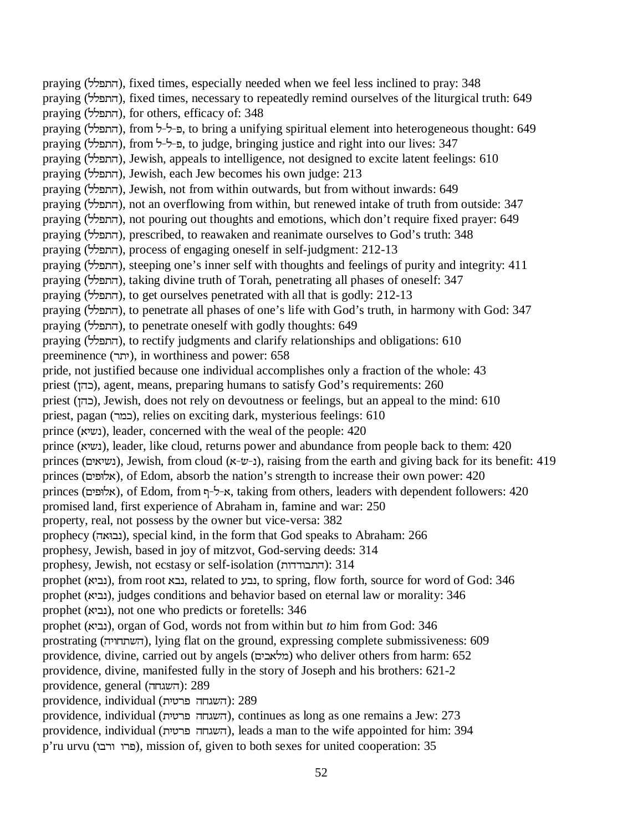praying (NNSY), fixed times, especially needed when we feel less inclined to pray: 348 praying (התפלל), fixed times, necessary to repeatedly remind ourselves of the liturgical truth: 649 praying (NNSY), for others, efficacy of: 348 praying (התפלל), from ב-ל-ל, to bring a unifying spiritual element into heterogeneous thought: 649 praying (התפלל), from 5-ל-ל, to judge, bringing justice and right into our lives: 347 praying (התפלל), Jewish, appeals to intelligence, not designed to excite latent feelings: 610 praying (NNSY), Jewish, each Jew becomes his own judge: 213 praying (NNSY), Jewish, not from within outwards, but from without inwards: 649 praying (התפלל), not an overflowing from within, but renewed intake of truth from outside: 347 praying (התפלל), not pouring out thoughts and emotions, which don't require fixed prayer: 649 praying (NNSY), prescribed, to reawaken and reanimate ourselves to God's truth: 348 praying (NNSY), process of engaging oneself in self-judgment: 212-13 praying (התפלל), steeping one's inner self with thoughts and feelings of purity and integrity: 411 praying (התפלל), taking divine truth of Torah, penetrating all phases of oneself: 347 praying (NNSY), to get ourselves penetrated with all that is godly: 212-13 praying (התפלל), to penetrate all phases of one's life with God's truth, in harmony with God: 347 praying (התפלל), to penetrate oneself with godly thoughts: 649 praying (התפלל), to rectify judgments and clarify relationships and obligations: 610 preeminence (UK), in worthiness and power: 658 pride, not justified because one individual accomplishes only a fraction of the whole: 43 priest (LYI), agent, means, preparing humans to satisfy God's requirements: 260 priest (LYI), Jewish, does not rely on devoutness or feelings, but an appeal to the mind: 610 priest, pagan (UQI), relies on exciting dark, mysterious feelings: 610 prince (נשיא), leader, concerned with the weal of the people: 420 prince (נשיא), leader, like cloud, returns power and abundance from people back to them: 420 princes (נשיאים), Jewish, from cloud (ר-ש-ג), raising from the earth and giving back for its benefit: 419 princes (אלופים), of Edom, absorb the nation's strength to increase their own power: 420 princes (אלופים), of Edom, from א-ל-ף, taking from others, leaders with dependent followers: 420 promised land, first experience of Abraham in, famine and war: 250 property, real, not possess by the owner but vice-versa: 382 prophecy (נבואה), special kind, in the form that God speaks to Abraham: 266 prophesy, Jewish, based in joy of mitzvot, God-serving deeds: 314 prophesy, Jewish, not ecstasy or self-isolation (התבודדות): 314 prophet (גביא), from root גבע, related to נבע, to spring, flow forth, source for word of God: 346 prophet (נביא), judges conditions and behavior based on eternal law or morality: 346 prophet (גביא), not one who predicts or foretells: 346 prophet (WKFE), organ of God, words not from within but *to* him from God: 346 prostrating (השתחויה), lying flat on the ground, expressing complete submissiveness: 609 providence, divine, carried out by angels (מלאכים) who deliver others from harm: 652 providence, divine, manifested fully in the story of Joseph and his brothers: 621-2 providence, general (השגחה): 289 providence, individual (השגחה פרטית): 289 providence, individual (השגחה פרטית), continues as long as one remains a Jew: 273 providence, individual (K\USYMGDY), leads a man to the wife appointed for him: 394

p'ru urvu (XFUXXUS), mission of, given to both sexes for united cooperation: 35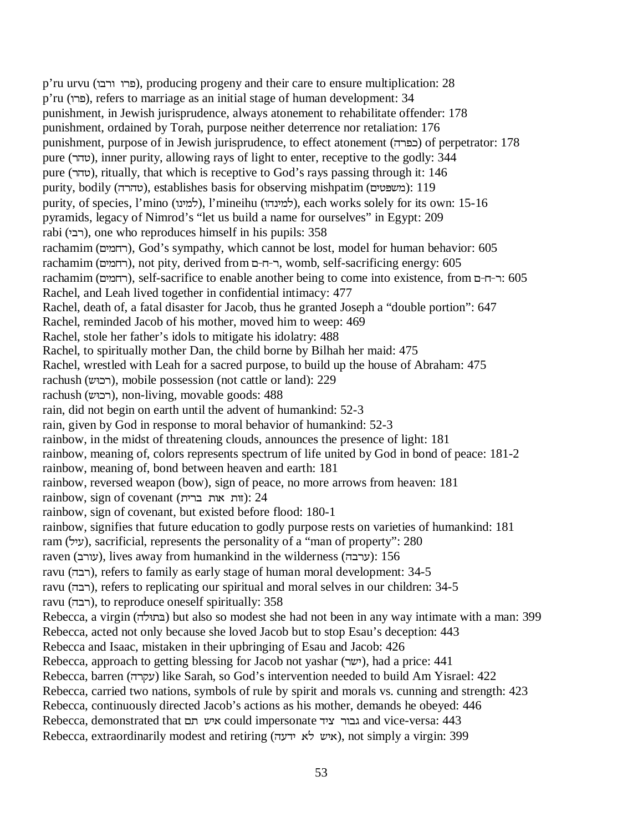p'ru urvu (XFUXXUS), producing progeny and their care to ensure multiplication: 28 p'ru (XUS), refers to marriage as an initial stage of human development: 34 punishment, in Jewish jurisprudence, always atonement to rehabilitate offender: 178 punishment, ordained by Torah, purpose neither deterrence nor retaliation: 176 punishment, purpose of in Jewish jurisprudence, to effect atonement (כפרה) of perpetrator: 178 pure (UY\), inner purity, allowing rays of light to enter, receptive to the godly: 344 pure (UY\), ritually, that which is receptive to God's rays passing through it: 146 purity, bodily (טהרה), establishes basis for observing mishpatim (משפטים): 119 purity, of species, l'mino (למינו), l'mineihu (למינהו), each works solely for its own: 15-16 pyramids, legacy of Nimrod's "let us build a name for ourselves" in Egypt: 209 rabi (רבי), one who reproduces himself in his pupils: 358 rachamim (רחמים), God's sympathy, which cannot be lost, model for human behavior: 605 rachamim (רחמים), not pity, derived from ר-ח-ם, womb, self-sacrificing energy: 605 rachamim (רחמים), self-sacrifice to enable another being to come into existence, from ר-ח-ם: 605 Rachel, and Leah lived together in confidential intimacy: 477 Rachel, death of, a fatal disaster for Jacob, thus he granted Joseph a "double portion": 647 Rachel, reminded Jacob of his mother, moved him to weep: 469 Rachel, stole her father's idols to mitigate his idolatry: 488 Rachel, to spiritually mother Dan, the child borne by Bilhah her maid: 475 Rachel, wrestled with Leah for a sacred purpose, to build up the house of Abraham: 475 rachush (רבוש), mobile possession (not cattle or land): 229 rachush (רכוּש), non-living, movable goods: 488 rain, did not begin on earth until the advent of humankind: 52-3 rain, given by God in response to moral behavior of humankind: 52-3 rainbow, in the midst of threatening clouds, announces the presence of light: 181 rainbow, meaning of, colors represents spectrum of life united by God in bond of peace: 181-2 rainbow, meaning of, bond between heaven and earth: 181 rainbow, reversed weapon (bow), sign of peace, no more arrows from heaven: 181  $rainbow$ , sign of covenant (וות אות ברית): 24 rainbow, sign of covenant, but existed before flood: 180-1 rainbow, signifies that future education to godly purpose rests on varieties of humankind: 181 ram (NKJ), sacrificial, represents the personality of a "man of property": 280 raven (עורב), lives away from humankind in the wilderness (ערבה): 156 ravu (רבה), refers to family as early stage of human moral development: 34-5 ravu (רבה), refers to replicating our spiritual and moral selves in our children: 34-5 ravu (רבה), to reproduce oneself spiritually: 358 Rebecca, a virgin (בתולה) but also so modest she had not been in any way intimate with a man: 399 Rebecca, acted not only because she loved Jacob but to stop Esau's deception: 443 Rebecca and Isaac, mistaken in their upbringing of Esau and Jacob: 426 Rebecca, approach to getting blessing for Jacob not yashar (ישר), had a price: 441 Rebecca, barren (עקרה) like Sarah, so God's intervention needed to build Am Yisrael: 422 Rebecca, carried two nations, symbols of rule by spirit and morals vs. cunning and strength: 423 Rebecca, continuously directed Jacob's actions as his mother, demands he obeyed: 446 Rebecca, demonstrated that גבור ציד could impersonate גבור ציד

Rebecca, extraordinarily modest and retiring (איש לא ידעה), not simply a virgin: 399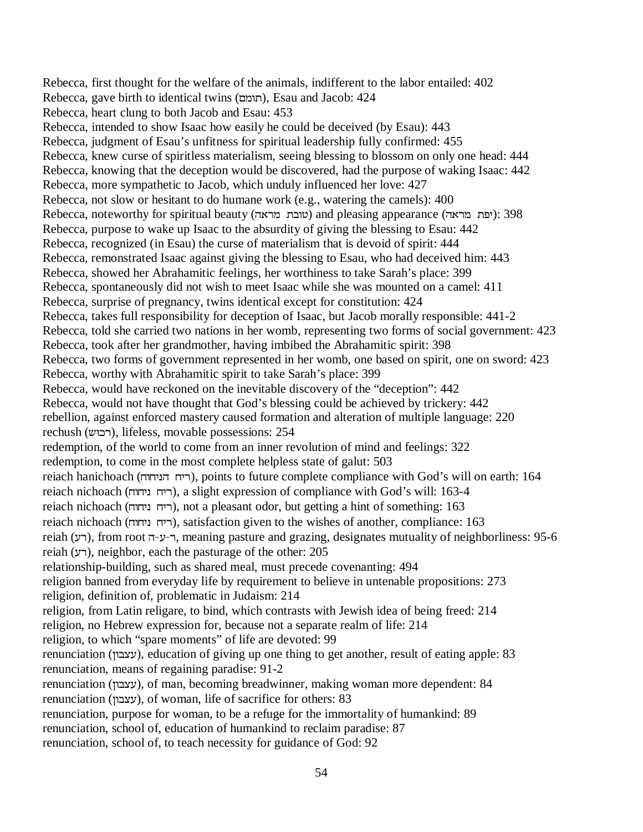Rebecca, first thought for the welfare of the animals, indifferent to the labor entailed: 402 Rebecca, gave birth to identical twins (תומם), Esau and Jacob: 424 Rebecca, heart clung to both Jacob and Esau: 453 Rebecca, intended to show Isaac how easily he could be deceived (by Esau): 443 Rebecca, judgment of Esau's unfitness for spiritual leadership fully confirmed: 455 Rebecca, knew curse of spiritless materialism, seeing blessing to blossom on only one head: 444 Rebecca, knowing that the deception would be discovered, had the purpose of waking Isaac: 442 Rebecca, more sympathetic to Jacob, which unduly influenced her love: 427 Rebecca, not slow or hesitant to do humane work (e.g., watering the camels): 400 Rebecca, noteworthy for spiritual beauty (טובת מראה) and pleasing appearance (יפת מראה): 398 Rebecca, purpose to wake up Isaac to the absurdity of giving the blessing to Esau: 442 Rebecca, recognized (in Esau) the curse of materialism that is devoid of spirit: 444 Rebecca, remonstrated Isaac against giving the blessing to Esau, who had deceived him: 443 Rebecca, showed her Abrahamitic feelings, her worthiness to take Sarah's place: 399 Rebecca, spontaneously did not wish to meet Isaac while she was mounted on a camel: 411 Rebecca, surprise of pregnancy, twins identical except for constitution: 424 Rebecca, takes full responsibility for deception of Isaac, but Jacob morally responsible: 441-2 Rebecca, told she carried two nations in her womb, representing two forms of social government: 423 Rebecca, took after her grandmother, having imbibed the Abrahamitic spirit: 398 Rebecca, two forms of government represented in her womb, one based on spirit, one on sword: 423 Rebecca, worthy with Abrahamitic spirit to take Sarah's place: 399 Rebecca, would have reckoned on the inevitable discovery of the "deception": 442 Rebecca, would not have thought that God's blessing could be achieved by trickery: 442 rebellion, against enforced mastery caused formation and alteration of multiple language: 220 rechush (רכוש), lifeless, movable possessions: 254 redemption, of the world to come from an inner revolution of mind and feelings: 322 redemption, to come in the most complete helpless state of galut: 503 reiach hanichoach (ריח הניחוח), points to future complete compliance with God's will on earth: 164 reiach nichoach (ריח ניחוח), a slight expression of compliance with God's will: 163-4 reiach nichoach (MXMKEMKU), not a pleasant odor, but getting a hint of something: 163 reiach nichoach (ריח ניחוח), satisfaction given to the wishes of another, compliance: 163 reiah (רע), from root ר-ע-ה, meaning pasture and grazing, designates mutuality of neighborliness: 95-6 reiah (רע), neighbor, each the pasturage of the other: 205 relationship-building, such as shared meal, must precede covenanting: 494 religion banned from everyday life by requirement to believe in untenable propositions: 273 religion, definition of, problematic in Judaism: 214 religion, from Latin religare, to bind, which contrasts with Jewish idea of being freed: 214 religion, no Hebrew expression for, because not a separate realm of life: 214 religion, to which "spare moments" of life are devoted: 99 renunciation (עצבון), education of giving up one thing to get another, result of eating apple: 83 renunciation, means of regaining paradise: 91-2 renunciation (LXFPJ), of man, becoming breadwinner, making woman more dependent: 84 renunciation (עצבון), of woman, life of sacrifice for others: 83 renunciation, purpose for woman, to be a refuge for the immortality of humankind: 89 renunciation, school of, education of humankind to reclaim paradise: 87 renunciation, school of, to teach necessity for guidance of God: 92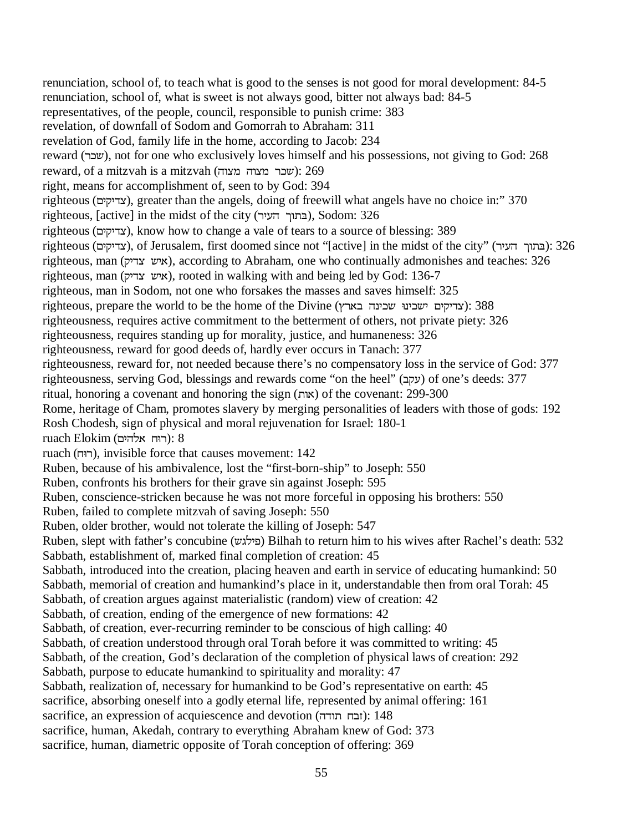renunciation, school of, to teach what is good to the senses is not good for moral development: 84-5 renunciation, school of, what is sweet is not always good, bitter not always bad: 84-5 representatives, of the people, council, responsible to punish crime: 383 revelation, of downfall of Sodom and Gomorrah to Abraham: 311 revelation of God, family life in the home, according to Jacob: 234 reward (UID), not for one who exclusively loves himself and his possessions, not giving to God: 268 reward, of a mitzvah is a mitzvah (שכר מצוה מצוה): 269 right, means for accomplishment of, seen to by God: 394 righteous (צדיקים), greater than the angels, doing of freewill what angels have no choice in:" 370 righteous, [active] in the midst of the city (בתוך העיר), Sodom: 326 righteous (צדיקים), know how to change a vale of tears to a source of blessing: 389 righteous (צדיקים), of Jerusalem, first doomed since not "[active] in the midst of the city" (בתוך העיר): 326 righteous, man (איש צדיק), according to Abraham, one who continually admonishes and teaches: 326 righteous, man (איש צדיק), rooted in walking with and being led by God: 136-7 righteous, man in Sodom, not one who forsakes the masses and saves himself: 325 righteous, prepare the world to be the home of the Divine (עדיקים ישכינה שכינה בארץ): 388 righteousness, requires active commitment to the betterment of others, not private piety: 326 righteousness, requires standing up for morality, justice, and humaneness: 326 righteousness, reward for good deeds of, hardly ever occurs in Tanach: 377 righteousness, reward for, not needed because there's no compensatory loss in the service of God: 377 righteousness, serving God, blessings and rewards come "on the heel" (עקב) of one's deeds: 377 ritual, honoring a covenant and honoring the sign  $(x)$  $($  $x)$  of the covenant: 299-300 Rome, heritage of Cham, promotes slavery by merging personalities of leaders with those of gods: 192 Rosh Chodesh, sign of physical and moral rejuvenation for Israel: 180-1  $ruach Elokim (rmach R$ רוח אלהים): 8 ruach (רוּח), invisible force that causes movement: 142 Ruben, because of his ambivalence, lost the "first-born-ship" to Joseph: 550 Ruben, confronts his brothers for their grave sin against Joseph: 595 Ruben, conscience-stricken because he was not more forceful in opposing his brothers: 550 Ruben, failed to complete mitzvah of saving Joseph: 550 Ruben, older brother, would not tolerate the killing of Joseph: 547 Ruben, slept with father's concubine (פילגש) Bilhah to return him to his wives after Rachel's death: 532 Sabbath, establishment of, marked final completion of creation: 45 Sabbath, introduced into the creation, placing heaven and earth in service of educating humankind: 50 Sabbath, memorial of creation and humankind's place in it, understandable then from oral Torah: 45 Sabbath, of creation argues against materialistic (random) view of creation: 42 Sabbath, of creation, ending of the emergence of new formations: 42 Sabbath, of creation, ever-recurring reminder to be conscious of high calling: 40 Sabbath, of creation understood through oral Torah before it was committed to writing: 45 Sabbath, of the creation, God's declaration of the completion of physical laws of creation: 292 Sabbath, purpose to educate humankind to spirituality and morality: 47 Sabbath, realization of, necessary for humankind to be God's representative on earth: 45 sacrifice, absorbing oneself into a godly eternal life, represented by animal offering: 161 sacrifice, an expression of acquiescence and devotion (ובח תודה): 148 sacrifice, human, Akedah, contrary to everything Abraham knew of God: 373 sacrifice, human, diametric opposite of Torah conception of offering: 369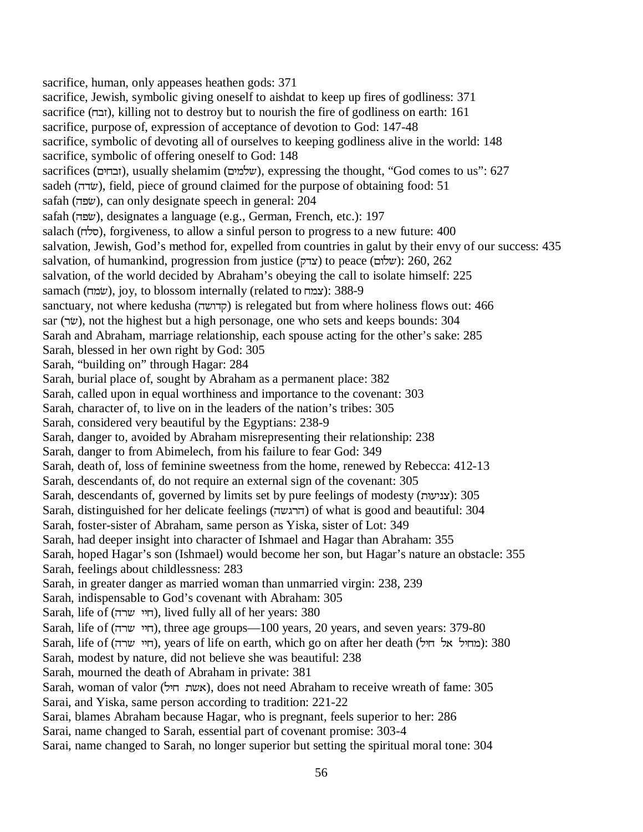sacrifice, human, only appeases heathen gods: 371 sacrifice, Jewish, symbolic giving oneself to aishdat to keep up fires of godliness: 371 sacrifice (MF]), killing not to destroy but to nourish the fire of godliness on earth: 161 sacrifice, purpose of, expression of acceptance of devotion to God: 147-48 sacrifice, symbolic of devoting all of ourselves to keeping godliness alive in the world: 148 sacrifice, symbolic of offering oneself to God: 148 sacrifices (EXMF), usually shelamim (שלמים), expressing the thought, "God comes to us": 627 sadeh (שׂדה), field, piece of ground claimed for the purpose of obtaining food: 51 safah (שׂפה), can only designate speech in general: 204 safah (שׂפה), designates a language (e.g., German, French, etc.): 197 salach (סלח), forgiveness, to allow a sinful person to progress to a new future: 400 salvation, Jewish, God's method for, expelled from countries in galut by their envy of our success: 435 salvation, of humankind, progression from justice (צדק) to peace (שלום): 260, 262 salvation, of the world decided by Abraham's obeying the call to isolate himself: 225 samach (שמח), joy, to blossom internally (related to אוצמח): 388-9 sanctuary, not where kedusha (קדושה) is relegated but from where holiness flows out: 466 sar (שׂר), not the highest but a high personage, one who sets and keeps bounds: 304 Sarah and Abraham, marriage relationship, each spouse acting for the other's sake: 285 Sarah, blessed in her own right by God: 305 Sarah, "building on" through Hagar: 284 Sarah, burial place of, sought by Abraham as a permanent place: 382 Sarah, called upon in equal worthiness and importance to the covenant: 303 Sarah, character of, to live on in the leaders of the nation's tribes: 305 Sarah, considered very beautiful by the Egyptians: 238-9 Sarah, danger to, avoided by Abraham misrepresenting their relationship: 238 Sarah, danger to from Abimelech, from his failure to fear God: 349 Sarah, death of, loss of feminine sweetness from the home, renewed by Rebecca: 412-13 Sarah, descendants of, do not require an external sign of the covenant: 305 Sarah, descendants of, governed by limits set by pure feelings of modesty (צניעות): 305 Sarah, distinguished for her delicate feelings (הרגשה) of what is good and beautiful: 304 Sarah, foster-sister of Abraham, same person as Yiska, sister of Lot: 349 Sarah, had deeper insight into character of Ishmael and Hagar than Abraham: 355 Sarah, hoped Hagar's son (Ishmael) would become her son, but Hagar's nature an obstacle: 355 Sarah, feelings about childlessness: 283 Sarah, in greater danger as married woman than unmarried virgin: 238, 239 Sarah, indispensable to God's covenant with Abraham: 305 Sarah, life of (חיי שרה), lived fully all of her years: 380 Sarah, life of (חיי שרה), three age groups—100 years, 20 years, and seven years: 379-80 Sarah, life of (חיי שרה), years of life on earth, which go on after her death (הוי שרה): 380 Sarah, modest by nature, did not believe she was beautiful: 238 Sarah, mourned the death of Abraham in private: 381 Sarah, woman of valor (אשת היל), does not need Abraham to receive wreath of fame: 305 Sarai, and Yiska, same person according to tradition: 221-22 Sarai, blames Abraham because Hagar, who is pregnant, feels superior to her: 286 Sarai, name changed to Sarah, essential part of covenant promise: 303-4 Sarai, name changed to Sarah, no longer superior but setting the spiritual moral tone: 304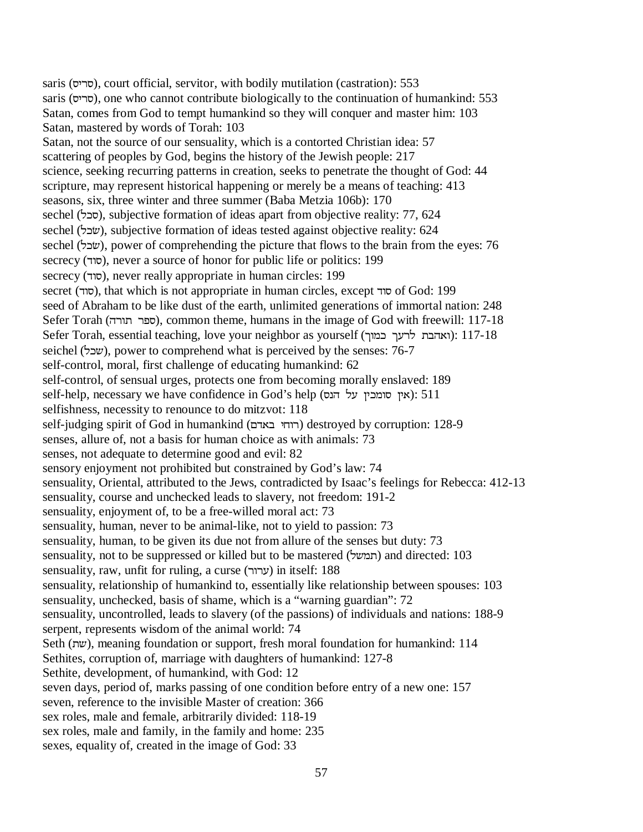saris (סריס), court official, servitor, with bodily mutilation (castration): 553 saris (סריס), one who cannot contribute biologically to the continuation of humankind: 553 Satan, comes from God to tempt humankind so they will conquer and master him: 103 Satan, mastered by words of Torah: 103 Satan, not the source of our sensuality, which is a contorted Christian idea: 57 scattering of peoples by God, begins the history of the Jewish people: 217 science, seeking recurring patterns in creation, seeks to penetrate the thought of God: 44 scripture, may represent historical happening or merely be a means of teaching: 413 seasons, six, three winter and three summer (Baba Metzia 106b): 170 sechel (הכל), subjective formation of ideas apart from objective reality: 77, 624 sechel (שׂבל), subjective formation of ideas tested against objective reality: 624 sechel (שׂבל), power of comprehending the picture that flows to the brain from the eyes: 76 secrecy (סוד), never a source of honor for public life or politics: 199 secrecy (סוד), never really appropriate in human circles: 199 secret (סוד), that which is not appropriate in human circles, except סוד of God: 199 seed of Abraham to be like dust of the earth, unlimited generations of immortal nation: 248 Sefer Torah (ספר תורה), common theme, humans in the image of God with freewill: 117-18 Sefer Torah, essential teaching, love your neighbor as yourself (ואהבת לרעך כמוך): 117-18 seichel (שכל), power to comprehend what is perceived by the senses: 76-7 self-control, moral, first challenge of educating humankind: 62 self-control, of sensual urges, protects one from becoming morally enslaved: 189 self-help, necessary we have confidence in God's help (אין סומכין על הנס): 511 selfishness, necessity to renounce to do mitzvot: 118 self-judging spirit of God in humankind (רוחי באדם) destroyed by corruption: 128-9 senses, allure of, not a basis for human choice as with animals: 73 senses, not adequate to determine good and evil: 82 sensory enjoyment not prohibited but constrained by God's law: 74 sensuality, Oriental, attributed to the Jews, contradicted by Isaac's feelings for Rebecca: 412-13 sensuality, course and unchecked leads to slavery, not freedom: 191-2 sensuality, enjoyment of, to be a free-willed moral act: 73 sensuality, human, never to be animal-like, not to yield to passion: 73 sensuality, human, to be given its due not from allure of the senses but duty: 73 sensuality, not to be suppressed or killed but to be mastered (תמשל) and directed: 103 sensuality, raw, unfit for ruling, a curse (ערור) in itself: 188 sensuality, relationship of humankind to, essentially like relationship between spouses: 103 sensuality, unchecked, basis of shame, which is a "warning guardian": 72 sensuality, uncontrolled, leads to slavery (of the passions) of individuals and nations: 188-9 serpent, represents wisdom of the animal world: 74 Seth (D), meaning foundation or support, fresh moral foundation for humankind: 114 Sethites, corruption of, marriage with daughters of humankind: 127-8 Sethite, development, of humankind, with God: 12 seven days, period of, marks passing of one condition before entry of a new one: 157 seven, reference to the invisible Master of creation: 366 sex roles, male and female, arbitrarily divided: 118-19 sex roles, male and family, in the family and home: 235 sexes, equality of, created in the image of God: 33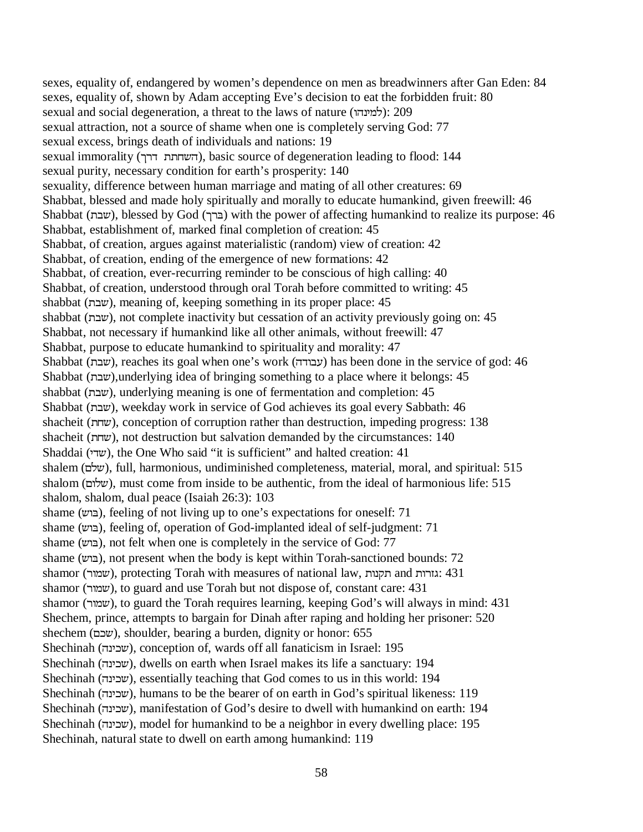sexes, equality of, endangered by women's dependence on men as breadwinners after Gan Eden: 84 sexes, equality of, shown by Adam accepting Eve's decision to eat the forbidden fruit: 80 sexual and social degeneration, a threat to the laws of nature (למינהו): 209 sexual attraction, not a source of shame when one is completely serving God: 77 sexual excess, brings death of individuals and nations: 19 sexual immorality (השחתת דרך), basic source of degeneration leading to flood: 144 sexual purity, necessary condition for earth's prosperity: 140 sexuality, difference between human marriage and mating of all other creatures: 69 Shabbat, blessed and made holy spiritually and morally to educate humankind, given freewill: 46 Shabbat (FD), blessed by God (OU&) with the power of affecting humankind to realize its purpose: 46 Shabbat, establishment of, marked final completion of creation: 45 Shabbat, of creation, argues against materialistic (random) view of creation: 42 Shabbat, of creation, ending of the emergence of new formations: 42 Shabbat, of creation, ever-recurring reminder to be conscious of high calling: 40 Shabbat, of creation, understood through oral Torah before committed to writing: 45 shabbat (FD), meaning of, keeping something in its proper place: 45 shabbat (שבת), not complete inactivity but cessation of an activity previously going on: 45 Shabbat, not necessary if humankind like all other animals, without freewill: 47 Shabbat, purpose to educate humankind to spirituality and morality: 47 Shabbat (שבת), reaches its goal when one's work (עבודה) has been done in the service of god: 46 Shabbat (FD),underlying idea of bringing something to a place where it belongs: 45 shabbat (שבת), underlying meaning is one of fermentation and completion: 45 Shabbat (FD), weekday work in service of God achieves its goal every Sabbath: 46 shacheit (MD), conception of corruption rather than destruction, impeding progress: 138 shacheit (MD), not destruction but salvation demanded by the circumstances: 140 Shaddai (KVD), the One Who said "it is sufficient" and halted creation: 41 shalem (RND), full, harmonious, undiminished completeness, material, moral, and spiritual: 515 shalom (שלום), must come from inside to be authentic, from the ideal of harmonious life: 515 shalom, shalom, dual peace (Isaiah 26:3): 103 shame (בוש), feeling of not living up to one's expectations for oneself: 71 shame (בוש), feeling of, operation of God-implanted ideal of self-judgment: 71 shame (בוש), not felt when one is completely in the service of God: 77 shame (בוש), not present when the body is kept within Torah-sanctioned bounds: 72 shamor (שמור), protecting Torah with measures of national law, גזרות and גזרות shamor (שמור), to guard and use Torah but not dispose of, constant care: 431 shamor (שמור), to guard the Torah requires learning, keeping God's will always in mind: 431 Shechem, prince, attempts to bargain for Dinah after raping and holding her prisoner: 520 shechem (RID), shoulder, bearing a burden, dignity or honor: 655 Shechinah (שכינה), conception of, wards off all fanaticism in Israel: 195 Shechinah (שכינה), dwells on earth when Israel makes its life a sanctuary: 194 Shechinah (שכינה), essentially teaching that God comes to us in this world: 194 Shechinah (שכינה), humans to be the bearer of on earth in God's spiritual likeness: 119 Shechinah (שכינה), manifestation of God's desire to dwell with humankind on earth: 194 Shechinah (שכינה), model for humankind to be a neighbor in every dwelling place: 195 Shechinah, natural state to dwell on earth among humankind: 119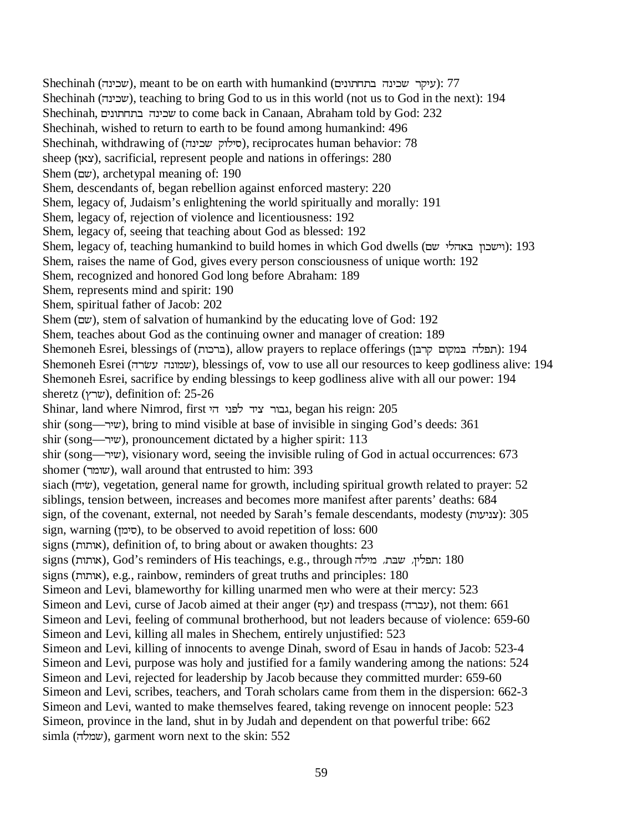$S$ hechinah (שכינה), meant to be on earth with humankind (עיקר שכינה): 77 Shechinah (שכינה), teaching to bring God to us in this world (not us to God in the next): 194 Shechinah, RKEXMFYEKID to come back in Canaan, Abraham told by God: 232 Shechinah, wished to return to earth to be found among humankind: 496 Shechinah, withdrawing of (סילוק שכינה), reciprocates human behavior: 78 sheep (LWP), sacrificial, represent people and nations in offerings: 280 Shem (שם), archetypal meaning of: 190 Shem, descendants of, began rebellion against enforced mastery: 220 Shem, legacy of, Judaism's enlightening the world spiritually and morally: 191 Shem, legacy of, rejection of violence and licentiousness: 192 Shem, legacy of, seeing that teaching about God as blessed: 192 Shem, legacy of, teaching humankind to build homes in which God dwells (וישכון באהלי שם): 193 Shem, raises the name of God, gives every person consciousness of unique worth: 192 Shem, recognized and honored God long before Abraham: 189 Shem, represents mind and spirit: 190 Shem, spiritual father of Jacob: 202 Shem ( $w$ ), stem of salvation of humankind by the educating love of God: 192 Shem, teaches about God as the continuing owner and manager of creation: 189 Shemoneh Esrei, blessings of (ברכות), allow prayers to replace offerings (רתפלה במקום קרבן): 194 Shemoneh Esrei (שמונה עשׂרה), blessings of, vow to use all our resources to keep godliness alive: 194 Shemoneh Esrei, sacrifice by ending blessings to keep godliness alive with all our power: 194 sheretz (שרץ), definition of: 25-26 Shinar, land where Nimrod, first גבור ציד לפני, began his reign: 205 shir (song—UKD), bring to mind visible at base of invisible in singing God's deeds: 361 shir (song—UKD), pronouncement dictated by a higher spirit: 113 shir (song—UKD), visionary word, seeing the invisible ruling of God in actual occurrences: 673 shomer (שומר), wall around that entrusted to him: 393 siach (ש*י*ה), vegetation, general name for growth, including spiritual growth related to prayer: 52 siblings, tension between, increases and becomes more manifest after parents' deaths: 684 sign, of the covenant, external, not needed by Sarah's female descendants, modesty (צניעות): 305 sign, warning (סימן), to be observed to avoid repetition of loss: 600 signs (אותות), definition of, to bring about or awaken thoughts: 23 signs (אותות), God's reminders of His teachings, e.g., through תפלין, שבת, מילה signs (אותות), e.g., rainbow, reminders of great truths and principles: 180 Simeon and Levi, blameworthy for killing unarmed men who were at their mercy: 523 Simeon and Levi, curse of Jacob aimed at their anger (עברה) and trespass (עברה), not them: 661 Simeon and Levi, feeling of communal brotherhood, but not leaders because of violence: 659-60 Simeon and Levi, killing all males in Shechem, entirely unjustified: 523 Simeon and Levi, killing of innocents to avenge Dinah, sword of Esau in hands of Jacob: 523-4 Simeon and Levi, purpose was holy and justified for a family wandering among the nations: 524 Simeon and Levi, rejected for leadership by Jacob because they committed murder: 659-60 Simeon and Levi, scribes, teachers, and Torah scholars came from them in the dispersion: 662-3 Simeon and Levi, wanted to make themselves feared, taking revenge on innocent people: 523 Simeon, province in the land, shut in by Judah and dependent on that powerful tribe: 662  $sim$ la (שמלה), garment worn next to the skin: 552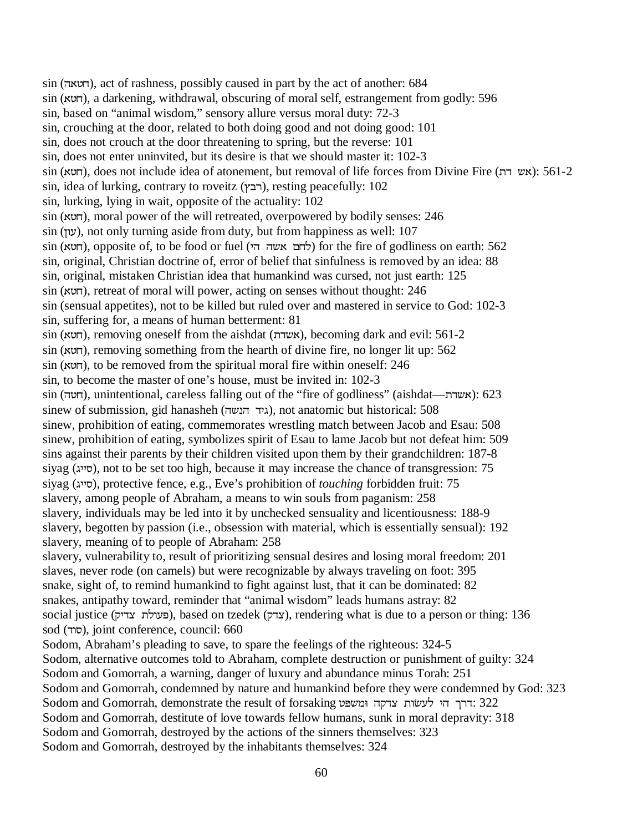sin (YW\M), act of rashness, possibly caused in part by the act of another: 684 sin (W\M), a darkening, withdrawal, obscuring of moral self, estrangement from godly: 596 sin, based on "animal wisdom," sensory allure versus moral duty: 72-3 sin, crouching at the door, related to both doing good and not doing good: 101 sin, does not crouch at the door threatening to spring, but the reverse: 101 sin, does not enter uninvited, but its desire is that we should master it: 102-3 sin (חשא), does not include idea of atonement, but removal of life forces from Divine Fire (חשא): 561-2  $sin,$  idea of lurking, contrary to roveitz (רבץ), resting peacefully: 102 sin, lurking, lying in wait, opposite of the actuality: 102 sin (חָטא), moral power of the will retreated, overpowered by bodily senses: 246 sin (עון), not only turning aside from duty, but from happiness as well: 107  $\sin$  (לחם אשה הי), opposite of, to be food or fuel (לחם אשה הי) for the fire of godliness on earth: 562 sin, original, Christian doctrine of, error of belief that sinfulness is removed by an idea: 88 sin, original, mistaken Christian idea that humankind was cursed, not just earth: 125 sin (חָטא), retreat of moral will power, acting on senses without thought: 246 sin (sensual appetites), not to be killed but ruled over and mastered in service to God: 102-3 sin, suffering for, a means of human betterment: 81 sin (תוטא), removing oneself from the aishdat (אשדת), becoming dark and evil: 561-2 sin (חָטא), removing something from the hearth of divine fire, no longer lit up: 562 sin (חָטא), to be removed from the spiritual moral fire within oneself: 246 sin, to become the master of one's house, must be invited in: 102-3 sin (חָטה), unintentional, careless falling out of the "fire of godliness" (aishdat—תאדה $(623)$ sinew of submission, gid hanasheh (גיד הנשה), not anatomic but historical: 508 sinew, prohibition of eating, commemorates wrestling match between Jacob and Esau: 508 sinew, prohibition of eating, symbolizes spirit of Esau to lame Jacob but not defeat him: 509 sins against their parents by their children visited upon them by their grandchildren: 187-8 siyag (סייג), not to be set too high, because it may increase the chance of transgression: 75 siyag (סייג), protective fence, e.g., Eve's prohibition of *touching* forbidden fruit: 75 slavery, among people of Abraham, a means to win souls from paganism: 258 slavery, individuals may be led into it by unchecked sensuality and licentiousness: 188-9 slavery, begotten by passion (i.e., obsession with material, which is essentially sensual): 192 slavery, meaning of to people of Abraham: 258 slavery, vulnerability to, result of prioritizing sensual desires and losing moral freedom: 201 slaves, never rode (on camels) but were recognizable by always traveling on foot: 395 snake, sight of, to remind humankind to fight against lust, that it can be dominated: 82 snakes, antipathy toward, reminder that "animal wisdom" leads humans astray: 82 social justice (פעולת צדיק), based on tzedek (צדק), rendering what is due to a person or thing: 136 sod (סוד), joint conference, council: 660 Sodom, Abraham's pleading to save, to spare the feelings of the righteous: 324-5 Sodom, alternative outcomes told to Abraham, complete destruction or punishment of guilty: 324 Sodom and Gomorrah, a warning, danger of luxury and abundance minus Torah: 251 Sodom and Gomorrah, condemned by nature and humankind before they were condemned by God: 323 Sodom and Gomorrah, demonstrate the result of forsaking דרך הי לעשות צדקה ומשפט: 322 Sodom and Gomorrah, destitute of love towards fellow humans, sunk in moral depravity: 318 Sodom and Gomorrah, destroyed by the actions of the sinners themselves: 323 Sodom and Gomorrah, destroyed by the inhabitants themselves: 324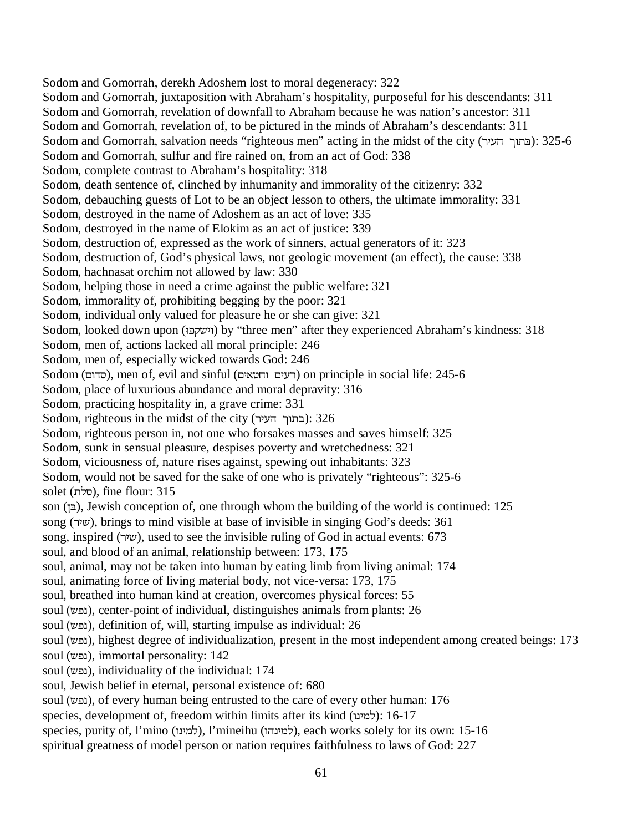Sodom and Gomorrah, derekh Adoshem lost to moral degeneracy: 322 Sodom and Gomorrah, juxtaposition with Abraham's hospitality, purposeful for his descendants: 311 Sodom and Gomorrah, revelation of downfall to Abraham because he was nation's ancestor: 311 Sodom and Gomorrah, revelation of, to be pictured in the minds of Abraham's descendants: 311 Sodom and Gomorrah, salvation needs "righteous men" acting in the midst of the city (בתוך העיר): 325-6 Sodom and Gomorrah, sulfur and fire rained on, from an act of God: 338 Sodom, complete contrast to Abraham's hospitality: 318 Sodom, death sentence of, clinched by inhumanity and immorality of the citizenry: 332 Sodom, debauching guests of Lot to be an object lesson to others, the ultimate immorality: 331 Sodom, destroyed in the name of Adoshem as an act of love: 335 Sodom, destroyed in the name of Elokim as an act of justice: 339 Sodom, destruction of, expressed as the work of sinners, actual generators of it: 323 Sodom, destruction of, God's physical laws, not geologic movement (an effect), the cause: 338 Sodom, hachnasat orchim not allowed by law: 330 Sodom, helping those in need a crime against the public welfare: 321 Sodom, immorality of, prohibiting begging by the poor: 321 Sodom, individual only valued for pleasure he or she can give: 321 Sodom, looked down upon (8SHDKX) by "three men" after they experienced Abraham's kindness: 318 Sodom, men of, actions lacked all moral principle: 246 Sodom, men of, especially wicked towards God: 246  $S$ odom (סדום), men of, evil and sinful (רעים וחטאים) on principle in social life: 245-6 Sodom, place of luxurious abundance and moral depravity: 316 Sodom, practicing hospitality in, a grave crime: 331 Sodom, righteous in the midst of the city (בתוך העיר): 326 Sodom, righteous person in, not one who forsakes masses and saves himself: 325 Sodom, sunk in sensual pleasure, despises poverty and wretchedness: 321 Sodom, viciousness of, nature rises against, spewing out inhabitants: 323 Sodom, would not be saved for the sake of one who is privately "righteous": 325-6 solet (סלח), fine flour: 315 son (בן), Jewish conception of, one through whom the building of the world is continued: 125 song (UKD), brings to mind visible at base of invisible in singing God's deeds: 361 song, inspired (שיר), used to see the invisible ruling of God in actual events: 673 soul, and blood of an animal, relationship between: 173, 175 soul, animal, may not be taken into human by eating limb from living animal: 174 soul, animating force of living material body, not vice-versa: 173, 175 soul, breathed into human kind at creation, overcomes physical forces: 55 soul (נפש), center-point of individual, distinguishes animals from plants: 26 soul (נפש), definition of, will, starting impulse as individual: 26 soul (גפש), highest degree of individualization, present in the most independent among created beings: 173 soul (נפש), immortal personality: 142 soul (נפש), individuality of the individual: 174 soul, Jewish belief in eternal, personal existence of: 680 soul (נפש), of every human being entrusted to the care of every other human: 176 species, development of, freedom within limits after its kind ( $\forall$ מינו): 16-17 species, purity of, l'mino (למינה), l'mineihu (למינהו), each works solely for its own: 15-16

spiritual greatness of model person or nation requires faithfulness to laws of God: 227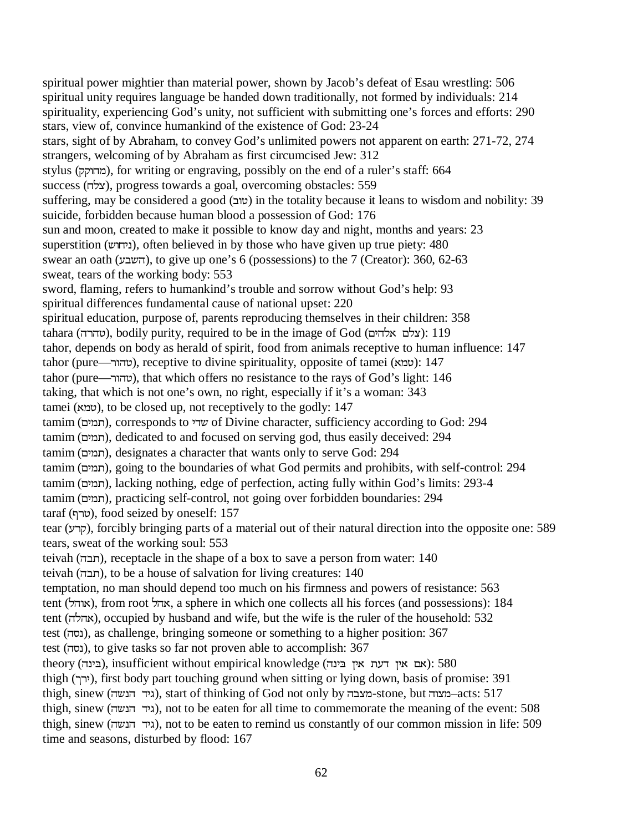spiritual power mightier than material power, shown by Jacob's defeat of Esau wrestling: 506 spiritual unity requires language be handed down traditionally, not formed by individuals: 214 spirituality, experiencing God's unity, not sufficient with submitting one's forces and efforts: 290 stars, view of, convince humankind of the existence of God: 23-24 stars, sight of by Abraham, to convey God's unlimited powers not apparent on earth: 271-72, 274 strangers, welcoming of by Abraham as first circumcised Jew: 312 stylus (מחוקק), for writing or engraving, possibly on the end of a ruler's staff: 664 success (צלח), progress towards a goal, overcoming obstacles: 559 suffering, may be considered a good (שוב) in the totality because it leans to wisdom and nobility: 39 suicide, forbidden because human blood a possession of God: 176 sun and moon, created to make it possible to know day and night, months and years: 23 superstition (ניחוש), often believed in by those who have given up true piety: 480 swear an oath (השבע), to give up one's 6 (possessions) to the 7 (Creator): 360, 62-63 sweat, tears of the working body: 553 sword, flaming, refers to humankind's trouble and sorrow without God's help: 93 spiritual differences fundamental cause of national upset: 220 spiritual education, purpose of, parents reproducing themselves in their children: 358 tahara (טהרה), bodily purity, required to be in the image of God (שהרה): 119 tahor, depends on body as herald of spirit, food from animals receptive to human influence: 147 tahor (טהור—U), receptive to divine spirituality, opposite of tamei (עמא): 147 tahor (טהור—U), that which offers no resistance to the rays of God's light: 146 taking, that which is not one's own, no right, especially if it's a woman: 343 tamei (עמא), to be closed up, not receptively to the godly: 147 tamim (תמים), corresponds to שדי of Divine character, sufficiency according to God: 294 tamim (תמים), dedicated to and focused on serving god, thus easily deceived: 294 tamim (תמים), designates a character that wants only to serve God: 294 tamim (תמים), going to the boundaries of what God permits and prohibits, with self-control: 294 tamim (תמים), lacking nothing, edge of perfection, acting fully within God's limits: 293-4 tamim (תמים), practicing self-control, not going over forbidden boundaries: 294 taraf (שרף), food seized by oneself: 157 tear (קרע), forcibly bringing parts of a material out of their natural direction into the opposite one: 589 tears, sweat of the working soul: 553 teivah (תבה), receptacle in the shape of a box to save a person from water: 140 teivah (תבה), to be a house of salvation for living creatures: 140 temptation, no man should depend too much on his firmness and powers of resistance: 563 tent (אוהל), from root אהל, a sphere in which one collects all his forces (and possessions): 184 tent (אהלה), occupied by husband and wife, but the wife is the ruler of the household: 532 test (נסה), as challenge, bringing someone or something to a higher position: 367 test (נסה), to give tasks so far not proven able to accomplish: 367 theory (בינה), insufficient without empirical knowledge (אם אין דעת אין בינה): 580 thigh (ירך), first body part touching ground when sitting or lying down, basis of promise: 391 thigh, sinew (גיד הנשה), start of thinking of God not only by במצוה, but המצוה–acts: 517 thigh, sinew (גיד הנשה), not to be eaten for all time to commemorate the meaning of the event: 508 thigh, sinew (גיד הנשה), not to be eaten to remind us constantly of our common mission in life: 509 time and seasons, disturbed by flood: 167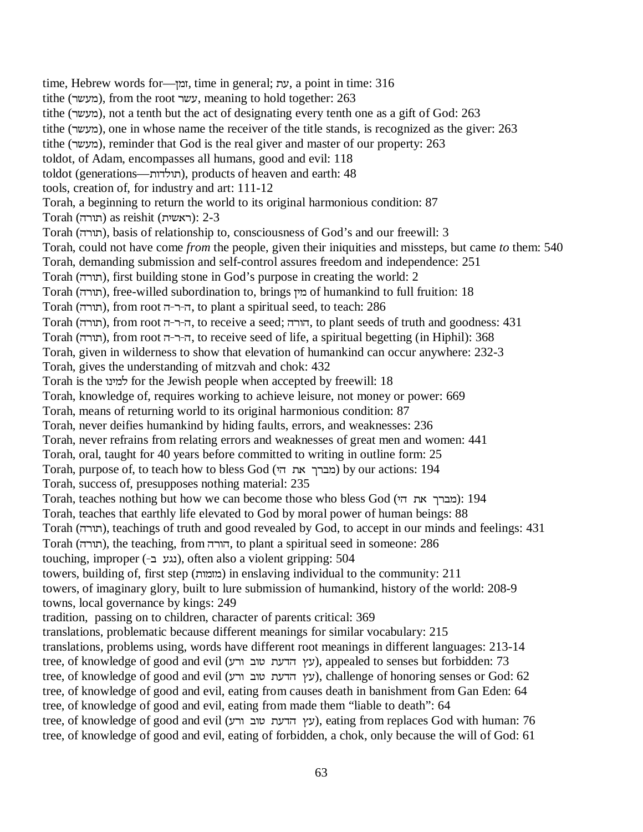time, Hebrew words for—עת, time in general;  $y$ , a point in time: 316 tithe (מעשר), from the root עשר, meaning to hold together: 263 tithe (מעשר), not a tenth but the act of designating every tenth one as a gift of God: 263 tithe (מעשר), one in whose name the receiver of the title stands, is recognized as the giver: 263 tithe (מעשר), reminder that God is the real giver and master of our property: 263 toldot, of Adam, encompasses all humans, good and evil: 118 toldot (generations—תולדות), products of heaven and earth: 48 tools, creation of, for industry and art: 111-12 Torah, a beginning to return the world to its original harmonious condition: 87  $T$ ראשית) as reishit (תורה): 2-3 Torah (תורה), basis of relationship to, consciousness of God's and our freewill: 3 Torah, could not have come *from* the people, given their iniquities and missteps, but came *to* them: 540 Torah, demanding submission and self-control assures freedom and independence: 251  $T$ Orah (תורה), first building stone in God's purpose in creating the world: 2 Torah (תורה), free-willed subordination to, brings מין of humankind to full fruition: 18  $T$ orah (תורה), from root ה-ר-ה, to plant a spiritual seed, to teach: 286 Torah (תורה), from root ה-ר-ד, to receive a seed; הורה, to plant seeds of truth and goodness: 431 Torah (תורה), from root ה-ר-ה, to receive seed of life, a spiritual begetting (in Hiphil): 368 Torah, given in wilderness to show that elevation of humankind can occur anywhere: 232-3 Torah, gives the understanding of mitzvah and chok: 432 Torah is the למינו for the Jewish people when accepted by freewill: 18 Torah, knowledge of, requires working to achieve leisure, not money or power: 669 Torah, means of returning world to its original harmonious condition: 87 Torah, never deifies humankind by hiding faults, errors, and weaknesses: 236 Torah, never refrains from relating errors and weaknesses of great men and women: 441 Torah, oral, taught for 40 years before committed to writing in outline form: 25 Torah, purpose of, to teach how to bless God (מברך את הי Torah, success of, presupposes nothing material: 235 Torah, teaches nothing but how we can become those who bless God (מברך את הי): 194 Torah, teaches that earthly life elevated to God by moral power of human beings: 88 Torah (YUX), teachings of truth and good revealed by God, to accept in our minds and feelings: 431 Torah (תורה), the teaching, from הורה, to plant a spiritual seed in someone: 286 touching, improper (-נגע ב), often also a violent gripping: 504 towers, building of, first step (מומות) in enslaving individual to the community: 211 towers, of imaginary glory, built to lure submission of humankind, history of the world: 208-9 towns, local governance by kings: 249 tradition, passing on to children, character of parents critical: 369 translations, problematic because different meanings for similar vocabulary: 215 translations, problems using, words have different root meanings in different languages: 213-14 tree, of knowledge of good and evil (עץ הדעת טוב ורע), appealed to senses but forbidden: 73 tree, of knowledge of good and evil (עץ הדעת טוב ורע), challenge of honoring senses or God: 62 tree, of knowledge of good and evil, eating from causes death in banishment from Gan Eden: 64 tree, of knowledge of good and evil, eating from made them "liable to death": 64 tree, of knowledge of good and evil (עץ הדעת טוב ורע), eating from replaces God with human: 76 tree, of knowledge of good and evil, eating of forbidden, a chok, only because the will of God: 61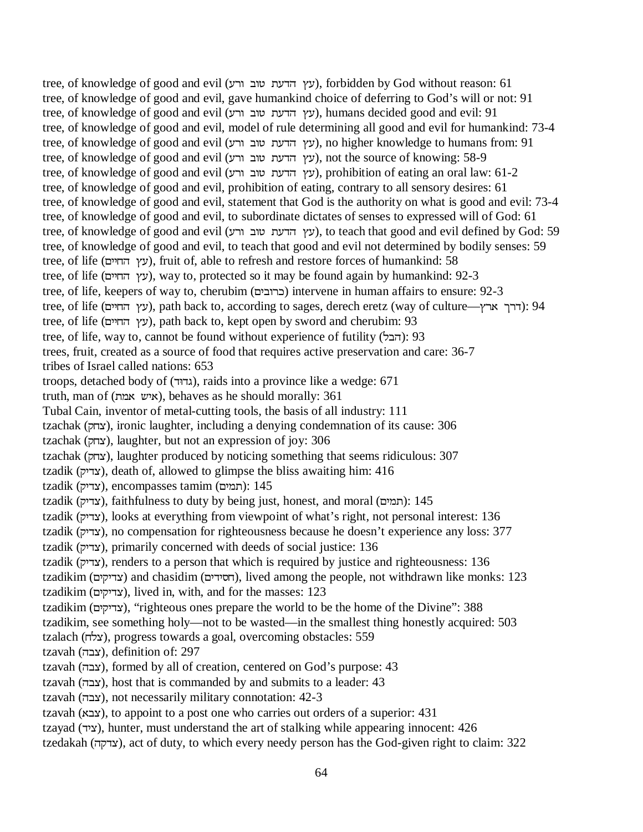tree, of knowledge of good and evil (עץ הדעת טוב ורע), forbidden by God without reason: 61 tree, of knowledge of good and evil, gave humankind choice of deferring to God's will or not: 91 tree, of knowledge of good and evil (עץ הדעת טוב ורע), humans decided good and evil: 91 tree, of knowledge of good and evil, model of rule determining all good and evil for humankind: 73-4 tree, of knowledge of good and evil (עץ הדעת טוב ורע), no higher knowledge to humans from: 91 tree, of knowledge of good and evil (עץ הדעת טוב ורע), not the source of knowing: 58-9 tree, of knowledge of good and evil (עץ הדעת טוב ורע), prohibition of eating an oral law: 61-2 tree, of knowledge of good and evil, prohibition of eating, contrary to all sensory desires: 61 tree, of knowledge of good and evil, statement that God is the authority on what is good and evil: 73-4 tree, of knowledge of good and evil, to subordinate dictates of senses to expressed will of God: 61 tree, of knowledge of good and evil (עץ הדעת טוב ורע), to teach that good and evil defined by God: 59 tree, of knowledge of good and evil, to teach that good and evil not determined by bodily senses: 59 tree, of life (עץ החיים), fruit of, able to refresh and restore forces of humankind: 58 tree, of life (עץ החיים), way to, protected so it may be found again by humankind: 92-3 tree, of life, keepers of way to, cherubim (כרובים) intervene in human affairs to ensure: 92-3 tree, of life (עץ החיים), path back to, according to sages, derech eretz (way of culture—ערך ארץ): 94 tree, of life (עץ החיים), path back to, kept open by sword and cherubim: 93 tree, of life, way to, cannot be found without experience of futility (הבל): 93 trees, fruit, created as a source of food that requires active preservation and care: 36-7 tribes of Israel called nations: 653 troops, detached body of (גדוּד), raids into a province like a wedge: 671 truth, man of (איש אמה), behaves as he should morally: 361 Tubal Cain, inventor of metal-cutting tools, the basis of all industry: 111 tzachak (צחק), ironic laughter, including a denying condemnation of its cause: 306 tzachak (צחק), laughter, but not an expression of joy: 306 tzachak (צחק), laughter produced by noticing something that seems ridiculous: 307 tzadik (צדיק), death of, allowed to glimpse the bliss awaiting him: 416  $tzadik$  (דיק), encompasses tamim (תמים): 145 tzadik (דיק), faithfulness to duty by being just, honest, and moral (תמים): 145 tzadik (צְדִיק), looks at everything from viewpoint of what's right, not personal interest: 136 tzadik (צדיק), no compensation for righteousness because he doesn't experience any loss: 377 tzadik (צדיק), primarily concerned with deeds of social justice: 136 tzadik (צְדִיק), renders to a person that which is required by justice and righteousness:  $136$ tzadikim (צדיקים) and chasidim (הסידים), lived among the people, not withdrawn like monks: 123 tzadikim (צדיקים), lived in, with, and for the masses: 123 tzadikim (צדיקים), "righteous ones prepare the world to be the home of the Divine": 388 tzadikim, see something holy—not to be wasted—in the smallest thing honestly acquired: 503 tzalach (צלח), progress towards a goal, overcoming obstacles: 559 tzavah (צבה), definition of: 297 tzavah (צבה), formed by all of creation, centered on God's purpose: 43 tzavah (צבה), host that is commanded by and submits to a leader: 43 tzavah (צבה), not necessarily military connotation: 42-3 tzavah (צבא), to appoint to a post one who carries out orders of a superior: 431 tzayad (ציד), hunter, must understand the art of stalking while appearing innocent: 426 tzedakah (צדקה), act of duty, to which every needy person has the God-given right to claim: 322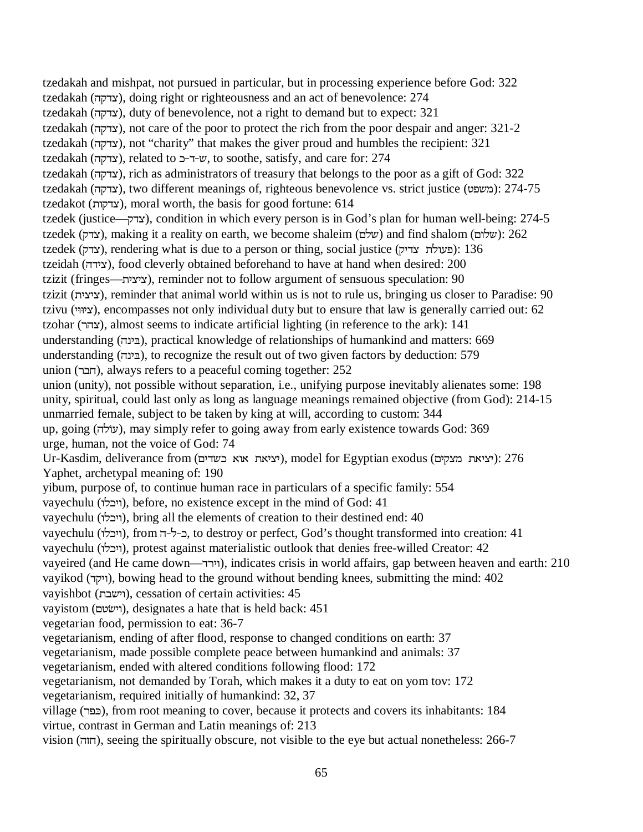tzedakah and mishpat, not pursued in particular, but in processing experience before God: 322 tzedakah (צדקה), doing right or righteousness and an act of benevolence: 274 tzedakah (צדקה), duty of benevolence, not a right to demand but to expect: 321 tzedakah (צדקה), not care of the poor to protect the rich from the poor despair and anger: 321-2 tzedakah (צדקה), not "charity" that makes the giver proud and humbles the recipient: 321 tzedakah (צדקה), related to ד-כ to soothe, satisfy, and care for: 274 tzedakah (צדקה), rich as administrators of treasury that belongs to the poor as a gift of God: 322 tzedakah (צדקה), two different meanings of, righteous benevolence vs. strict justice (משפט): 274-75 tzedakot (צדקות), moral worth, the basis for good fortune: 614 tzedek (justice—לצדק), condition in which every person is in God's plan for human well-being: 274-5 tzedek (עדק), making it a reality on earth, we become shaleim (שלם) and find shalom (שלום): 262  $t$ zedek (צדק), rendering what is due to a person or thing, social justice (צדק): 136 tzeidah (צידה), food cleverly obtained beforehand to have at hand when desired: 200 tzizit (fringes—עציעה), reminder not to follow argument of sensuous speculation: 90 tzizit (ציצית), reminder that animal world within us is not to rule us, bringing us closer to Paradise: 90 tzivu (ציוויג), encompasses not only individual duty but to ensure that law is generally carried out: 62 tzohar (צהר), almost seems to indicate artificial lighting (in reference to the ark):  $141$ understanding (בינה), practical knowledge of relationships of humankind and matters: 669 understanding (בינה), to recognize the result out of two given factors by deduction: 579 union (חבר), always refers to a peaceful coming together: 252 union (unity), not possible without separation, i.e., unifying purpose inevitably alienates some: 198 unity, spiritual, could last only as long as language meanings remained objective (from God): 214-15 unmarried female, subject to be taken by king at will, according to custom: 344 up, going (עוֹלה), may simply refer to going away from early existence towards God: 369 urge, human, not the voice of God: 74 Ur-Kasdim, deliverance from (יציאת אוא כשדים), model for Egyptian exodus (יציאת מצקים): 276 Yaphet, archetypal meaning of: 190 yibum, purpose of, to continue human race in particulars of a specific family: 554 vayechulu (ויכלו), before, no existence except in the mind of God: 41 vayechulu (ויבלו), bring all the elements of creation to their destined end: 40 vayechulu (ויבלו), from ר-ל-ה, to destroy or perfect, God's thought transformed into creation: 41 vayechulu (ויבלו), protest against materialistic outlook that denies free-willed Creator: 42 vayeired (and He came down—VUKX), indicates crisis in world affairs, gap between heaven and earth: 210 vayikod (ייקד), bowing head to the ground without bending knees, submitting the mind: 402 vayishbot (FDKX), cessation of certain activities: 45 vayistom (וישׂטם), designates a hate that is held back: 451 vegetarian food, permission to eat: 36-7 vegetarianism, ending of after flood, response to changed conditions on earth: 37 vegetarianism, made possible complete peace between humankind and animals: 37 vegetarianism, ended with altered conditions following flood: 172 vegetarianism, not demanded by Torah, which makes it a duty to eat on yom tov: 172 vegetarianism, required initially of humankind: 32, 37 village (US)), from root meaning to cover, because it protects and covers its inhabitants: 184 virtue, contrast in German and Latin meanings of: 213 vision (חוה), seeing the spiritually obscure, not visible to the eye but actual nonetheless: 266-7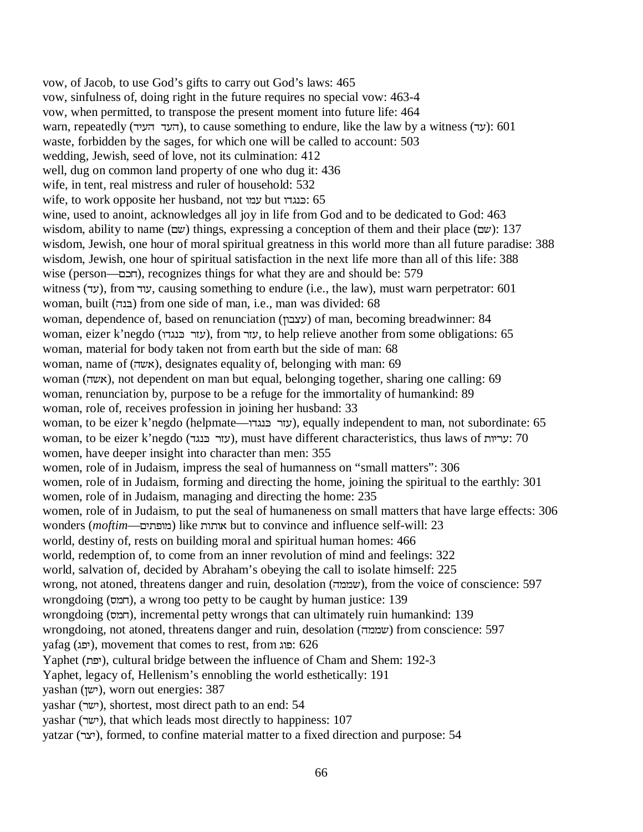vow, of Jacob, to use God's gifts to carry out God's laws: 465 vow, sinfulness of, doing right in the future requires no special vow: 463-4 vow, when permitted, to transpose the present moment into future life: 464 warn, repeatedly (העד העיר), to cause something to endure, like the law by a witness (vz): 601 waste, forbidden by the sages, for which one will be called to account: 503 wedding, Jewish, seed of love, not its culmination: 412 well, dug on common land property of one who dug it: 436 wife, in tent, real mistress and ruler of household: 532 wife, to work opposite her husband, not עמו but כנגדו wine, used to anoint, acknowledges all joy in life from God and to be dedicated to God: 463 wisdom, ability to name (שם) things, expressing a conception of them and their place ( $\omega$ ): 137 wisdom, Jewish, one hour of moral spiritual greatness in this world more than all future paradise: 388 wisdom, Jewish, one hour of spiritual satisfaction in the next life more than all of this life: 388 wise (person—תכם), recognizes things for what they are and should be: 579 witness (עד), from עוד, causing something to endure (i.e., the law), must warn perpetrator: 601 woman, built (בנה) from one side of man, i.e., man was divided: 68 woman, dependence of, based on renunciation (עצבון) of man, becoming breadwinner: 84 woman, eizer k'negdo (עזר כּנגדו), from עזר, to help relieve another from some obligations: 65 woman, material for body taken not from earth but the side of man: 68 woman, name of (אשה), designates equality of, belonging with man: 69 woman (אשה), not dependent on man but equal, belonging together, sharing one calling: 69 woman, renunciation by, purpose to be a refuge for the immortality of humankind: 89 woman, role of, receives profession in joining her husband: 33 woman, to be eizer k'negdo (helpmate—עזר בּנגדו), equally independent to man, not subordinate: 65 woman, to be eizer k'negdo (עזר כּנגד), must have different characteristics, thus laws of  $70$ women, have deeper insight into character than men: 355 women, role of in Judaism, impress the seal of humanness on "small matters": 306 women, role of in Judaism, forming and directing the home, joining the spiritual to the earthly: 301 women, role of in Judaism, managing and directing the home: 235 women, role of in Judaism, to put the seal of humaneness on small matters that have large effects: 306 wonders (*moftim*—ומותות) like אותות but to convince and influence self-will: 23 world, destiny of, rests on building moral and spiritual human homes: 466 world, redemption of, to come from an inner revolution of mind and feelings: 322 world, salvation of, decided by Abraham's obeying the call to isolate himself: 225 wrong, not atoned, threatens danger and ruin, desolation (שממה), from the voice of conscience: 597 wrongdoing (חמס), a wrong too petty to be caught by human justice: 139 wrongdoing (חמס), incremental petty wrongs that can ultimately ruin humankind: 139 wrongdoing, not atoned, threatens danger and ruin, desolation (שממה) from conscience: 597 yafag (יפג), movement that comes to rest, from יפוג: 626 Yaphet (יפת), cultural bridge between the influence of Cham and Shem: 192-3 Yaphet, legacy of, Hellenism's ennobling the world esthetically: 191 yashan (LDK), worn out energies: 387 yashar (ישר), shortest, most direct path to an end: 54 vashar (ישר), that which leads most directly to happiness: 107 yatzar (UPK), formed, to confine material matter to a fixed direction and purpose: 54